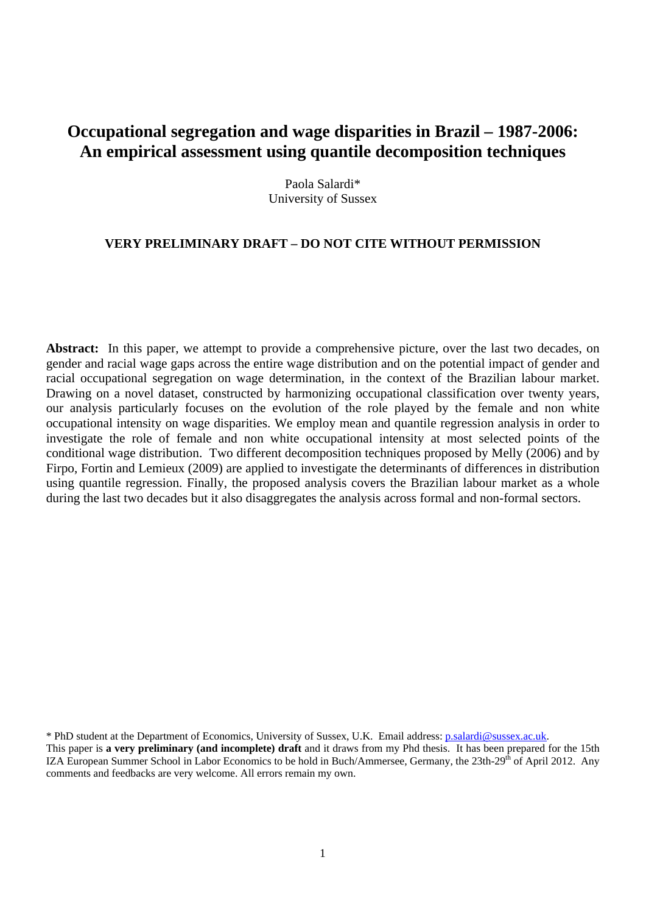# **Occupational segregation and wage disparities in Brazil – 1987-2006: An empirical assessment using quantile decomposition techniques**

Paola Salardi\* University of Sussex

# **VERY PRELIMINARY DRAFT – DO NOT CITE WITHOUT PERMISSION**

**Abstract:** In this paper, we attempt to provide a comprehensive picture, over the last two decades, on gender and racial wage gaps across the entire wage distribution and on the potential impact of gender and racial occupational segregation on wage determination, in the context of the Brazilian labour market. Drawing on a novel dataset, constructed by harmonizing occupational classification over twenty years, our analysis particularly focuses on the evolution of the role played by the female and non white occupational intensity on wage disparities. We employ mean and quantile regression analysis in order to investigate the role of female and non white occupational intensity at most selected points of the conditional wage distribution. Two different decomposition techniques proposed by Melly (2006) and by Firpo, Fortin and Lemieux (2009) are applied to investigate the determinants of differences in distribution using quantile regression. Finally, the proposed analysis covers the Brazilian labour market as a whole during the last two decades but it also disaggregates the analysis across formal and non-formal sectors.

\* PhD student at the Department of Economics, University of Sussex, U.K. Email address: p.salardi@sussex.ac.uk.

This paper is **a very preliminary (and incomplete) draft** and it draws from my Phd thesis. It has been prepared for the 15th IZA European Summer School in Labor Economics to be hold in Buch/Ammersee, Germany, the 23th-29th of April 2012. Any comments and feedbacks are very welcome. All errors remain my own.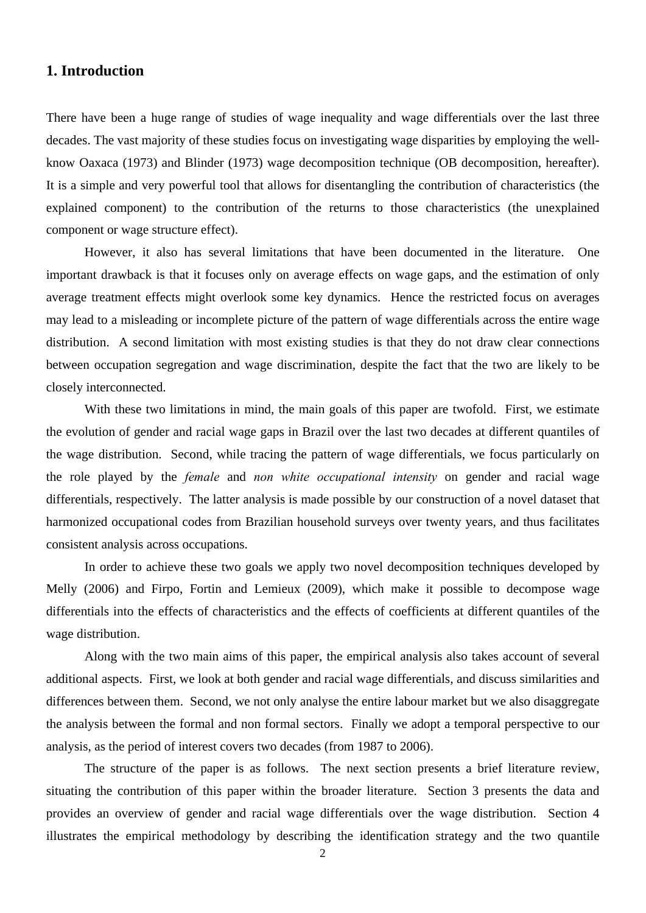# **1. Introduction**

There have been a huge range of studies of wage inequality and wage differentials over the last three decades. The vast majority of these studies focus on investigating wage disparities by employing the wellknow Oaxaca (1973) and Blinder (1973) wage decomposition technique (OB decomposition, hereafter). It is a simple and very powerful tool that allows for disentangling the contribution of characteristics (the explained component) to the contribution of the returns to those characteristics (the unexplained component or wage structure effect).

However, it also has several limitations that have been documented in the literature. One important drawback is that it focuses only on average effects on wage gaps, and the estimation of only average treatment effects might overlook some key dynamics. Hence the restricted focus on averages may lead to a misleading or incomplete picture of the pattern of wage differentials across the entire wage distribution. A second limitation with most existing studies is that they do not draw clear connections between occupation segregation and wage discrimination, despite the fact that the two are likely to be closely interconnected.

With these two limitations in mind, the main goals of this paper are twofold. First, we estimate the evolution of gender and racial wage gaps in Brazil over the last two decades at different quantiles of the wage distribution. Second, while tracing the pattern of wage differentials, we focus particularly on the role played by the *female* and *non white occupational intensity* on gender and racial wage differentials, respectively. The latter analysis is made possible by our construction of a novel dataset that harmonized occupational codes from Brazilian household surveys over twenty years, and thus facilitates consistent analysis across occupations.

In order to achieve these two goals we apply two novel decomposition techniques developed by Melly (2006) and Firpo, Fortin and Lemieux (2009), which make it possible to decompose wage differentials into the effects of characteristics and the effects of coefficients at different quantiles of the wage distribution.

Along with the two main aims of this paper, the empirical analysis also takes account of several additional aspects. First, we look at both gender and racial wage differentials, and discuss similarities and differences between them. Second, we not only analyse the entire labour market but we also disaggregate the analysis between the formal and non formal sectors. Finally we adopt a temporal perspective to our analysis, as the period of interest covers two decades (from 1987 to 2006).

The structure of the paper is as follows. The next section presents a brief literature review, situating the contribution of this paper within the broader literature. Section 3 presents the data and provides an overview of gender and racial wage differentials over the wage distribution. Section 4 illustrates the empirical methodology by describing the identification strategy and the two quantile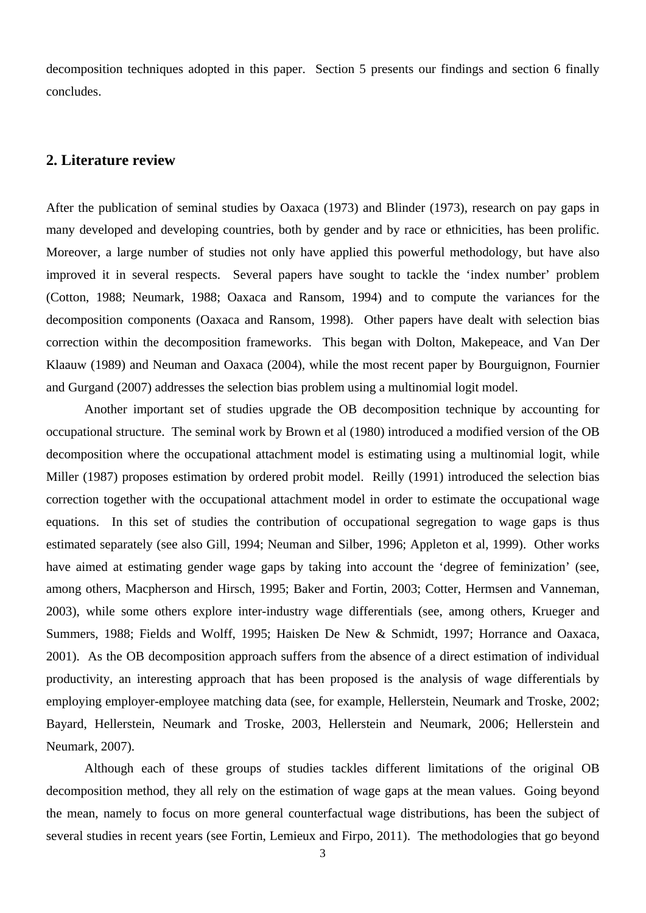decomposition techniques adopted in this paper. Section 5 presents our findings and section 6 finally concludes.

# **2. Literature review**

After the publication of seminal studies by Oaxaca (1973) and Blinder (1973), research on pay gaps in many developed and developing countries, both by gender and by race or ethnicities, has been prolific. Moreover, a large number of studies not only have applied this powerful methodology, but have also improved it in several respects. Several papers have sought to tackle the 'index number' problem (Cotton, 1988; Neumark, 1988; Oaxaca and Ransom, 1994) and to compute the variances for the decomposition components (Oaxaca and Ransom, 1998). Other papers have dealt with selection bias correction within the decomposition frameworks. This began with Dolton, Makepeace, and Van Der Klaauw (1989) and Neuman and Oaxaca (2004), while the most recent paper by Bourguignon, Fournier and Gurgand (2007) addresses the selection bias problem using a multinomial logit model.

Another important set of studies upgrade the OB decomposition technique by accounting for occupational structure. The seminal work by Brown et al (1980) introduced a modified version of the OB decomposition where the occupational attachment model is estimating using a multinomial logit, while Miller (1987) proposes estimation by ordered probit model. Reilly (1991) introduced the selection bias correction together with the occupational attachment model in order to estimate the occupational wage equations. In this set of studies the contribution of occupational segregation to wage gaps is thus estimated separately (see also Gill, 1994; Neuman and Silber, 1996; Appleton et al, 1999). Other works have aimed at estimating gender wage gaps by taking into account the 'degree of feminization' (see, among others, Macpherson and Hirsch, 1995; Baker and Fortin, 2003; Cotter, Hermsen and Vanneman, 2003), while some others explore inter-industry wage differentials (see, among others, Krueger and Summers, 1988; Fields and Wolff, 1995; Haisken De New & Schmidt, 1997; Horrance and Oaxaca, 2001). As the OB decomposition approach suffers from the absence of a direct estimation of individual productivity, an interesting approach that has been proposed is the analysis of wage differentials by employing employer-employee matching data (see, for example, Hellerstein, Neumark and Troske, 2002; Bayard, Hellerstein, Neumark and Troske, 2003, Hellerstein and Neumark, 2006; Hellerstein and Neumark, 2007).

Although each of these groups of studies tackles different limitations of the original OB decomposition method, they all rely on the estimation of wage gaps at the mean values. Going beyond the mean, namely to focus on more general counterfactual wage distributions, has been the subject of several studies in recent years (see Fortin, Lemieux and Firpo, 2011). The methodologies that go beyond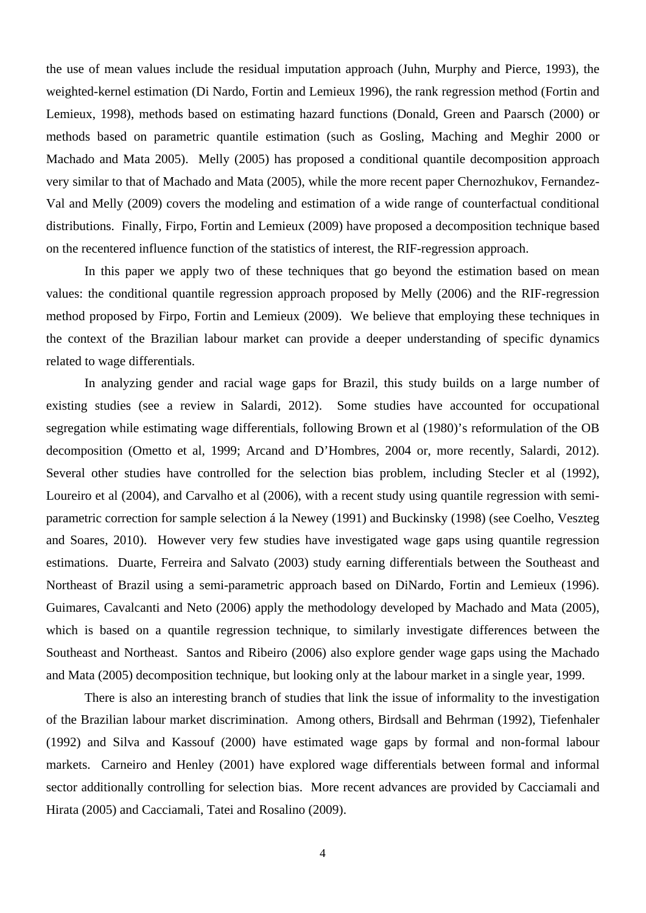the use of mean values include the residual imputation approach (Juhn, Murphy and Pierce, 1993), the weighted-kernel estimation (Di Nardo, Fortin and Lemieux 1996), the rank regression method (Fortin and Lemieux, 1998), methods based on estimating hazard functions (Donald, Green and Paarsch (2000) or methods based on parametric quantile estimation (such as Gosling, Maching and Meghir 2000 or Machado and Mata 2005). Melly (2005) has proposed a conditional quantile decomposition approach very similar to that of Machado and Mata (2005), while the more recent paper Chernozhukov, Fernandez-Val and Melly (2009) covers the modeling and estimation of a wide range of counterfactual conditional distributions. Finally, Firpo, Fortin and Lemieux (2009) have proposed a decomposition technique based on the recentered influence function of the statistics of interest, the RIF-regression approach.

In this paper we apply two of these techniques that go beyond the estimation based on mean values: the conditional quantile regression approach proposed by Melly (2006) and the RIF-regression method proposed by Firpo, Fortin and Lemieux (2009). We believe that employing these techniques in the context of the Brazilian labour market can provide a deeper understanding of specific dynamics related to wage differentials.

In analyzing gender and racial wage gaps for Brazil, this study builds on a large number of existing studies (see a review in Salardi, 2012). Some studies have accounted for occupational segregation while estimating wage differentials, following Brown et al (1980)'s reformulation of the OB decomposition (Ometto et al, 1999; Arcand and D'Hombres, 2004 or, more recently, Salardi, 2012). Several other studies have controlled for the selection bias problem, including Stecler et al (1992), Loureiro et al (2004), and Carvalho et al (2006), with a recent study using quantile regression with semiparametric correction for sample selection á la Newey (1991) and Buckinsky (1998) (see Coelho, Veszteg and Soares, 2010). However very few studies have investigated wage gaps using quantile regression estimations. Duarte, Ferreira and Salvato (2003) study earning differentials between the Southeast and Northeast of Brazil using a semi-parametric approach based on DiNardo, Fortin and Lemieux (1996). Guimares, Cavalcanti and Neto (2006) apply the methodology developed by Machado and Mata (2005), which is based on a quantile regression technique, to similarly investigate differences between the Southeast and Northeast. Santos and Ribeiro (2006) also explore gender wage gaps using the Machado and Mata (2005) decomposition technique, but looking only at the labour market in a single year, 1999.

There is also an interesting branch of studies that link the issue of informality to the investigation of the Brazilian labour market discrimination. Among others, Birdsall and Behrman (1992), Tiefenhaler (1992) and Silva and Kassouf (2000) have estimated wage gaps by formal and non-formal labour markets. Carneiro and Henley (2001) have explored wage differentials between formal and informal sector additionally controlling for selection bias. More recent advances are provided by Cacciamali and Hirata (2005) and Cacciamali, Tatei and Rosalino (2009).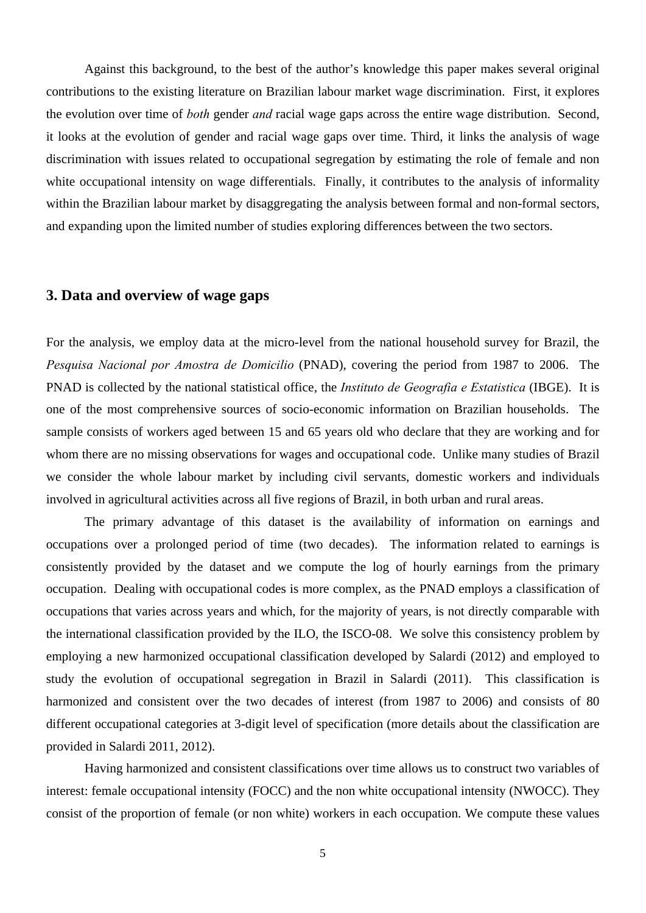Against this background, to the best of the author's knowledge this paper makes several original contributions to the existing literature on Brazilian labour market wage discrimination. First, it explores the evolution over time of *both* gender *and* racial wage gaps across the entire wage distribution. Second, it looks at the evolution of gender and racial wage gaps over time. Third, it links the analysis of wage discrimination with issues related to occupational segregation by estimating the role of female and non white occupational intensity on wage differentials. Finally, it contributes to the analysis of informality within the Brazilian labour market by disaggregating the analysis between formal and non-formal sectors, and expanding upon the limited number of studies exploring differences between the two sectors.

# **3. Data and overview of wage gaps**

For the analysis, we employ data at the micro-level from the national household survey for Brazil, the *Pesquisa Nacional por Amostra de Domicilio* (PNAD), covering the period from 1987 to 2006. The PNAD is collected by the national statistical office, the *Instituto de Geografia e Estatistica* (IBGE). It is one of the most comprehensive sources of socio-economic information on Brazilian households. The sample consists of workers aged between 15 and 65 years old who declare that they are working and for whom there are no missing observations for wages and occupational code. Unlike many studies of Brazil we consider the whole labour market by including civil servants, domestic workers and individuals involved in agricultural activities across all five regions of Brazil, in both urban and rural areas.

The primary advantage of this dataset is the availability of information on earnings and occupations over a prolonged period of time (two decades). The information related to earnings is consistently provided by the dataset and we compute the log of hourly earnings from the primary occupation. Dealing with occupational codes is more complex, as the PNAD employs a classification of occupations that varies across years and which, for the majority of years, is not directly comparable with the international classification provided by the ILO, the ISCO-08. We solve this consistency problem by employing a new harmonized occupational classification developed by Salardi (2012) and employed to study the evolution of occupational segregation in Brazil in Salardi (2011). This classification is harmonized and consistent over the two decades of interest (from 1987 to 2006) and consists of 80 different occupational categories at 3-digit level of specification (more details about the classification are provided in Salardi 2011, 2012).

Having harmonized and consistent classifications over time allows us to construct two variables of interest: female occupational intensity (FOCC) and the non white occupational intensity (NWOCC). They consist of the proportion of female (or non white) workers in each occupation. We compute these values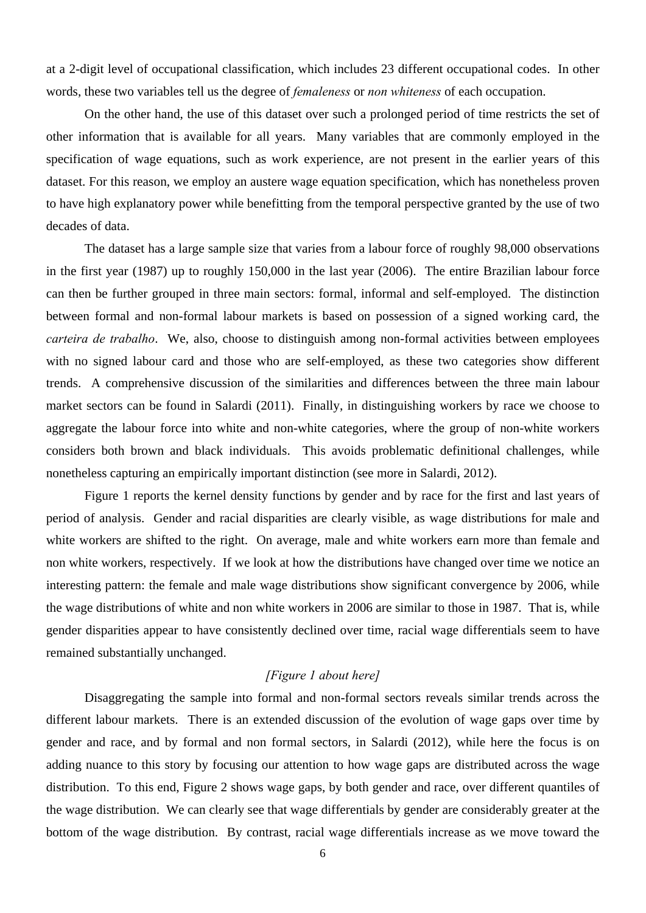at a 2-digit level of occupational classification, which includes 23 different occupational codes. In other words, these two variables tell us the degree of *femaleness* or *non whiteness* of each occupation.

On the other hand, the use of this dataset over such a prolonged period of time restricts the set of other information that is available for all years. Many variables that are commonly employed in the specification of wage equations, such as work experience, are not present in the earlier years of this dataset. For this reason, we employ an austere wage equation specification, which has nonetheless proven to have high explanatory power while benefitting from the temporal perspective granted by the use of two decades of data.

The dataset has a large sample size that varies from a labour force of roughly 98,000 observations in the first year (1987) up to roughly 150,000 in the last year (2006). The entire Brazilian labour force can then be further grouped in three main sectors: formal, informal and self-employed. The distinction between formal and non-formal labour markets is based on possession of a signed working card, the *carteira de trabalho*. We, also, choose to distinguish among non-formal activities between employees with no signed labour card and those who are self-employed, as these two categories show different trends. A comprehensive discussion of the similarities and differences between the three main labour market sectors can be found in Salardi (2011). Finally, in distinguishing workers by race we choose to aggregate the labour force into white and non-white categories, where the group of non-white workers considers both brown and black individuals. This avoids problematic definitional challenges, while nonetheless capturing an empirically important distinction (see more in Salardi, 2012).

Figure 1 reports the kernel density functions by gender and by race for the first and last years of period of analysis. Gender and racial disparities are clearly visible, as wage distributions for male and white workers are shifted to the right. On average, male and white workers earn more than female and non white workers, respectively. If we look at how the distributions have changed over time we notice an interesting pattern: the female and male wage distributions show significant convergence by 2006, while the wage distributions of white and non white workers in 2006 are similar to those in 1987. That is, while gender disparities appear to have consistently declined over time, racial wage differentials seem to have remained substantially unchanged.

## *[Figure 1 about here]*

Disaggregating the sample into formal and non-formal sectors reveals similar trends across the different labour markets. There is an extended discussion of the evolution of wage gaps over time by gender and race, and by formal and non formal sectors, in Salardi (2012), while here the focus is on adding nuance to this story by focusing our attention to how wage gaps are distributed across the wage distribution. To this end, Figure 2 shows wage gaps, by both gender and race, over different quantiles of the wage distribution. We can clearly see that wage differentials by gender are considerably greater at the bottom of the wage distribution. By contrast, racial wage differentials increase as we move toward the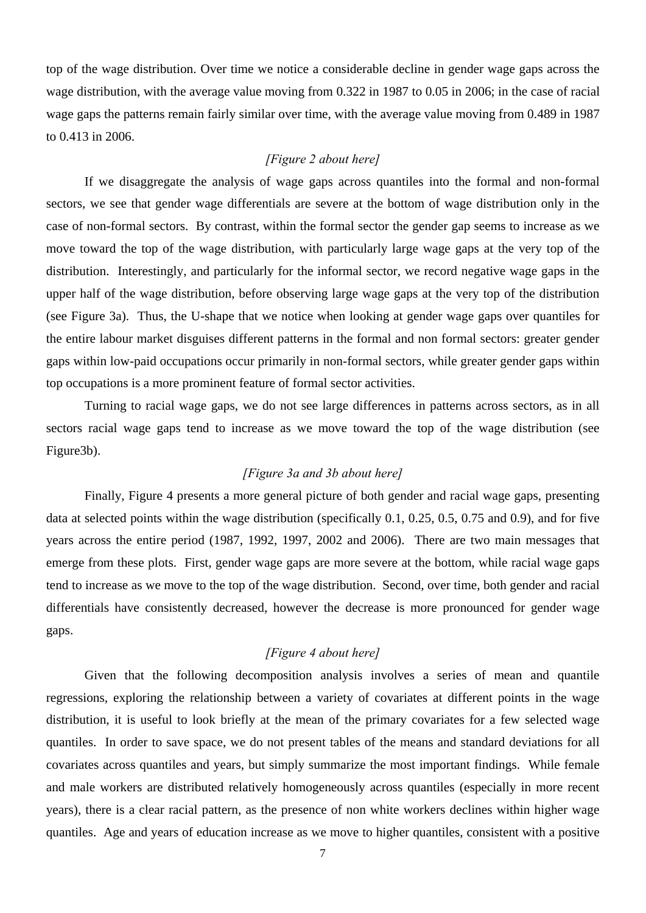top of the wage distribution. Over time we notice a considerable decline in gender wage gaps across the wage distribution, with the average value moving from 0.322 in 1987 to 0.05 in 2006; in the case of racial wage gaps the patterns remain fairly similar over time, with the average value moving from 0.489 in 1987 to 0.413 in 2006.

## *[Figure 2 about here]*

If we disaggregate the analysis of wage gaps across quantiles into the formal and non-formal sectors, we see that gender wage differentials are severe at the bottom of wage distribution only in the case of non-formal sectors. By contrast, within the formal sector the gender gap seems to increase as we move toward the top of the wage distribution, with particularly large wage gaps at the very top of the distribution. Interestingly, and particularly for the informal sector, we record negative wage gaps in the upper half of the wage distribution, before observing large wage gaps at the very top of the distribution (see Figure 3a). Thus, the U-shape that we notice when looking at gender wage gaps over quantiles for the entire labour market disguises different patterns in the formal and non formal sectors: greater gender gaps within low-paid occupations occur primarily in non-formal sectors, while greater gender gaps within top occupations is a more prominent feature of formal sector activities.

Turning to racial wage gaps, we do not see large differences in patterns across sectors, as in all sectors racial wage gaps tend to increase as we move toward the top of the wage distribution (see Figure3b).

## *[Figure 3a and 3b about here]*

Finally, Figure 4 presents a more general picture of both gender and racial wage gaps, presenting data at selected points within the wage distribution (specifically 0.1, 0.25, 0.5, 0.75 and 0.9), and for five years across the entire period (1987, 1992, 1997, 2002 and 2006). There are two main messages that emerge from these plots. First, gender wage gaps are more severe at the bottom, while racial wage gaps tend to increase as we move to the top of the wage distribution. Second, over time, both gender and racial differentials have consistently decreased, however the decrease is more pronounced for gender wage gaps.

# *[Figure 4 about here]*

Given that the following decomposition analysis involves a series of mean and quantile regressions, exploring the relationship between a variety of covariates at different points in the wage distribution, it is useful to look briefly at the mean of the primary covariates for a few selected wage quantiles. In order to save space, we do not present tables of the means and standard deviations for all covariates across quantiles and years, but simply summarize the most important findings. While female and male workers are distributed relatively homogeneously across quantiles (especially in more recent years), there is a clear racial pattern, as the presence of non white workers declines within higher wage quantiles. Age and years of education increase as we move to higher quantiles, consistent with a positive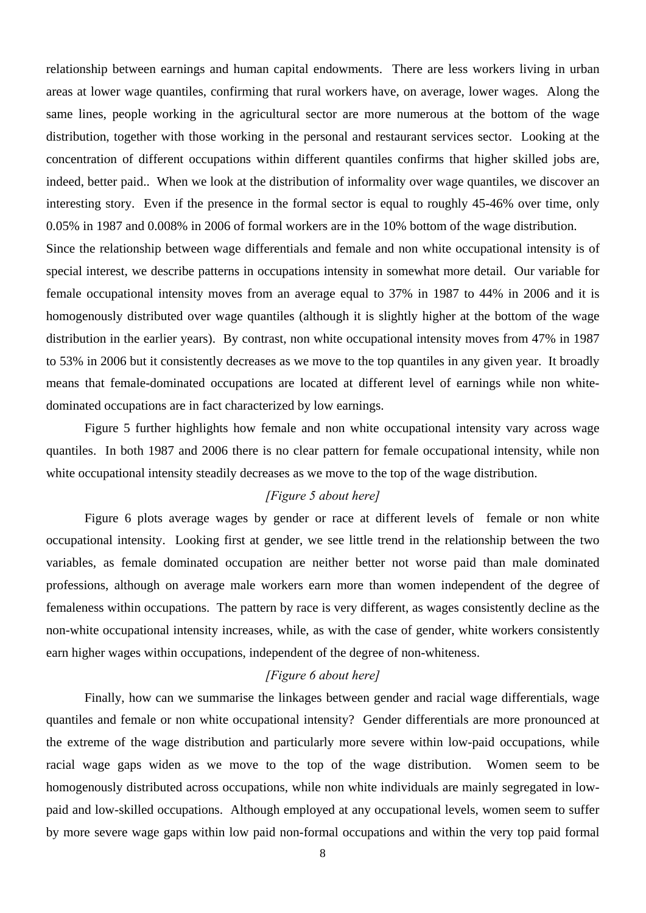relationship between earnings and human capital endowments. There are less workers living in urban areas at lower wage quantiles, confirming that rural workers have, on average, lower wages. Along the same lines, people working in the agricultural sector are more numerous at the bottom of the wage distribution, together with those working in the personal and restaurant services sector. Looking at the concentration of different occupations within different quantiles confirms that higher skilled jobs are, indeed, better paid.. When we look at the distribution of informality over wage quantiles, we discover an interesting story. Even if the presence in the formal sector is equal to roughly 45-46% over time, only 0.05% in 1987 and 0.008% in 2006 of formal workers are in the 10% bottom of the wage distribution.

Since the relationship between wage differentials and female and non white occupational intensity is of special interest, we describe patterns in occupations intensity in somewhat more detail. Our variable for female occupational intensity moves from an average equal to 37% in 1987 to 44% in 2006 and it is homogenously distributed over wage quantiles (although it is slightly higher at the bottom of the wage distribution in the earlier years). By contrast, non white occupational intensity moves from 47% in 1987 to 53% in 2006 but it consistently decreases as we move to the top quantiles in any given year. It broadly means that female-dominated occupations are located at different level of earnings while non whitedominated occupations are in fact characterized by low earnings.

Figure 5 further highlights how female and non white occupational intensity vary across wage quantiles. In both 1987 and 2006 there is no clear pattern for female occupational intensity, while non white occupational intensity steadily decreases as we move to the top of the wage distribution.

# *[Figure 5 about here]*

Figure 6 plots average wages by gender or race at different levels of female or non white occupational intensity. Looking first at gender, we see little trend in the relationship between the two variables, as female dominated occupation are neither better not worse paid than male dominated professions, although on average male workers earn more than women independent of the degree of femaleness within occupations. The pattern by race is very different, as wages consistently decline as the non-white occupational intensity increases, while, as with the case of gender, white workers consistently earn higher wages within occupations, independent of the degree of non-whiteness.

## *[Figure 6 about here]*

Finally, how can we summarise the linkages between gender and racial wage differentials, wage quantiles and female or non white occupational intensity? Gender differentials are more pronounced at the extreme of the wage distribution and particularly more severe within low-paid occupations, while racial wage gaps widen as we move to the top of the wage distribution. Women seem to be homogenously distributed across occupations, while non white individuals are mainly segregated in lowpaid and low-skilled occupations. Although employed at any occupational levels, women seem to suffer by more severe wage gaps within low paid non-formal occupations and within the very top paid formal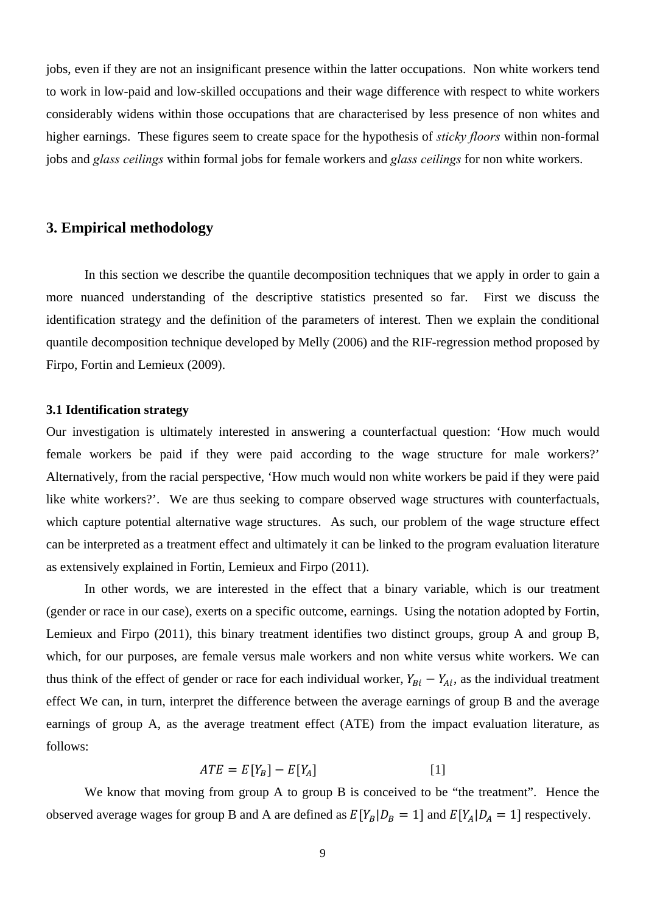jobs, even if they are not an insignificant presence within the latter occupations. Non white workers tend to work in low-paid and low-skilled occupations and their wage difference with respect to white workers considerably widens within those occupations that are characterised by less presence of non whites and higher earnings. These figures seem to create space for the hypothesis of *sticky floors* within non-formal jobs and *glass ceilings* within formal jobs for female workers and *glass ceilings* for non white workers.

# **3. Empirical methodology**

In this section we describe the quantile decomposition techniques that we apply in order to gain a more nuanced understanding of the descriptive statistics presented so far. First we discuss the identification strategy and the definition of the parameters of interest. Then we explain the conditional quantile decomposition technique developed by Melly (2006) and the RIF-regression method proposed by Firpo, Fortin and Lemieux (2009).

## **3.1 Identification strategy**

Our investigation is ultimately interested in answering a counterfactual question: 'How much would female workers be paid if they were paid according to the wage structure for male workers?' Alternatively, from the racial perspective, 'How much would non white workers be paid if they were paid like white workers?'. We are thus seeking to compare observed wage structures with counterfactuals, which capture potential alternative wage structures. As such, our problem of the wage structure effect can be interpreted as a treatment effect and ultimately it can be linked to the program evaluation literature as extensively explained in Fortin, Lemieux and Firpo (2011).

In other words, we are interested in the effect that a binary variable, which is our treatment (gender or race in our case), exerts on a specific outcome, earnings. Using the notation adopted by Fortin, Lemieux and Firpo (2011), this binary treatment identifies two distinct groups, group A and group B, which, for our purposes, are female versus male workers and non white versus white workers. We can thus think of the effect of gender or race for each individual worker,  $Y_{Bi} - Y_{Ai}$ , as the individual treatment effect We can, in turn, interpret the difference between the average earnings of group B and the average earnings of group A, as the average treatment effect (ATE) from the impact evaluation literature, as follows:

$$
ATE = E[Y_B] - E[Y_A]
$$
 [1]

We know that moving from group A to group B is conceived to be "the treatment". Hence the observed average wages for group B and A are defined as  $E[Y_B|D_B = 1]$  and  $E[Y_A|D_A = 1]$  respectively.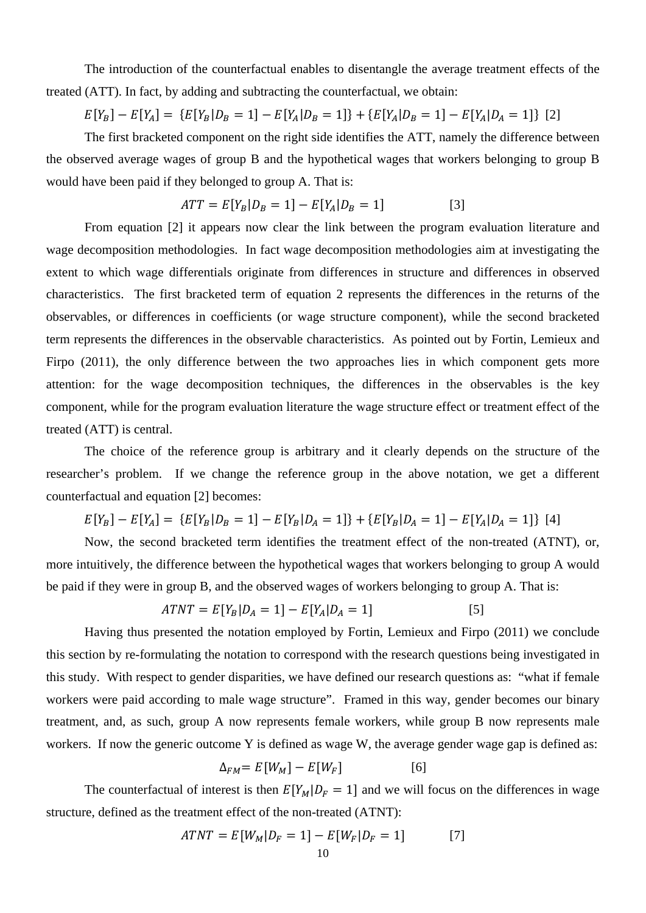The introduction of the counterfactual enables to disentangle the average treatment effects of the treated (ATT). In fact, by adding and subtracting the counterfactual, we obtain:

$$
E[Y_B] - E[Y_A] = \{ E[Y_B | D_B = 1] - E[Y_A | D_B = 1] \} + \{ E[Y_A | D_B = 1] - E[Y_A | D_A = 1] \} \tag{2}
$$

The first bracketed component on the right side identifies the ATT, namely the difference between the observed average wages of group B and the hypothetical wages that workers belonging to group B would have been paid if they belonged to group A. That is:

$$
ATT = E[Y_B | D_B = 1] - E[Y_A | D_B = 1]
$$
 [3]

From equation [2] it appears now clear the link between the program evaluation literature and wage decomposition methodologies. In fact wage decomposition methodologies aim at investigating the extent to which wage differentials originate from differences in structure and differences in observed characteristics. The first bracketed term of equation 2 represents the differences in the returns of the observables, or differences in coefficients (or wage structure component), while the second bracketed term represents the differences in the observable characteristics. As pointed out by Fortin, Lemieux and Firpo (2011), the only difference between the two approaches lies in which component gets more attention: for the wage decomposition techniques, the differences in the observables is the key component, while for the program evaluation literature the wage structure effect or treatment effect of the treated (ATT) is central.

The choice of the reference group is arbitrary and it clearly depends on the structure of the researcher's problem. If we change the reference group in the above notation, we get a different counterfactual and equation [2] becomes:

$$
E[Y_B] - E[Y_A] = \{ E[Y_B | D_B = 1] - E[Y_B | D_A = 1] \} + \{ E[Y_B | D_A = 1] - E[Y_A | D_A = 1] \} [4]
$$

Now, the second bracketed term identifies the treatment effect of the non-treated (ATNT), or, more intuitively, the difference between the hypothetical wages that workers belonging to group A would be paid if they were in group B, and the observed wages of workers belonging to group A. That is:

$$
ATNT = E[Y_B | D_A = 1] - E[Y_A | D_A = 1]
$$
\n<sup>(5)</sup>

Having thus presented the notation employed by Fortin, Lemieux and Firpo (2011) we conclude this section by re-formulating the notation to correspond with the research questions being investigated in this study. With respect to gender disparities, we have defined our research questions as: "what if female workers were paid according to male wage structure". Framed in this way, gender becomes our binary treatment, and, as such, group A now represents female workers, while group B now represents male workers. If now the generic outcome Y is defined as wage W, the average gender wage gap is defined as:

$$
\Delta_{FM} = E[W_M] - E[W_F] \tag{6}
$$

The counterfactual of interest is then  $E[Y_M|D_F = 1]$  and we will focus on the differences in wage structure, defined as the treatment effect of the non-treated (ATNT):

$$
ATNT = E[W_M | D_F = 1] - E[W_F | D_F = 1]
$$
 [7]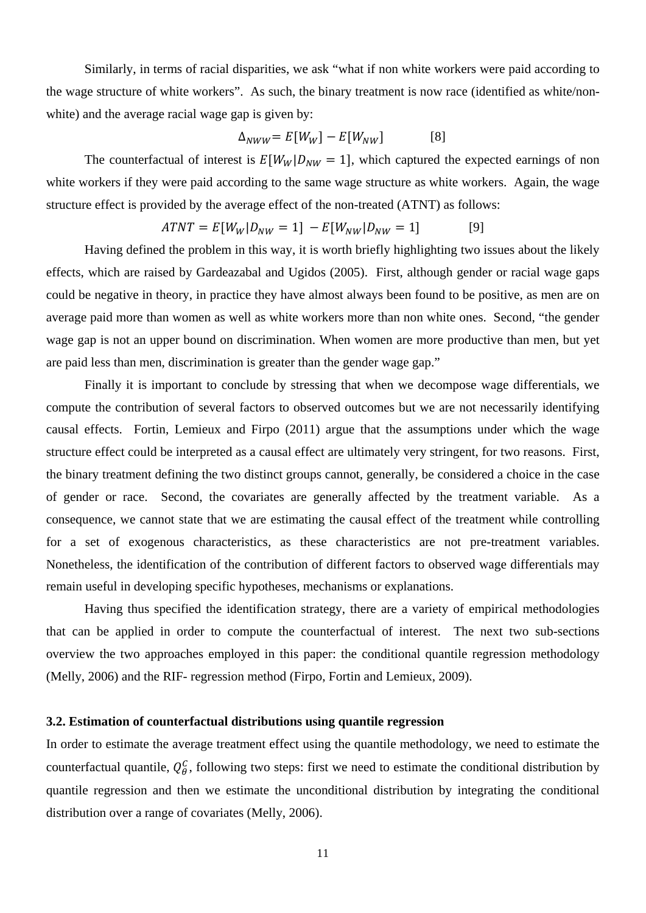Similarly, in terms of racial disparities, we ask "what if non white workers were paid according to the wage structure of white workers". As such, the binary treatment is now race (identified as white/nonwhite) and the average racial wage gap is given by:

$$
\Delta_{NWW} = E[W_W] - E[W_{NW}] \tag{8}
$$

The counterfactual of interest is  $E[W_W|D_{NW} = 1]$ , which captured the expected earnings of non white workers if they were paid according to the same wage structure as white workers. Again, the wage structure effect is provided by the average effect of the non-treated (ATNT) as follows:

$$
ATNT = E[W_W | D_{NW} = 1] - E[W_{NW} | D_{NW} = 1]
$$
 [9]

Having defined the problem in this way, it is worth briefly highlighting two issues about the likely effects, which are raised by Gardeazabal and Ugidos (2005). First, although gender or racial wage gaps could be negative in theory, in practice they have almost always been found to be positive, as men are on average paid more than women as well as white workers more than non white ones. Second, "the gender wage gap is not an upper bound on discrimination. When women are more productive than men, but yet are paid less than men, discrimination is greater than the gender wage gap."

Finally it is important to conclude by stressing that when we decompose wage differentials, we compute the contribution of several factors to observed outcomes but we are not necessarily identifying causal effects. Fortin, Lemieux and Firpo (2011) argue that the assumptions under which the wage structure effect could be interpreted as a causal effect are ultimately very stringent, for two reasons. First, the binary treatment defining the two distinct groups cannot, generally, be considered a choice in the case of gender or race. Second, the covariates are generally affected by the treatment variable. As a consequence, we cannot state that we are estimating the causal effect of the treatment while controlling for a set of exogenous characteristics, as these characteristics are not pre-treatment variables. Nonetheless, the identification of the contribution of different factors to observed wage differentials may remain useful in developing specific hypotheses, mechanisms or explanations.

Having thus specified the identification strategy, there are a variety of empirical methodologies that can be applied in order to compute the counterfactual of interest. The next two sub-sections overview the two approaches employed in this paper: the conditional quantile regression methodology (Melly, 2006) and the RIF- regression method (Firpo, Fortin and Lemieux, 2009).

#### **3.2. Estimation of counterfactual distributions using quantile regression**

In order to estimate the average treatment effect using the quantile methodology, we need to estimate the counterfactual quantile,  $Q_{\theta}^{C}$ , following two steps: first we need to estimate the conditional distribution by quantile regression and then we estimate the unconditional distribution by integrating the conditional distribution over a range of covariates (Melly, 2006).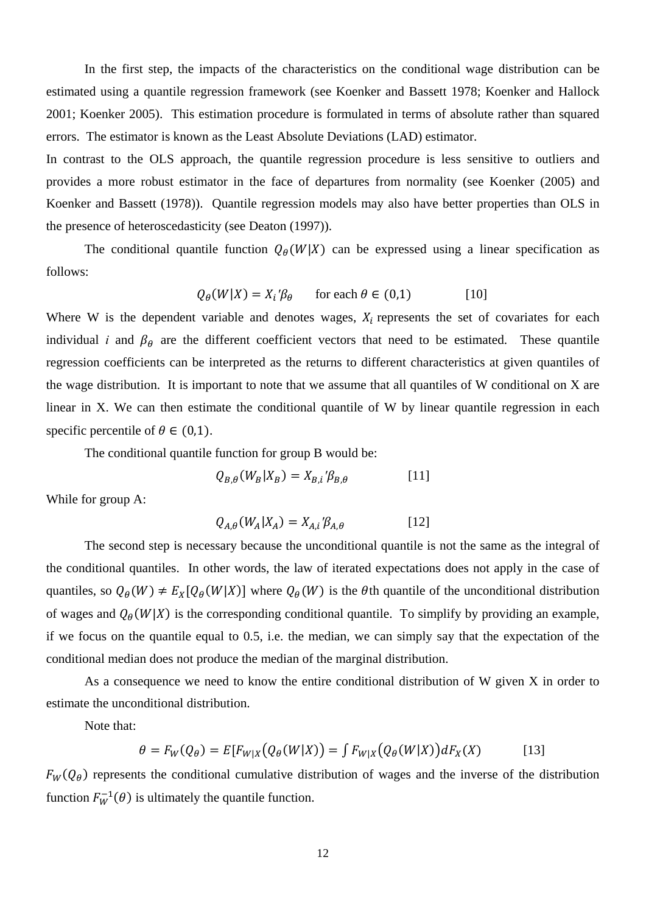In the first step, the impacts of the characteristics on the conditional wage distribution can be estimated using a quantile regression framework (see Koenker and Bassett 1978; Koenker and Hallock 2001; Koenker 2005). This estimation procedure is formulated in terms of absolute rather than squared errors. The estimator is known as the Least Absolute Deviations (LAD) estimator.

In contrast to the OLS approach, the quantile regression procedure is less sensitive to outliers and provides a more robust estimator in the face of departures from normality (see Koenker (2005) and Koenker and Bassett (1978)). Quantile regression models may also have better properties than OLS in the presence of heteroscedasticity (see Deaton (1997)).

The conditional quantile function  $Q_{\theta}(W|X)$  can be expressed using a linear specification as follows:

$$
Q_{\theta}(W|X) = X_i'\beta_{\theta} \quad \text{for each } \theta \in (0,1)
$$
 [10]

Where W is the dependent variable and denotes wages,  $X_i$  represents the set of covariates for each individual *i* and  $\beta_{\theta}$  are the different coefficient vectors that need to be estimated. These quantile regression coefficients can be interpreted as the returns to different characteristics at given quantiles of the wage distribution. It is important to note that we assume that all quantiles of W conditional on X are linear in X. We can then estimate the conditional quantile of W by linear quantile regression in each specific percentile of  $\theta \in (0,1)$ .

The conditional quantile function for group B would be:

$$
Q_{B,\theta}(W_B|X_B) = X_{B,i} \mathcal{B}_{B,\theta} \tag{11}
$$

While for group A:

$$
Q_{A,\theta}(W_A|X_A) = X_{A,i} \mathcal{B}_{A,\theta} \tag{12}
$$

The second step is necessary because the unconditional quantile is not the same as the integral of the conditional quantiles. In other words, the law of iterated expectations does not apply in the case of quantiles, so  $Q_{\theta}(W) \neq E_X[Q_{\theta}(W|X)]$  where  $Q_{\theta}(W)$  is the  $\theta$ th quantile of the unconditional distribution of wages and  $Q_{\theta}(W|X)$  is the corresponding conditional quantile. To simplify by providing an example, if we focus on the quantile equal to 0.5, i.e. the median, we can simply say that the expectation of the conditional median does not produce the median of the marginal distribution.

As a consequence we need to know the entire conditional distribution of W given X in order to estimate the unconditional distribution.

Note that:

$$
\theta = F_W(Q_\theta) = E[F_{W|X}(Q_\theta(W|X)) = \int F_{W|X}(Q_\theta(W|X))dF_X(X) \tag{13}
$$

 $F_W(Q_\theta)$  represents the conditional cumulative distribution of wages and the inverse of the distribution function  $F_W^{-1}(\theta)$  is ultimately the quantile function.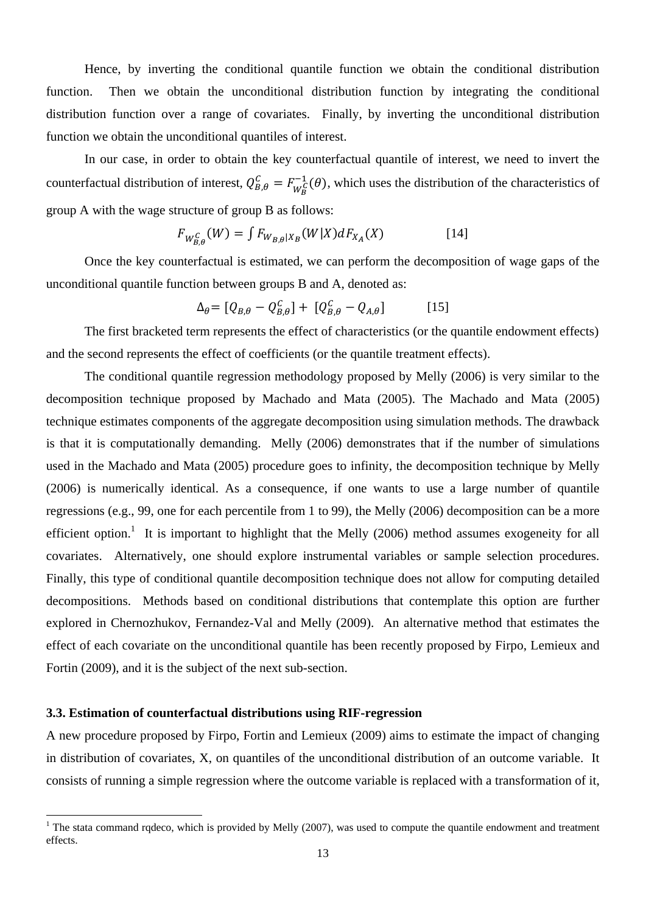Hence, by inverting the conditional quantile function we obtain the conditional distribution function. Then we obtain the unconditional distribution function by integrating the conditional distribution function over a range of covariates. Finally, by inverting the unconditional distribution function we obtain the unconditional quantiles of interest.

In our case, in order to obtain the key counterfactual quantile of interest, we need to invert the counterfactual distribution of interest,  $Q_{B,\theta}^C = F_{W_B^C}^{-1}(\theta)$ , which uses the distribution of the characteristics of group A with the wage structure of group B as follows:

$$
F_{W_{B,\theta}^C}(W) = \int F_{W_{B,\theta}|X_B}(W|X)dF_{X_A}(X)
$$
 [14]

Once the key counterfactual is estimated, we can perform the decomposition of wage gaps of the unconditional quantile function between groups B and A, denoted as:

$$
\Delta_{\theta} = [Q_{B,\theta} - Q_{B,\theta}^C] + [Q_{B,\theta}^C - Q_{A,\theta}] \quad [15]
$$

The first bracketed term represents the effect of characteristics (or the quantile endowment effects) and the second represents the effect of coefficients (or the quantile treatment effects).

The conditional quantile regression methodology proposed by Melly (2006) is very similar to the decomposition technique proposed by Machado and Mata (2005). The Machado and Mata (2005) technique estimates components of the aggregate decomposition using simulation methods. The drawback is that it is computationally demanding. Melly (2006) demonstrates that if the number of simulations used in the Machado and Mata (2005) procedure goes to infinity, the decomposition technique by Melly (2006) is numerically identical. As a consequence, if one wants to use a large number of quantile regressions (e.g., 99, one for each percentile from 1 to 99), the Melly (2006) decomposition can be a more efficient option.<sup>1</sup> It is important to highlight that the Melly (2006) method assumes exogeneity for all covariates. Alternatively, one should explore instrumental variables or sample selection procedures. Finally, this type of conditional quantile decomposition technique does not allow for computing detailed decompositions. Methods based on conditional distributions that contemplate this option are further explored in Chernozhukov, Fernandez-Val and Melly (2009). An alternative method that estimates the effect of each covariate on the unconditional quantile has been recently proposed by Firpo, Lemieux and Fortin (2009), and it is the subject of the next sub-section.

#### **3.3. Estimation of counterfactual distributions using RIF-regression**

A new procedure proposed by Firpo, Fortin and Lemieux (2009) aims to estimate the impact of changing in distribution of covariates, X, on quantiles of the unconditional distribution of an outcome variable. It consists of running a simple regression where the outcome variable is replaced with a transformation of it,

<sup>&</sup>lt;sup>1</sup> The stata command rqdeco, which is provided by Melly (2007), was used to compute the quantile endowment and treatment effects.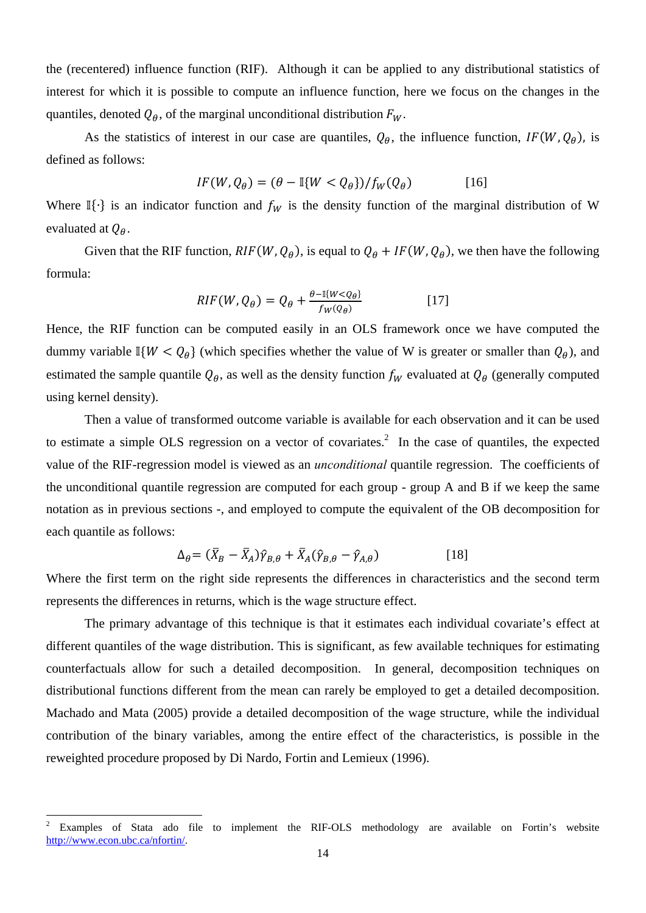the (recentered) influence function (RIF). Although it can be applied to any distributional statistics of interest for which it is possible to compute an influence function, here we focus on the changes in the quantiles, denoted  $Q_{\theta}$ , of the marginal unconditional distribution  $F_{W}$ .

As the statistics of interest in our case are quantiles,  $Q_{\theta}$ , the influence function,  $IF(W, Q_{\theta})$ , is defined as follows:

$$
IF(W, Q_{\theta}) = (\theta - \mathbb{I}\{W < Q_{\theta}\}) / f_W(Q_{\theta}) \tag{16}
$$

Where I $\{\cdot\}$  is an indicator function and  $f_W$  is the density function of the marginal distribution of W evaluated at  $Q_{\theta}$ .

Given that the RIF function,  $RIF(W, Q_{\theta})$ , is equal to  $Q_{\theta} + IF(W, Q_{\theta})$ , we then have the following formula:

$$
RIF(W, Q_{\theta}) = Q_{\theta} + \frac{\theta - \mathbb{I}\{W < Q_{\theta}\}}{f_W(Q_{\theta})}
$$
\n[17]

Hence, the RIF function can be computed easily in an OLS framework once we have computed the dummy variable I $\{W < Q_{\theta}\}\$  (which specifies whether the value of W is greater or smaller than  $Q_{\theta}$ ), and estimated the sample quantile  $Q_{\theta}$ , as well as the density function  $f_W$  evaluated at  $Q_{\theta}$  (generally computed using kernel density).

Then a value of transformed outcome variable is available for each observation and it can be used to estimate a simple OLS regression on a vector of covariates.<sup>2</sup> In the case of quantiles, the expected value of the RIF-regression model is viewed as an *unconditional* quantile regression. The coefficients of the unconditional quantile regression are computed for each group - group A and B if we keep the same notation as in previous sections -, and employed to compute the equivalent of the OB decomposition for each quantile as follows:

$$
\Delta_{\theta} = (\bar{X}_B - \bar{X}_A)\hat{\gamma}_{B,\theta} + \bar{X}_A(\hat{\gamma}_{B,\theta} - \hat{\gamma}_{A,\theta})
$$
\n[18]

Where the first term on the right side represents the differences in characteristics and the second term represents the differences in returns, which is the wage structure effect.

The primary advantage of this technique is that it estimates each individual covariate's effect at different quantiles of the wage distribution. This is significant, as few available techniques for estimating counterfactuals allow for such a detailed decomposition. In general, decomposition techniques on distributional functions different from the mean can rarely be employed to get a detailed decomposition. Machado and Mata (2005) provide a detailed decomposition of the wage structure, while the individual contribution of the binary variables, among the entire effect of the characteristics, is possible in the reweighted procedure proposed by Di Nardo, Fortin and Lemieux (1996).

<sup>2</sup> Examples of Stata ado file to implement the RIF-OLS methodology are available on Fortin's website http://www.econ.ubc.ca/nfortin/.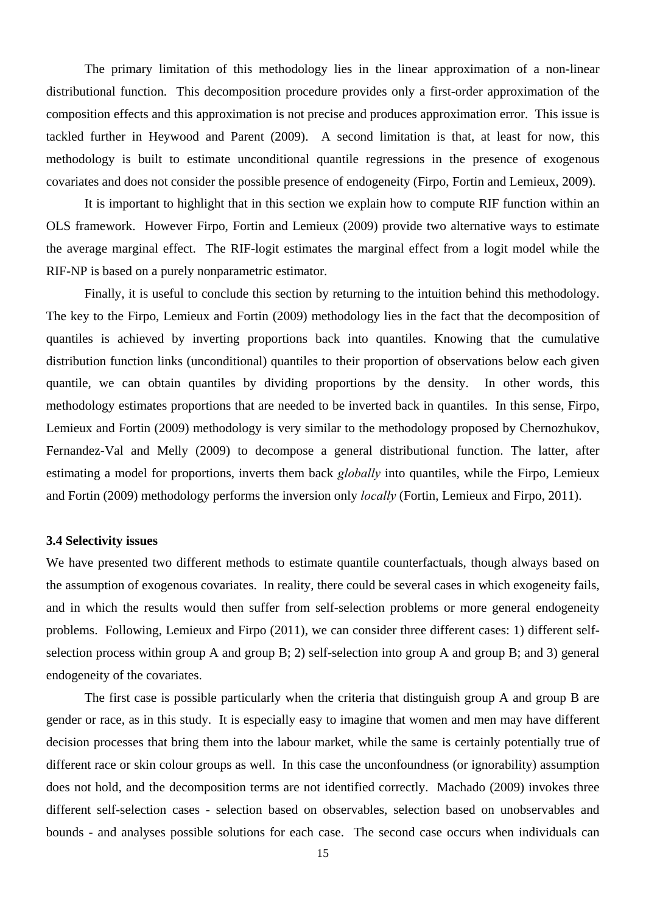The primary limitation of this methodology lies in the linear approximation of a non-linear distributional function. This decomposition procedure provides only a first-order approximation of the composition effects and this approximation is not precise and produces approximation error. This issue is tackled further in Heywood and Parent (2009). A second limitation is that, at least for now, this methodology is built to estimate unconditional quantile regressions in the presence of exogenous covariates and does not consider the possible presence of endogeneity (Firpo, Fortin and Lemieux, 2009).

It is important to highlight that in this section we explain how to compute RIF function within an OLS framework. However Firpo, Fortin and Lemieux (2009) provide two alternative ways to estimate the average marginal effect. The RIF-logit estimates the marginal effect from a logit model while the RIF-NP is based on a purely nonparametric estimator.

Finally, it is useful to conclude this section by returning to the intuition behind this methodology. The key to the Firpo, Lemieux and Fortin (2009) methodology lies in the fact that the decomposition of quantiles is achieved by inverting proportions back into quantiles. Knowing that the cumulative distribution function links (unconditional) quantiles to their proportion of observations below each given quantile, we can obtain quantiles by dividing proportions by the density. In other words, this methodology estimates proportions that are needed to be inverted back in quantiles. In this sense, Firpo, Lemieux and Fortin (2009) methodology is very similar to the methodology proposed by Chernozhukov, Fernandez-Val and Melly (2009) to decompose a general distributional function. The latter, after estimating a model for proportions, inverts them back *globally* into quantiles, while the Firpo, Lemieux and Fortin (2009) methodology performs the inversion only *locally* (Fortin, Lemieux and Firpo, 2011).

#### **3.4 Selectivity issues**

We have presented two different methods to estimate quantile counterfactuals, though always based on the assumption of exogenous covariates. In reality, there could be several cases in which exogeneity fails, and in which the results would then suffer from self-selection problems or more general endogeneity problems. Following, Lemieux and Firpo (2011), we can consider three different cases: 1) different selfselection process within group A and group B; 2) self-selection into group A and group B; and 3) general endogeneity of the covariates.

The first case is possible particularly when the criteria that distinguish group A and group B are gender or race, as in this study. It is especially easy to imagine that women and men may have different decision processes that bring them into the labour market, while the same is certainly potentially true of different race or skin colour groups as well. In this case the unconfoundness (or ignorability) assumption does not hold, and the decomposition terms are not identified correctly. Machado (2009) invokes three different self-selection cases - selection based on observables, selection based on unobservables and bounds - and analyses possible solutions for each case. The second case occurs when individuals can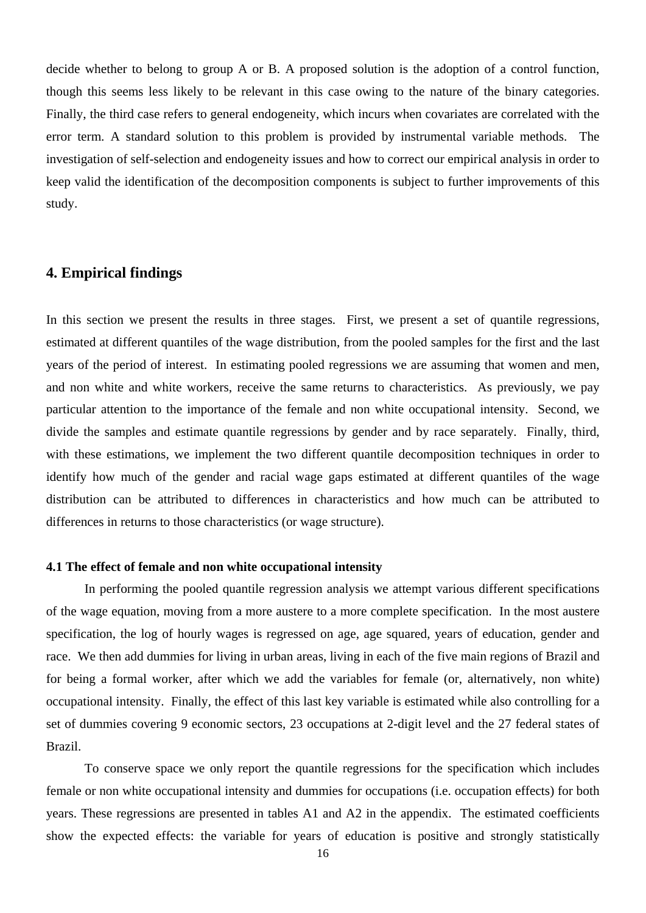decide whether to belong to group A or B. A proposed solution is the adoption of a control function, though this seems less likely to be relevant in this case owing to the nature of the binary categories. Finally, the third case refers to general endogeneity, which incurs when covariates are correlated with the error term. A standard solution to this problem is provided by instrumental variable methods. The investigation of self-selection and endogeneity issues and how to correct our empirical analysis in order to keep valid the identification of the decomposition components is subject to further improvements of this study.

# **4. Empirical findings**

In this section we present the results in three stages. First, we present a set of quantile regressions, estimated at different quantiles of the wage distribution, from the pooled samples for the first and the last years of the period of interest. In estimating pooled regressions we are assuming that women and men, and non white and white workers, receive the same returns to characteristics. As previously, we pay particular attention to the importance of the female and non white occupational intensity. Second, we divide the samples and estimate quantile regressions by gender and by race separately. Finally, third, with these estimations, we implement the two different quantile decomposition techniques in order to identify how much of the gender and racial wage gaps estimated at different quantiles of the wage distribution can be attributed to differences in characteristics and how much can be attributed to differences in returns to those characteristics (or wage structure).

#### **4.1 The effect of female and non white occupational intensity**

In performing the pooled quantile regression analysis we attempt various different specifications of the wage equation, moving from a more austere to a more complete specification. In the most austere specification, the log of hourly wages is regressed on age, age squared, years of education, gender and race. We then add dummies for living in urban areas, living in each of the five main regions of Brazil and for being a formal worker, after which we add the variables for female (or, alternatively, non white) occupational intensity. Finally, the effect of this last key variable is estimated while also controlling for a set of dummies covering 9 economic sectors, 23 occupations at 2-digit level and the 27 federal states of Brazil.

To conserve space we only report the quantile regressions for the specification which includes female or non white occupational intensity and dummies for occupations (i.e. occupation effects) for both years. These regressions are presented in tables A1 and A2 in the appendix. The estimated coefficients show the expected effects: the variable for years of education is positive and strongly statistically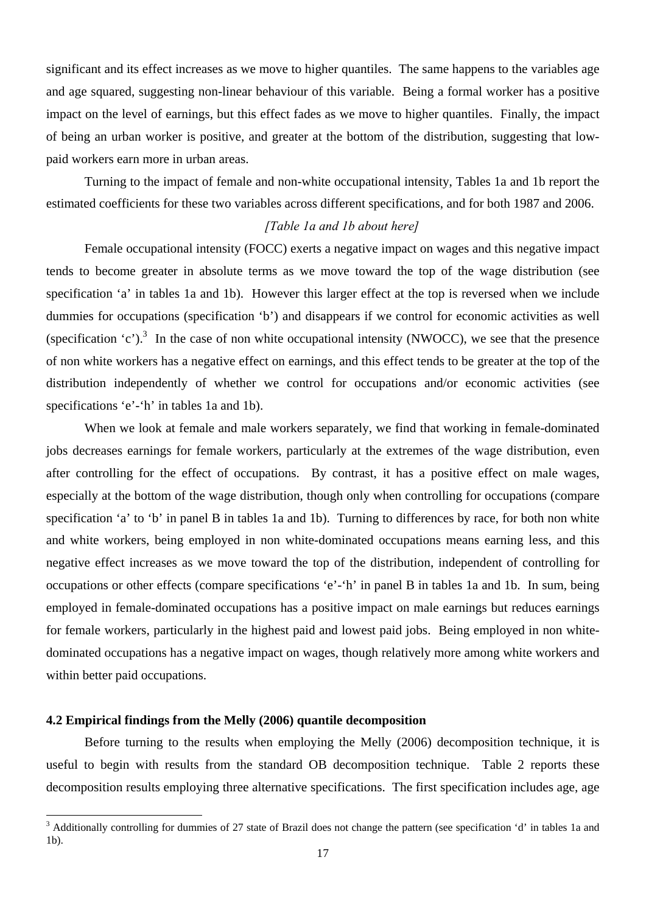significant and its effect increases as we move to higher quantiles. The same happens to the variables age and age squared, suggesting non-linear behaviour of this variable. Being a formal worker has a positive impact on the level of earnings, but this effect fades as we move to higher quantiles. Finally, the impact of being an urban worker is positive, and greater at the bottom of the distribution, suggesting that lowpaid workers earn more in urban areas.

Turning to the impact of female and non-white occupational intensity, Tables 1a and 1b report the estimated coefficients for these two variables across different specifications, and for both 1987 and 2006.

#### *[Table 1a and 1b about here]*

Female occupational intensity (FOCC) exerts a negative impact on wages and this negative impact tends to become greater in absolute terms as we move toward the top of the wage distribution (see specification 'a' in tables 1a and 1b). However this larger effect at the top is reversed when we include dummies for occupations (specification 'b') and disappears if we control for economic activities as well (specification  $(c')$ ).<sup>3</sup> In the case of non white occupational intensity (NWOCC), we see that the presence of non white workers has a negative effect on earnings, and this effect tends to be greater at the top of the distribution independently of whether we control for occupations and/or economic activities (see specifications 'e'-'h' in tables 1a and 1b).

When we look at female and male workers separately, we find that working in female-dominated jobs decreases earnings for female workers, particularly at the extremes of the wage distribution, even after controlling for the effect of occupations. By contrast, it has a positive effect on male wages, especially at the bottom of the wage distribution, though only when controlling for occupations (compare specification 'a' to 'b' in panel B in tables 1a and 1b). Turning to differences by race, for both non white and white workers, being employed in non white-dominated occupations means earning less, and this negative effect increases as we move toward the top of the distribution, independent of controlling for occupations or other effects (compare specifications 'e'-'h' in panel B in tables 1a and 1b. In sum, being employed in female-dominated occupations has a positive impact on male earnings but reduces earnings for female workers, particularly in the highest paid and lowest paid jobs. Being employed in non whitedominated occupations has a negative impact on wages, though relatively more among white workers and within better paid occupations.

#### **4.2 Empirical findings from the Melly (2006) quantile decomposition**

Before turning to the results when employing the Melly (2006) decomposition technique, it is useful to begin with results from the standard OB decomposition technique. Table 2 reports these decomposition results employing three alternative specifications. The first specification includes age, age

<sup>&</sup>lt;sup>3</sup> Additionally controlling for dummies of 27 state of Brazil does not change the pattern (see specification 'd' in tables 1a and  $\frac{1}{2}$ 1b).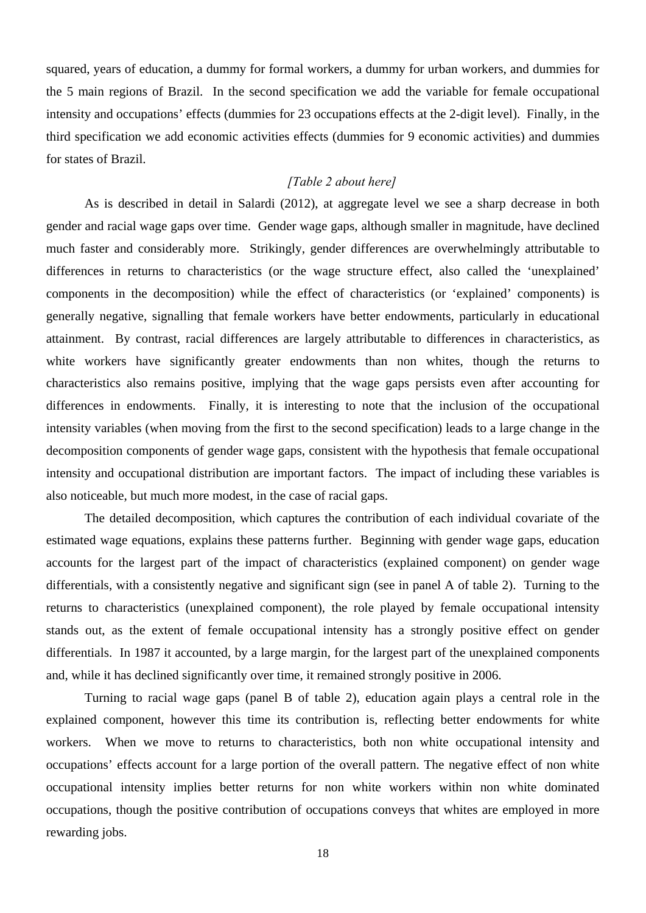squared, years of education, a dummy for formal workers, a dummy for urban workers, and dummies for the 5 main regions of Brazil. In the second specification we add the variable for female occupational intensity and occupations' effects (dummies for 23 occupations effects at the 2-digit level). Finally, in the third specification we add economic activities effects (dummies for 9 economic activities) and dummies for states of Brazil.

## *[Table 2 about here]*

As is described in detail in Salardi (2012), at aggregate level we see a sharp decrease in both gender and racial wage gaps over time. Gender wage gaps, although smaller in magnitude, have declined much faster and considerably more. Strikingly, gender differences are overwhelmingly attributable to differences in returns to characteristics (or the wage structure effect, also called the 'unexplained' components in the decomposition) while the effect of characteristics (or 'explained' components) is generally negative, signalling that female workers have better endowments, particularly in educational attainment. By contrast, racial differences are largely attributable to differences in characteristics, as white workers have significantly greater endowments than non whites, though the returns to characteristics also remains positive, implying that the wage gaps persists even after accounting for differences in endowments. Finally, it is interesting to note that the inclusion of the occupational intensity variables (when moving from the first to the second specification) leads to a large change in the decomposition components of gender wage gaps, consistent with the hypothesis that female occupational intensity and occupational distribution are important factors. The impact of including these variables is also noticeable, but much more modest, in the case of racial gaps.

The detailed decomposition, which captures the contribution of each individual covariate of the estimated wage equations, explains these patterns further. Beginning with gender wage gaps, education accounts for the largest part of the impact of characteristics (explained component) on gender wage differentials, with a consistently negative and significant sign (see in panel A of table 2). Turning to the returns to characteristics (unexplained component), the role played by female occupational intensity stands out, as the extent of female occupational intensity has a strongly positive effect on gender differentials. In 1987 it accounted, by a large margin, for the largest part of the unexplained components and, while it has declined significantly over time, it remained strongly positive in 2006.

Turning to racial wage gaps (panel B of table 2), education again plays a central role in the explained component, however this time its contribution is, reflecting better endowments for white workers. When we move to returns to characteristics, both non white occupational intensity and occupations' effects account for a large portion of the overall pattern. The negative effect of non white occupational intensity implies better returns for non white workers within non white dominated occupations, though the positive contribution of occupations conveys that whites are employed in more rewarding jobs.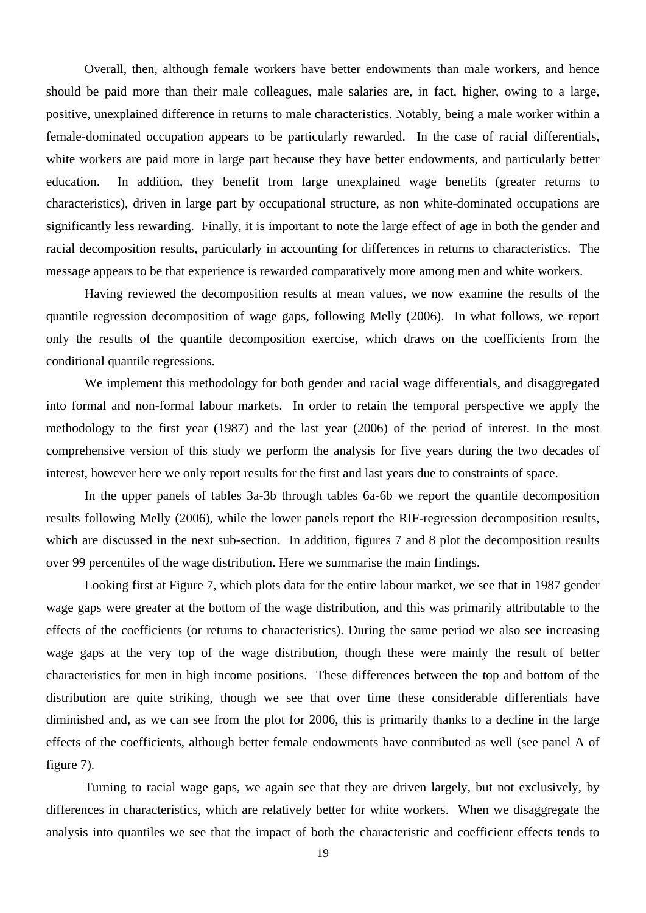Overall, then, although female workers have better endowments than male workers, and hence should be paid more than their male colleagues, male salaries are, in fact, higher, owing to a large, positive, unexplained difference in returns to male characteristics. Notably, being a male worker within a female-dominated occupation appears to be particularly rewarded. In the case of racial differentials, white workers are paid more in large part because they have better endowments, and particularly better education. In addition, they benefit from large unexplained wage benefits (greater returns to characteristics), driven in large part by occupational structure, as non white-dominated occupations are significantly less rewarding. Finally, it is important to note the large effect of age in both the gender and racial decomposition results, particularly in accounting for differences in returns to characteristics. The message appears to be that experience is rewarded comparatively more among men and white workers.

Having reviewed the decomposition results at mean values, we now examine the results of the quantile regression decomposition of wage gaps, following Melly (2006). In what follows, we report only the results of the quantile decomposition exercise, which draws on the coefficients from the conditional quantile regressions.

We implement this methodology for both gender and racial wage differentials, and disaggregated into formal and non-formal labour markets. In order to retain the temporal perspective we apply the methodology to the first year (1987) and the last year (2006) of the period of interest. In the most comprehensive version of this study we perform the analysis for five years during the two decades of interest, however here we only report results for the first and last years due to constraints of space.

In the upper panels of tables 3a-3b through tables 6a-6b we report the quantile decomposition results following Melly (2006), while the lower panels report the RIF-regression decomposition results, which are discussed in the next sub-section. In addition, figures 7 and 8 plot the decomposition results over 99 percentiles of the wage distribution. Here we summarise the main findings.

Looking first at Figure 7, which plots data for the entire labour market, we see that in 1987 gender wage gaps were greater at the bottom of the wage distribution, and this was primarily attributable to the effects of the coefficients (or returns to characteristics). During the same period we also see increasing wage gaps at the very top of the wage distribution, though these were mainly the result of better characteristics for men in high income positions. These differences between the top and bottom of the distribution are quite striking, though we see that over time these considerable differentials have diminished and, as we can see from the plot for 2006, this is primarily thanks to a decline in the large effects of the coefficients, although better female endowments have contributed as well (see panel A of figure 7).

 Turning to racial wage gaps, we again see that they are driven largely, but not exclusively, by differences in characteristics, which are relatively better for white workers. When we disaggregate the analysis into quantiles we see that the impact of both the characteristic and coefficient effects tends to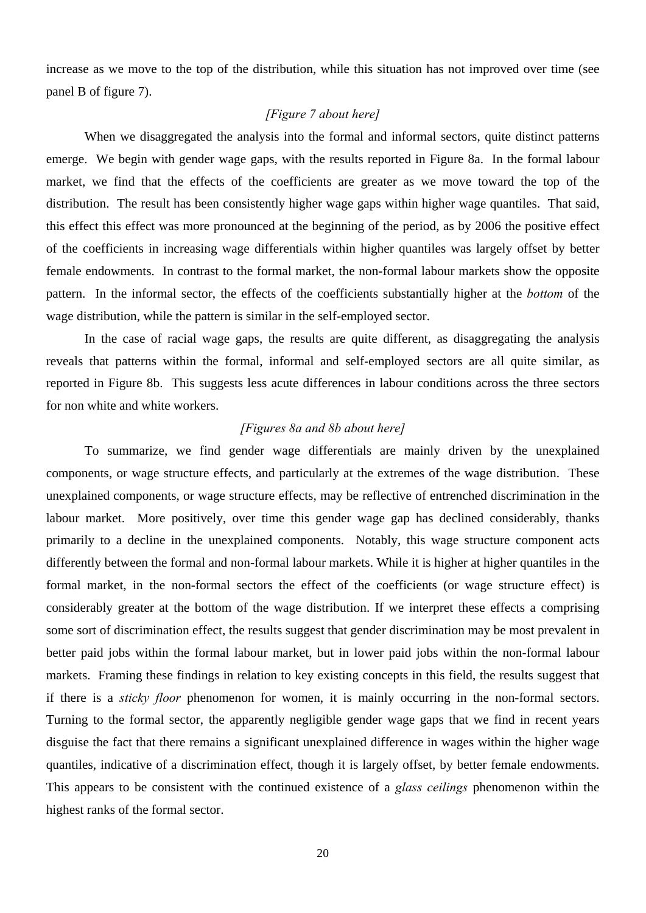increase as we move to the top of the distribution, while this situation has not improved over time (see panel B of figure 7).

# *[Figure 7 about here]*

 When we disaggregated the analysis into the formal and informal sectors, quite distinct patterns emerge. We begin with gender wage gaps, with the results reported in Figure 8a. In the formal labour market, we find that the effects of the coefficients are greater as we move toward the top of the distribution. The result has been consistently higher wage gaps within higher wage quantiles. That said, this effect this effect was more pronounced at the beginning of the period, as by 2006 the positive effect of the coefficients in increasing wage differentials within higher quantiles was largely offset by better female endowments. In contrast to the formal market, the non-formal labour markets show the opposite pattern. In the informal sector, the effects of the coefficients substantially higher at the *bottom* of the wage distribution, while the pattern is similar in the self-employed sector.

In the case of racial wage gaps, the results are quite different, as disaggregating the analysis reveals that patterns within the formal, informal and self-employed sectors are all quite similar, as reported in Figure 8b. This suggests less acute differences in labour conditions across the three sectors for non white and white workers.

#### *[Figures 8a and 8b about here]*

To summarize, we find gender wage differentials are mainly driven by the unexplained components, or wage structure effects, and particularly at the extremes of the wage distribution. These unexplained components, or wage structure effects, may be reflective of entrenched discrimination in the labour market. More positively, over time this gender wage gap has declined considerably, thanks primarily to a decline in the unexplained components. Notably, this wage structure component acts differently between the formal and non-formal labour markets. While it is higher at higher quantiles in the formal market, in the non-formal sectors the effect of the coefficients (or wage structure effect) is considerably greater at the bottom of the wage distribution. If we interpret these effects a comprising some sort of discrimination effect, the results suggest that gender discrimination may be most prevalent in better paid jobs within the formal labour market, but in lower paid jobs within the non-formal labour markets. Framing these findings in relation to key existing concepts in this field, the results suggest that if there is a *sticky floor* phenomenon for women, it is mainly occurring in the non-formal sectors. Turning to the formal sector, the apparently negligible gender wage gaps that we find in recent years disguise the fact that there remains a significant unexplained difference in wages within the higher wage quantiles, indicative of a discrimination effect, though it is largely offset, by better female endowments. This appears to be consistent with the continued existence of a *glass ceilings* phenomenon within the highest ranks of the formal sector.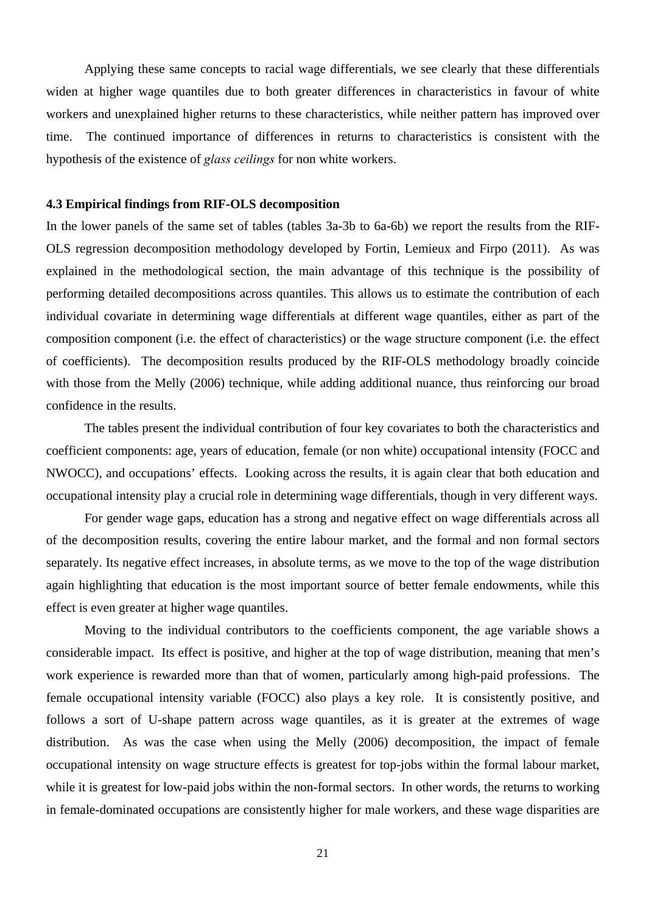Applying these same concepts to racial wage differentials, we see clearly that these differentials widen at higher wage quantiles due to both greater differences in characteristics in favour of white workers and unexplained higher returns to these characteristics, while neither pattern has improved over time. The continued importance of differences in returns to characteristics is consistent with the hypothesis of the existence of *glass ceilings* for non white workers.

#### **4.3 Empirical findings from RIF-OLS decomposition**

In the lower panels of the same set of tables (tables 3a-3b to 6a-6b) we report the results from the RIF-OLS regression decomposition methodology developed by Fortin, Lemieux and Firpo (2011). As was explained in the methodological section, the main advantage of this technique is the possibility of performing detailed decompositions across quantiles. This allows us to estimate the contribution of each individual covariate in determining wage differentials at different wage quantiles, either as part of the composition component (i.e. the effect of characteristics) or the wage structure component (i.e. the effect of coefficients). The decomposition results produced by the RIF-OLS methodology broadly coincide with those from the Melly (2006) technique, while adding additional nuance, thus reinforcing our broad confidence in the results.

 The tables present the individual contribution of four key covariates to both the characteristics and coefficient components: age, years of education, female (or non white) occupational intensity (FOCC and NWOCC), and occupations' effects. Looking across the results, it is again clear that both education and occupational intensity play a crucial role in determining wage differentials, though in very different ways.

For gender wage gaps, education has a strong and negative effect on wage differentials across all of the decomposition results, covering the entire labour market, and the formal and non formal sectors separately. Its negative effect increases, in absolute terms, as we move to the top of the wage distribution again highlighting that education is the most important source of better female endowments, while this effect is even greater at higher wage quantiles.

Moving to the individual contributors to the coefficients component, the age variable shows a considerable impact. Its effect is positive, and higher at the top of wage distribution, meaning that men's work experience is rewarded more than that of women, particularly among high-paid professions. The female occupational intensity variable (FOCC) also plays a key role. It is consistently positive, and follows a sort of U-shape pattern across wage quantiles, as it is greater at the extremes of wage distribution. As was the case when using the Melly (2006) decomposition, the impact of female occupational intensity on wage structure effects is greatest for top-jobs within the formal labour market, while it is greatest for low-paid jobs within the non-formal sectors. In other words, the returns to working in female-dominated occupations are consistently higher for male workers, and these wage disparities are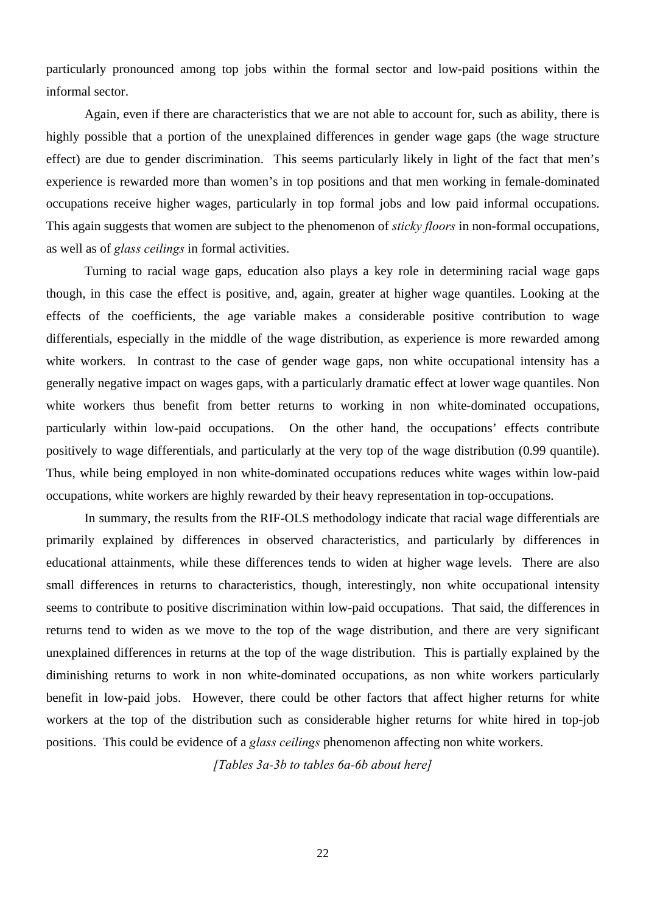particularly pronounced among top jobs within the formal sector and low-paid positions within the informal sector.

Again, even if there are characteristics that we are not able to account for, such as ability, there is highly possible that a portion of the unexplained differences in gender wage gaps (the wage structure effect) are due to gender discrimination. This seems particularly likely in light of the fact that men's experience is rewarded more than women's in top positions and that men working in female-dominated occupations receive higher wages, particularly in top formal jobs and low paid informal occupations. This again suggests that women are subject to the phenomenon of *sticky floors* in non-formal occupations, as well as of *glass ceilings* in formal activities.

Turning to racial wage gaps, education also plays a key role in determining racial wage gaps though, in this case the effect is positive, and, again, greater at higher wage quantiles. Looking at the effects of the coefficients, the age variable makes a considerable positive contribution to wage differentials, especially in the middle of the wage distribution, as experience is more rewarded among white workers. In contrast to the case of gender wage gaps, non white occupational intensity has a generally negative impact on wages gaps, with a particularly dramatic effect at lower wage quantiles. Non white workers thus benefit from better returns to working in non white-dominated occupations, particularly within low-paid occupations. On the other hand, the occupations' effects contribute positively to wage differentials, and particularly at the very top of the wage distribution (0.99 quantile). Thus, while being employed in non white-dominated occupations reduces white wages within low-paid occupations, white workers are highly rewarded by their heavy representation in top-occupations.

In summary, the results from the RIF-OLS methodology indicate that racial wage differentials are primarily explained by differences in observed characteristics, and particularly by differences in educational attainments, while these differences tends to widen at higher wage levels. There are also small differences in returns to characteristics, though, interestingly, non white occupational intensity seems to contribute to positive discrimination within low-paid occupations. That said, the differences in returns tend to widen as we move to the top of the wage distribution, and there are very significant unexplained differences in returns at the top of the wage distribution. This is partially explained by the diminishing returns to work in non white-dominated occupations, as non white workers particularly benefit in low-paid jobs. However, there could be other factors that affect higher returns for white workers at the top of the distribution such as considerable higher returns for white hired in top-job positions. This could be evidence of a *glass ceilings* phenomenon affecting non white workers.

*[Tables 3a-3b to tables 6a-6b about here]*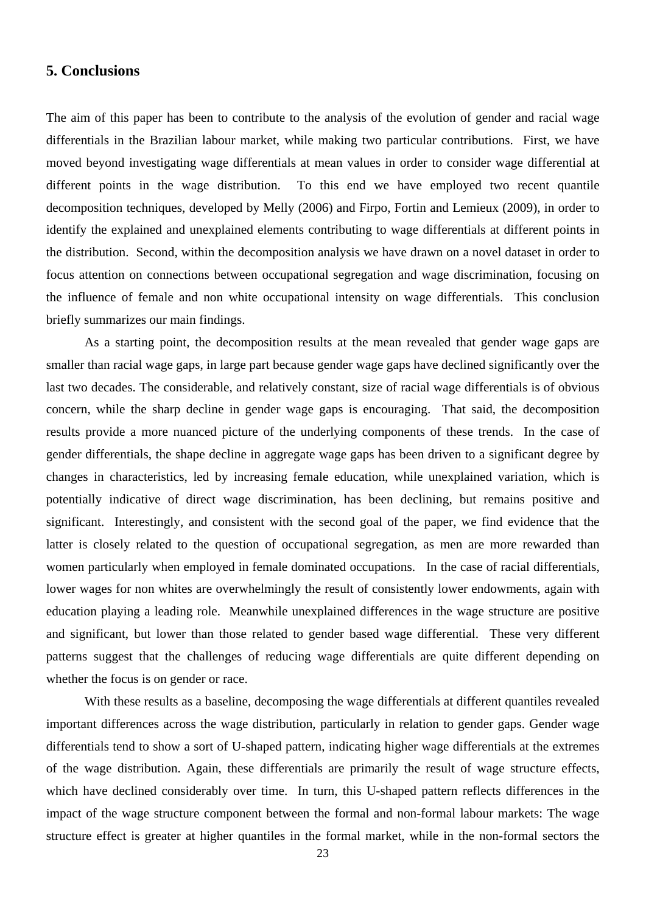# **5. Conclusions**

The aim of this paper has been to contribute to the analysis of the evolution of gender and racial wage differentials in the Brazilian labour market, while making two particular contributions. First, we have moved beyond investigating wage differentials at mean values in order to consider wage differential at different points in the wage distribution. To this end we have employed two recent quantile decomposition techniques, developed by Melly (2006) and Firpo, Fortin and Lemieux (2009), in order to identify the explained and unexplained elements contributing to wage differentials at different points in the distribution. Second, within the decomposition analysis we have drawn on a novel dataset in order to focus attention on connections between occupational segregation and wage discrimination, focusing on the influence of female and non white occupational intensity on wage differentials. This conclusion briefly summarizes our main findings.

As a starting point, the decomposition results at the mean revealed that gender wage gaps are smaller than racial wage gaps, in large part because gender wage gaps have declined significantly over the last two decades. The considerable, and relatively constant, size of racial wage differentials is of obvious concern, while the sharp decline in gender wage gaps is encouraging. That said, the decomposition results provide a more nuanced picture of the underlying components of these trends. In the case of gender differentials, the shape decline in aggregate wage gaps has been driven to a significant degree by changes in characteristics, led by increasing female education, while unexplained variation, which is potentially indicative of direct wage discrimination, has been declining, but remains positive and significant. Interestingly, and consistent with the second goal of the paper, we find evidence that the latter is closely related to the question of occupational segregation, as men are more rewarded than women particularly when employed in female dominated occupations. In the case of racial differentials, lower wages for non whites are overwhelmingly the result of consistently lower endowments, again with education playing a leading role. Meanwhile unexplained differences in the wage structure are positive and significant, but lower than those related to gender based wage differential. These very different patterns suggest that the challenges of reducing wage differentials are quite different depending on whether the focus is on gender or race.

With these results as a baseline, decomposing the wage differentials at different quantiles revealed important differences across the wage distribution, particularly in relation to gender gaps. Gender wage differentials tend to show a sort of U-shaped pattern, indicating higher wage differentials at the extremes of the wage distribution. Again, these differentials are primarily the result of wage structure effects, which have declined considerably over time. In turn, this U-shaped pattern reflects differences in the impact of the wage structure component between the formal and non-formal labour markets: The wage structure effect is greater at higher quantiles in the formal market, while in the non-formal sectors the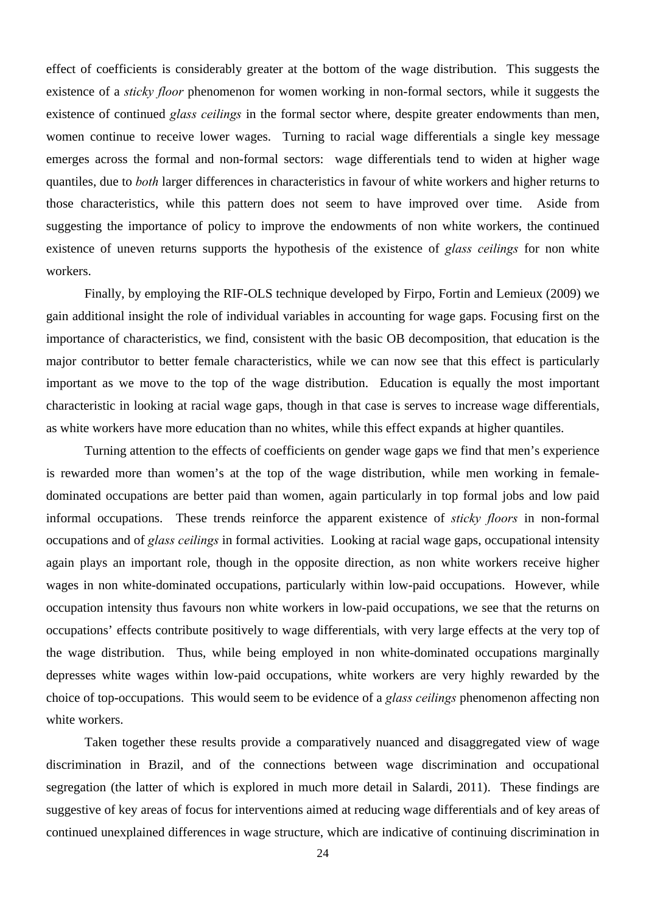effect of coefficients is considerably greater at the bottom of the wage distribution. This suggests the existence of a *sticky floor* phenomenon for women working in non-formal sectors, while it suggests the existence of continued *glass ceilings* in the formal sector where, despite greater endowments than men, women continue to receive lower wages. Turning to racial wage differentials a single key message emerges across the formal and non-formal sectors: wage differentials tend to widen at higher wage quantiles, due to *both* larger differences in characteristics in favour of white workers and higher returns to those characteristics, while this pattern does not seem to have improved over time. Aside from suggesting the importance of policy to improve the endowments of non white workers, the continued existence of uneven returns supports the hypothesis of the existence of *glass ceilings* for non white workers.

Finally, by employing the RIF-OLS technique developed by Firpo, Fortin and Lemieux (2009) we gain additional insight the role of individual variables in accounting for wage gaps. Focusing first on the importance of characteristics, we find, consistent with the basic OB decomposition, that education is the major contributor to better female characteristics, while we can now see that this effect is particularly important as we move to the top of the wage distribution. Education is equally the most important characteristic in looking at racial wage gaps, though in that case is serves to increase wage differentials, as white workers have more education than no whites, while this effect expands at higher quantiles.

Turning attention to the effects of coefficients on gender wage gaps we find that men's experience is rewarded more than women's at the top of the wage distribution, while men working in femaledominated occupations are better paid than women, again particularly in top formal jobs and low paid informal occupations. These trends reinforce the apparent existence of *sticky floors* in non-formal occupations and of *glass ceilings* in formal activities. Looking at racial wage gaps, occupational intensity again plays an important role, though in the opposite direction, as non white workers receive higher wages in non white-dominated occupations, particularly within low-paid occupations. However, while occupation intensity thus favours non white workers in low-paid occupations, we see that the returns on occupations' effects contribute positively to wage differentials, with very large effects at the very top of the wage distribution. Thus, while being employed in non white-dominated occupations marginally depresses white wages within low-paid occupations, white workers are very highly rewarded by the choice of top-occupations. This would seem to be evidence of a *glass ceilings* phenomenon affecting non white workers.

Taken together these results provide a comparatively nuanced and disaggregated view of wage discrimination in Brazil, and of the connections between wage discrimination and occupational segregation (the latter of which is explored in much more detail in Salardi, 2011). These findings are suggestive of key areas of focus for interventions aimed at reducing wage differentials and of key areas of continued unexplained differences in wage structure, which are indicative of continuing discrimination in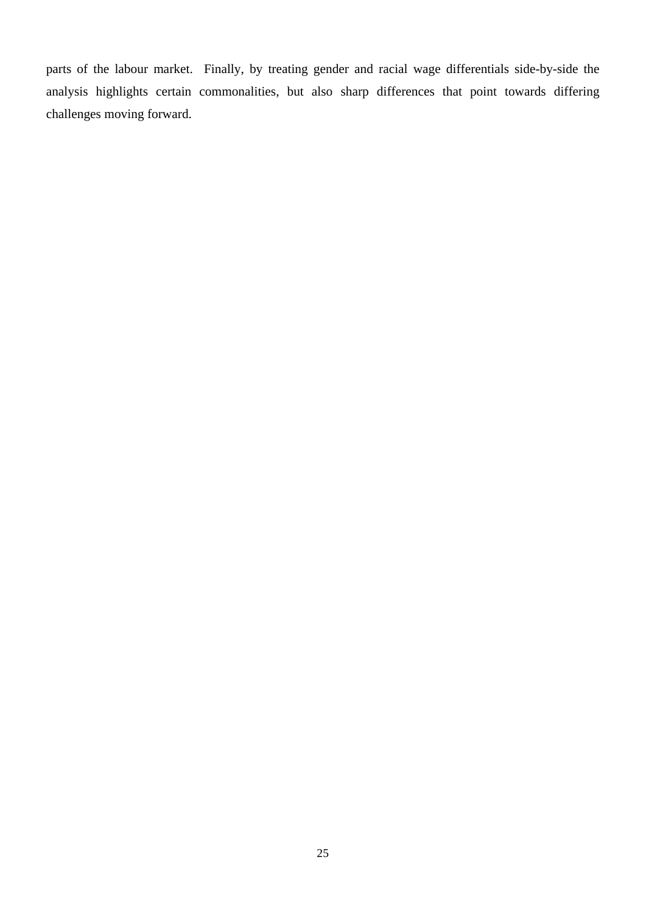parts of the labour market. Finally, by treating gender and racial wage differentials side-by-side the analysis highlights certain commonalities, but also sharp differences that point towards differing challenges moving forward.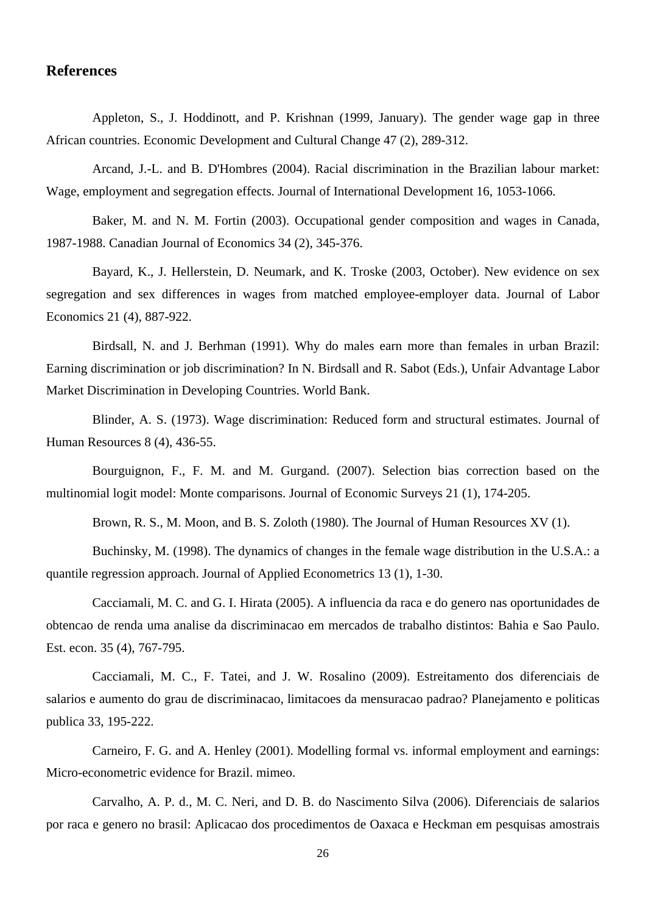# **References**

Appleton, S., J. Hoddinott, and P. Krishnan (1999, January). The gender wage gap in three African countries. Economic Development and Cultural Change 47 (2), 289-312.

Arcand, J.-L. and B. D'Hombres (2004). Racial discrimination in the Brazilian labour market: Wage, employment and segregation effects. Journal of International Development 16, 1053-1066.

Baker, M. and N. M. Fortin (2003). Occupational gender composition and wages in Canada, 1987-1988. Canadian Journal of Economics 34 (2), 345-376.

Bayard, K., J. Hellerstein, D. Neumark, and K. Troske (2003, October). New evidence on sex segregation and sex differences in wages from matched employee-employer data. Journal of Labor Economics 21 (4), 887-922.

Birdsall, N. and J. Berhman (1991). Why do males earn more than females in urban Brazil: Earning discrimination or job discrimination? In N. Birdsall and R. Sabot (Eds.), Unfair Advantage Labor Market Discrimination in Developing Countries. World Bank.

Blinder, A. S. (1973). Wage discrimination: Reduced form and structural estimates. Journal of Human Resources 8 (4), 436-55.

Bourguignon, F., F. M. and M. Gurgand. (2007). Selection bias correction based on the multinomial logit model: Monte comparisons. Journal of Economic Surveys 21 (1), 174-205.

Brown, R. S., M. Moon, and B. S. Zoloth (1980). The Journal of Human Resources XV (1).

Buchinsky, M. (1998). The dynamics of changes in the female wage distribution in the U.S.A.: a quantile regression approach. Journal of Applied Econometrics 13 (1), 1-30.

Cacciamali, M. C. and G. I. Hirata (2005). A influencia da raca e do genero nas oportunidades de obtencao de renda uma analise da discriminacao em mercados de trabalho distintos: Bahia e Sao Paulo. Est. econ. 35 (4), 767-795.

Cacciamali, M. C., F. Tatei, and J. W. Rosalino (2009). Estreitamento dos diferenciais de salarios e aumento do grau de discriminacao, limitacoes da mensuracao padrao? Planejamento e politicas publica 33, 195-222.

Carneiro, F. G. and A. Henley (2001). Modelling formal vs. informal employment and earnings: Micro-econometric evidence for Brazil. mimeo.

Carvalho, A. P. d., M. C. Neri, and D. B. do Nascimento Silva (2006). Diferenciais de salarios por raca e genero no brasil: Aplicacao dos procedimentos de Oaxaca e Heckman em pesquisas amostrais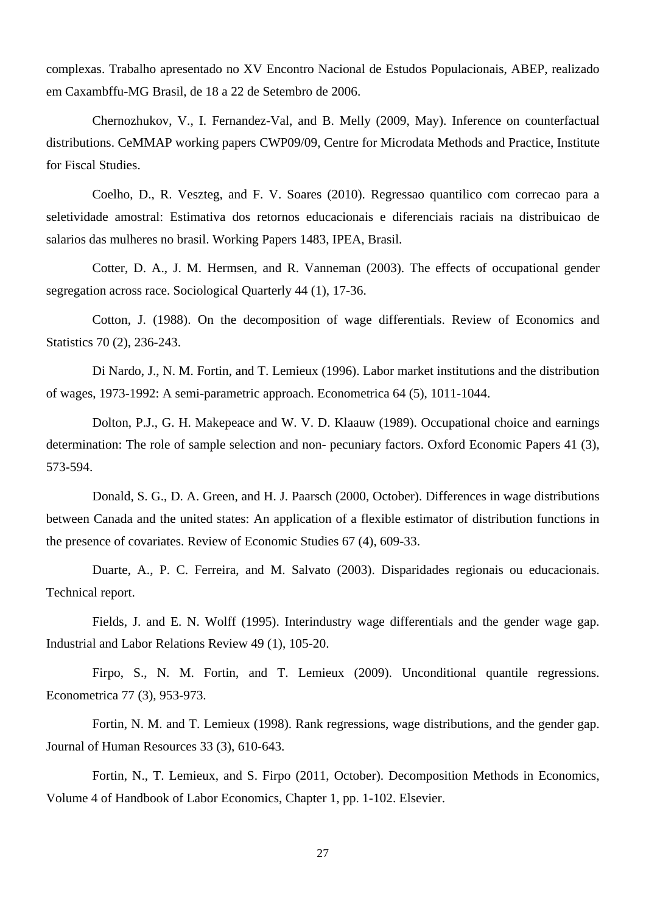complexas. Trabalho apresentado no XV Encontro Nacional de Estudos Populacionais, ABEP, realizado em Caxambffu-MG Brasil, de 18 a 22 de Setembro de 2006.

Chernozhukov, V., I. Fernandez-Val, and B. Melly (2009, May). Inference on counterfactual distributions. CeMMAP working papers CWP09/09, Centre for Microdata Methods and Practice, Institute for Fiscal Studies.

Coelho, D., R. Veszteg, and F. V. Soares (2010). Regressao quantilico com correcao para a seletividade amostral: Estimativa dos retornos educacionais e diferenciais raciais na distribuicao de salarios das mulheres no brasil. Working Papers 1483, IPEA, Brasil.

Cotter, D. A., J. M. Hermsen, and R. Vanneman (2003). The effects of occupational gender segregation across race. Sociological Quarterly 44 (1), 17-36.

Cotton, J. (1988). On the decomposition of wage differentials. Review of Economics and Statistics 70 (2), 236-243.

Di Nardo, J., N. M. Fortin, and T. Lemieux (1996). Labor market institutions and the distribution of wages, 1973-1992: A semi-parametric approach. Econometrica 64 (5), 1011-1044.

Dolton, P.J., G. H. Makepeace and W. V. D. Klaauw (1989). Occupational choice and earnings determination: The role of sample selection and non- pecuniary factors. Oxford Economic Papers 41 (3), 573-594.

Donald, S. G., D. A. Green, and H. J. Paarsch (2000, October). Differences in wage distributions between Canada and the united states: An application of a flexible estimator of distribution functions in the presence of covariates. Review of Economic Studies 67 (4), 609-33.

Duarte, A., P. C. Ferreira, and M. Salvato (2003). Disparidades regionais ou educacionais. Technical report.

Fields, J. and E. N. Wolff (1995). Interindustry wage differentials and the gender wage gap. Industrial and Labor Relations Review 49 (1), 105-20.

Firpo, S., N. M. Fortin, and T. Lemieux (2009). Unconditional quantile regressions. Econometrica 77 (3), 953-973.

Fortin, N. M. and T. Lemieux (1998). Rank regressions, wage distributions, and the gender gap. Journal of Human Resources 33 (3), 610-643.

Fortin, N., T. Lemieux, and S. Firpo (2011, October). Decomposition Methods in Economics, Volume 4 of Handbook of Labor Economics, Chapter 1, pp. 1-102. Elsevier.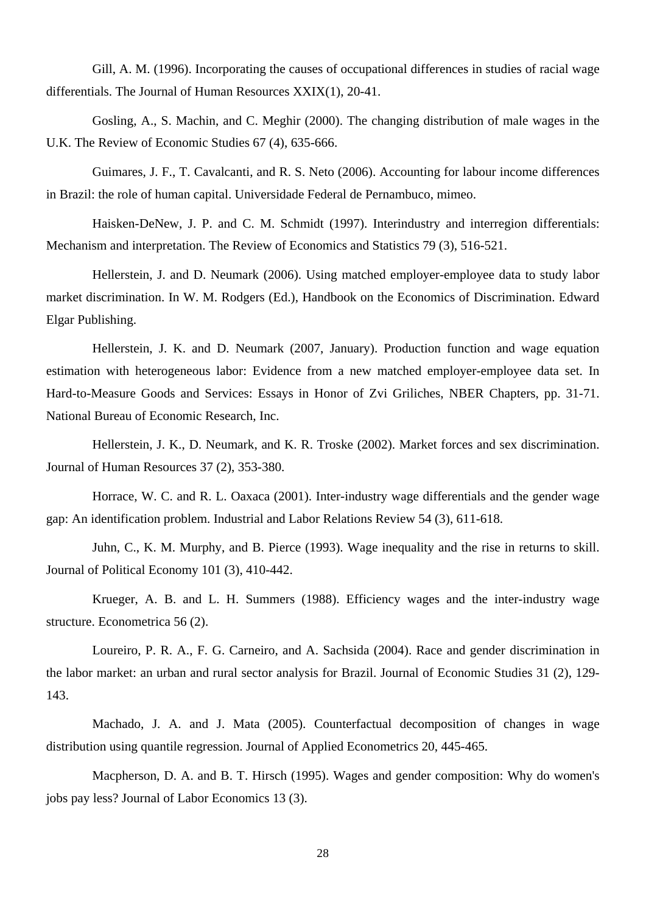Gill, A. M. (1996). Incorporating the causes of occupational differences in studies of racial wage differentials. The Journal of Human Resources XXIX(1), 20-41.

Gosling, A., S. Machin, and C. Meghir (2000). The changing distribution of male wages in the U.K. The Review of Economic Studies 67 (4), 635-666.

Guimares, J. F., T. Cavalcanti, and R. S. Neto (2006). Accounting for labour income differences in Brazil: the role of human capital. Universidade Federal de Pernambuco, mimeo.

Haisken-DeNew, J. P. and C. M. Schmidt (1997). Interindustry and interregion differentials: Mechanism and interpretation. The Review of Economics and Statistics 79 (3), 516-521.

Hellerstein, J. and D. Neumark (2006). Using matched employer-employee data to study labor market discrimination. In W. M. Rodgers (Ed.), Handbook on the Economics of Discrimination. Edward Elgar Publishing.

Hellerstein, J. K. and D. Neumark (2007, January). Production function and wage equation estimation with heterogeneous labor: Evidence from a new matched employer-employee data set. In Hard-to-Measure Goods and Services: Essays in Honor of Zvi Griliches, NBER Chapters, pp. 31-71. National Bureau of Economic Research, Inc.

Hellerstein, J. K., D. Neumark, and K. R. Troske (2002). Market forces and sex discrimination. Journal of Human Resources 37 (2), 353-380.

Horrace, W. C. and R. L. Oaxaca (2001). Inter-industry wage differentials and the gender wage gap: An identification problem. Industrial and Labor Relations Review 54 (3), 611-618.

Juhn, C., K. M. Murphy, and B. Pierce (1993). Wage inequality and the rise in returns to skill. Journal of Political Economy 101 (3), 410-442.

Krueger, A. B. and L. H. Summers (1988). Efficiency wages and the inter-industry wage structure. Econometrica 56 (2).

Loureiro, P. R. A., F. G. Carneiro, and A. Sachsida (2004). Race and gender discrimination in the labor market: an urban and rural sector analysis for Brazil. Journal of Economic Studies 31 (2), 129- 143.

Machado, J. A. and J. Mata (2005). Counterfactual decomposition of changes in wage distribution using quantile regression. Journal of Applied Econometrics 20, 445-465.

Macpherson, D. A. and B. T. Hirsch (1995). Wages and gender composition: Why do women's jobs pay less? Journal of Labor Economics 13 (3).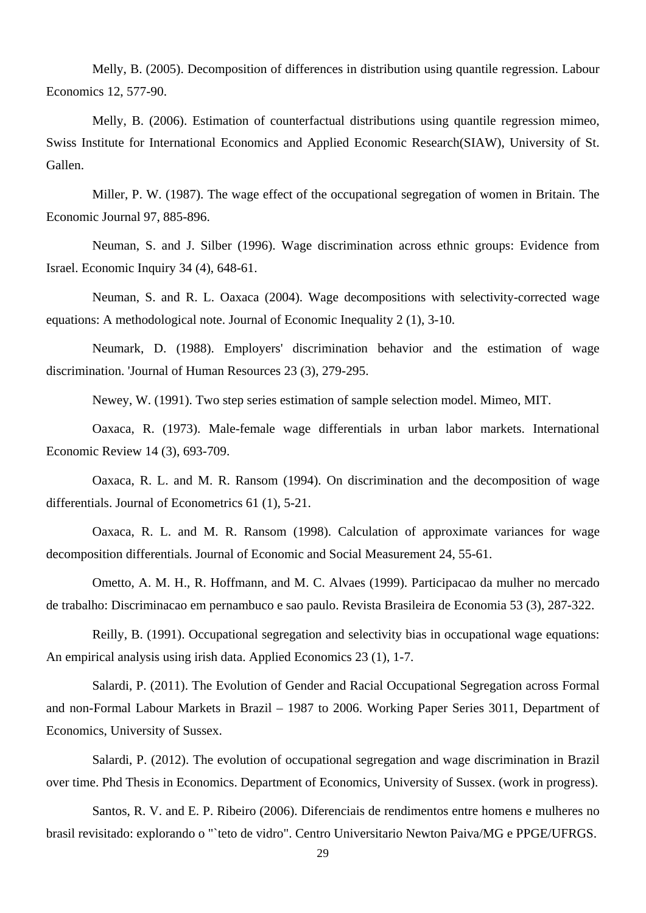Melly, B. (2005). Decomposition of differences in distribution using quantile regression. Labour Economics 12, 577-90.

Melly, B. (2006). Estimation of counterfactual distributions using quantile regression mimeo, Swiss Institute for International Economics and Applied Economic Research(SIAW), University of St. Gallen.

Miller, P. W. (1987). The wage effect of the occupational segregation of women in Britain. The Economic Journal 97, 885-896.

Neuman, S. and J. Silber (1996). Wage discrimination across ethnic groups: Evidence from Israel. Economic Inquiry 34 (4), 648-61.

Neuman, S. and R. L. Oaxaca (2004). Wage decompositions with selectivity-corrected wage equations: A methodological note. Journal of Economic Inequality 2 (1), 3-10.

Neumark, D. (1988). Employers' discrimination behavior and the estimation of wage discrimination. 'Journal of Human Resources 23 (3), 279-295.

Newey, W. (1991). Two step series estimation of sample selection model. Mimeo, MIT.

Oaxaca, R. (1973). Male-female wage differentials in urban labor markets. International Economic Review 14 (3), 693-709.

Oaxaca, R. L. and M. R. Ransom (1994). On discrimination and the decomposition of wage differentials. Journal of Econometrics 61 (1), 5-21.

Oaxaca, R. L. and M. R. Ransom (1998). Calculation of approximate variances for wage decomposition differentials. Journal of Economic and Social Measurement 24, 55-61.

Ometto, A. M. H., R. Hoffmann, and M. C. Alvaes (1999). Participacao da mulher no mercado de trabalho: Discriminacao em pernambuco e sao paulo. Revista Brasileira de Economia 53 (3), 287-322.

Reilly, B. (1991). Occupational segregation and selectivity bias in occupational wage equations: An empirical analysis using irish data. Applied Economics 23 (1), 1-7.

Salardi, P. (2011). The Evolution of Gender and Racial Occupational Segregation across Formal and non-Formal Labour Markets in Brazil – 1987 to 2006. Working Paper Series 3011, Department of Economics, University of Sussex.

Salardi, P. (2012). The evolution of occupational segregation and wage discrimination in Brazil over time. Phd Thesis in Economics. Department of Economics, University of Sussex. (work in progress).

Santos, R. V. and E. P. Ribeiro (2006). Diferenciais de rendimentos entre homens e mulheres no brasil revisitado: explorando o "`teto de vidro". Centro Universitario Newton Paiva/MG e PPGE/UFRGS.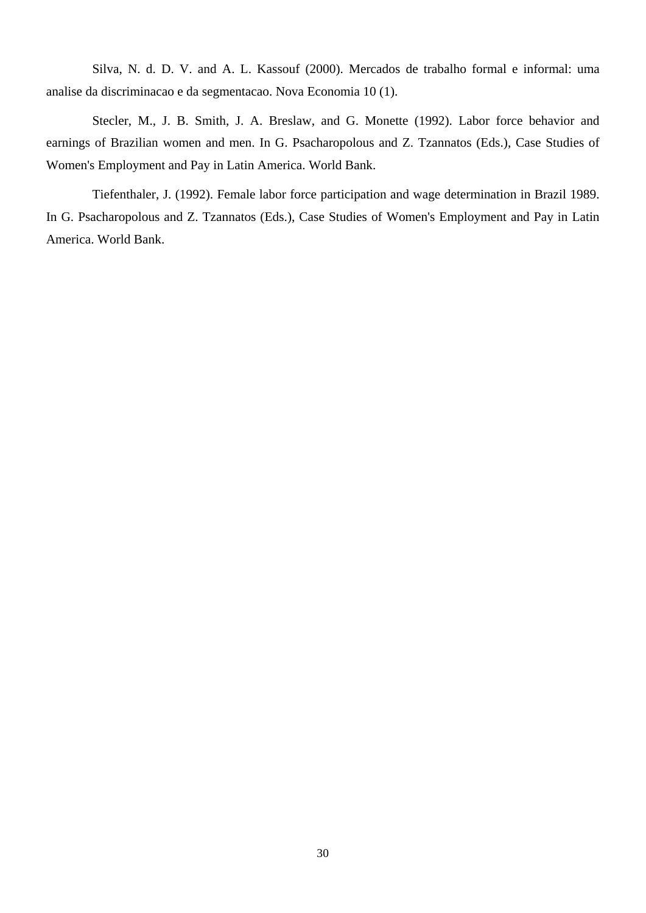Silva, N. d. D. V. and A. L. Kassouf (2000). Mercados de trabalho formal e informal: uma analise da discriminacao e da segmentacao. Nova Economia 10 (1).

Stecler, M., J. B. Smith, J. A. Breslaw, and G. Monette (1992). Labor force behavior and earnings of Brazilian women and men. In G. Psacharopolous and Z. Tzannatos (Eds.), Case Studies of Women's Employment and Pay in Latin America. World Bank.

Tiefenthaler, J. (1992). Female labor force participation and wage determination in Brazil 1989. In G. Psacharopolous and Z. Tzannatos (Eds.), Case Studies of Women's Employment and Pay in Latin America. World Bank.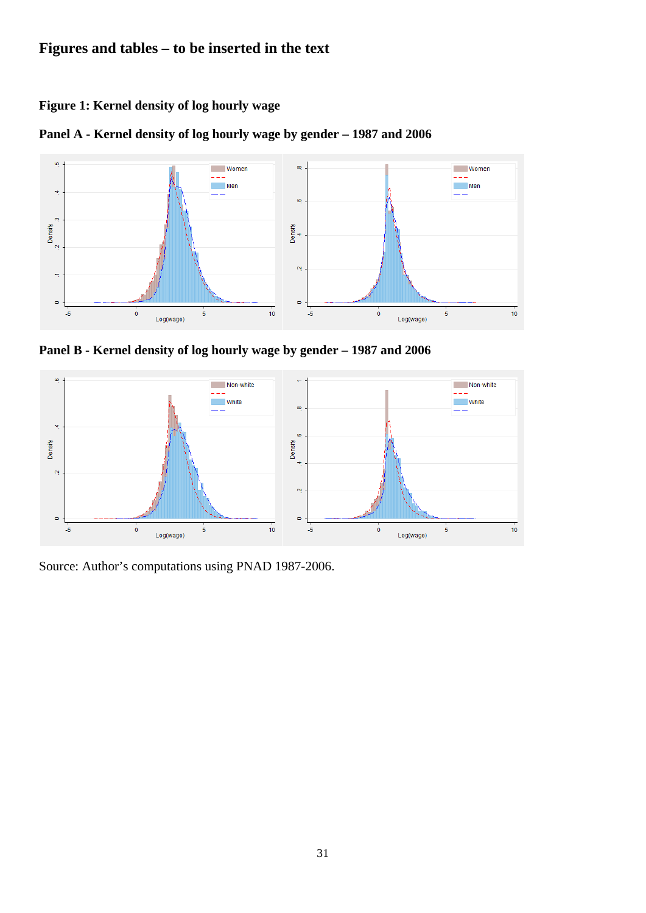# **Figures and tables – to be inserted in the text**

**Figure 1: Kernel density of log hourly wage** 





**Panel B - Kernel density of log hourly wage by gender – 1987 and 2006** 



Source: Author's computations using PNAD 1987-2006.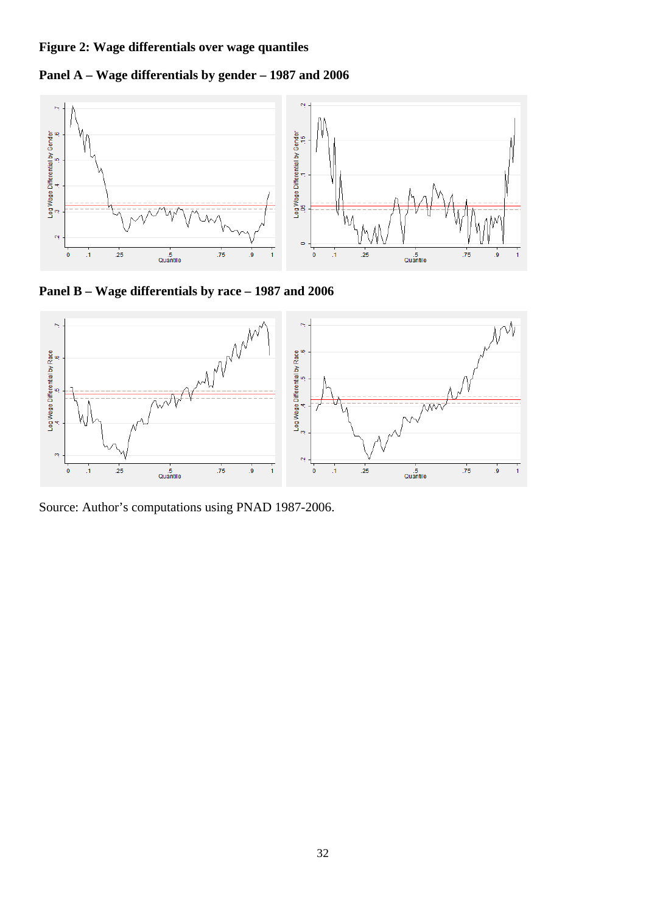# **Figure 2: Wage differentials over wage quantiles**

**Panel A – Wage differentials by gender – 1987 and 2006** 



**Panel B – Wage differentials by race – 1987 and 2006** 



Source: Author's computations using PNAD 1987-2006.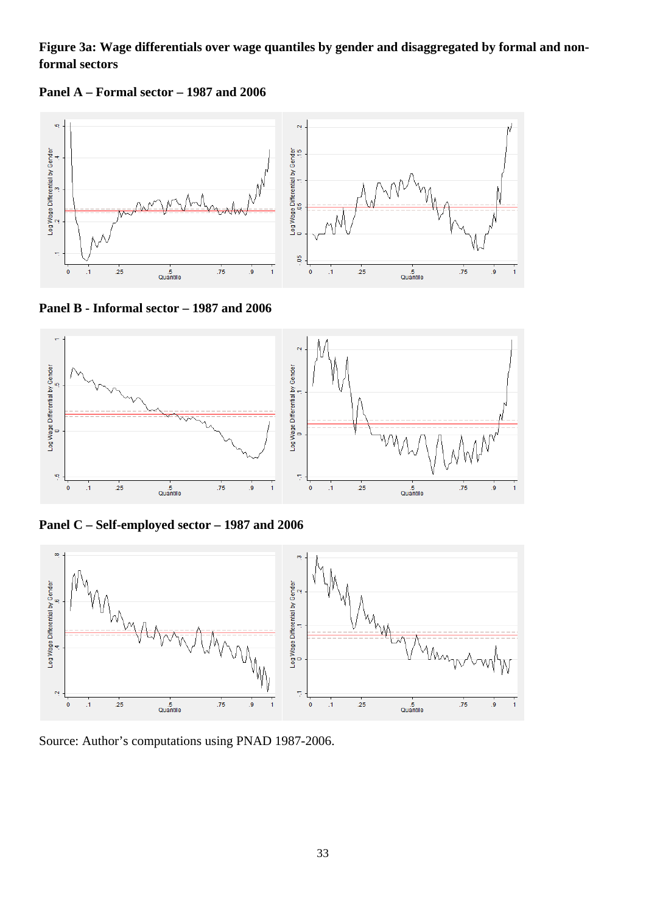# **Figure 3a: Wage differentials over wage quantiles by gender and disaggregated by formal and nonformal sectors**

**Panel A – Formal sector – 1987 and 2006** 



**Panel B - Informal sector – 1987 and 2006** 



**Panel C – Self-employed sector – 1987 and 2006** 



Source: Author's computations using PNAD 1987-2006.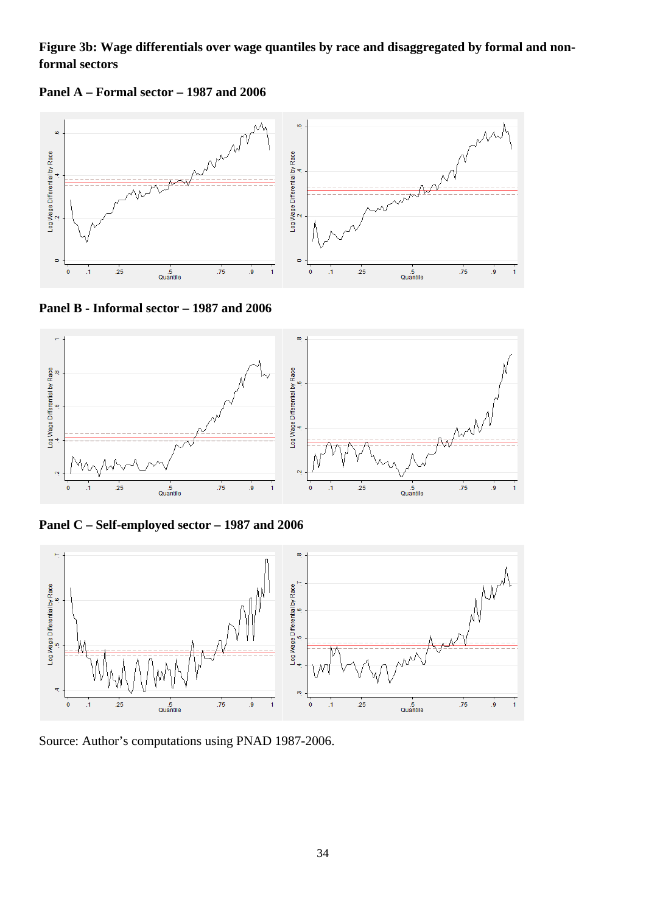# **Figure 3b: Wage differentials over wage quantiles by race and disaggregated by formal and nonformal sectors**





**Panel B - Informal sector – 1987 and 2006** 



**Panel C – Self-employed sector – 1987 and 2006** 



Source: Author's computations using PNAD 1987-2006.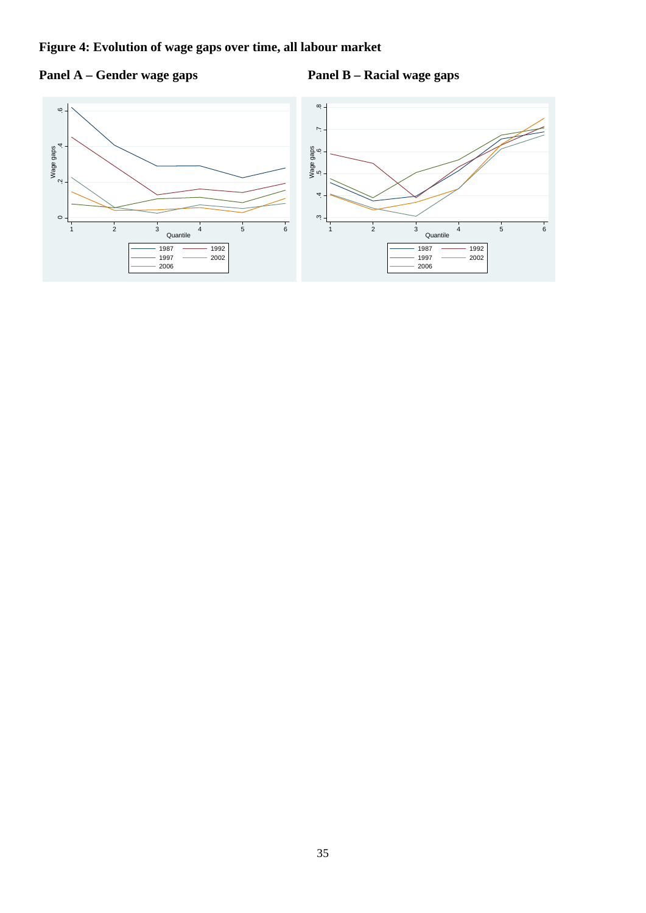# **Figure 4: Evolution of wage gaps over time, all labour market**



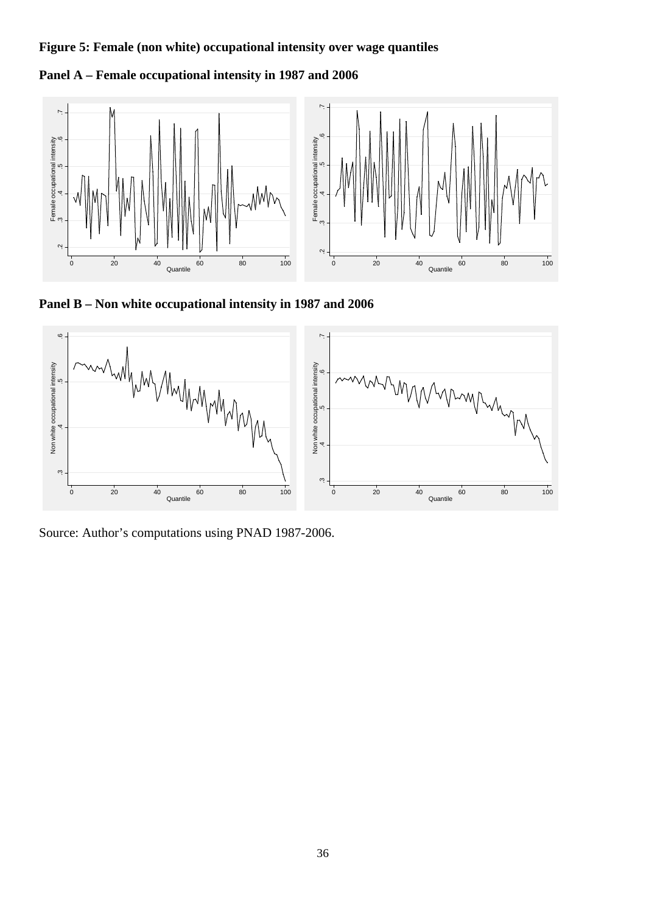# **Figure 5: Female (non white) occupational intensity over wage quantiles**

**Panel A – Female occupational intensity in 1987 and 2006** 



**Panel B – Non white occupational intensity in 1987 and 2006** 



Source: Author's computations using PNAD 1987-2006.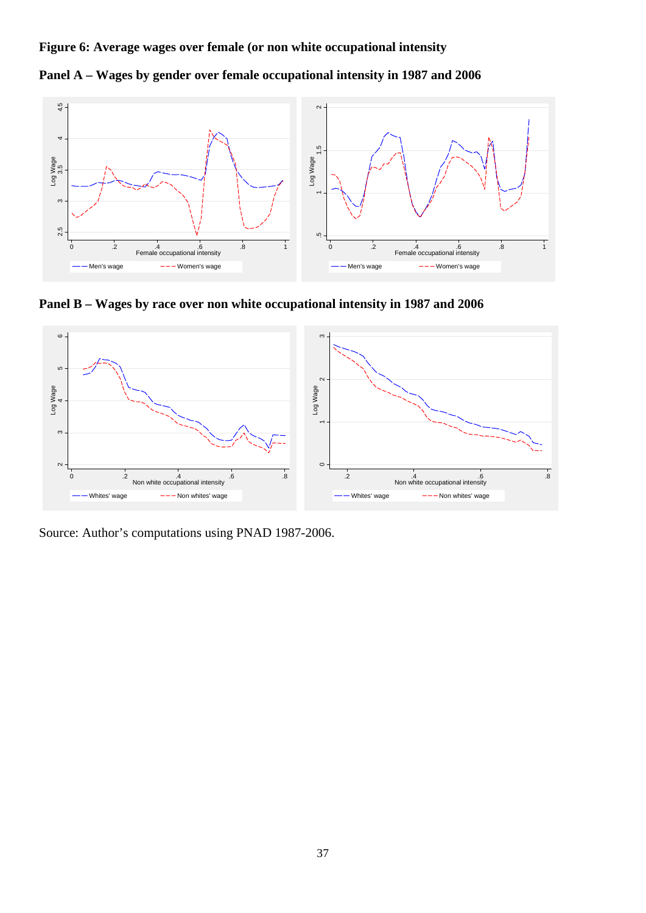**Figure 6: Average wages over female (or non white occupational intensity** 





**Panel B – Wages by race over non white occupational intensity in 1987 and 2006** 



Source: Author's computations using PNAD 1987-2006.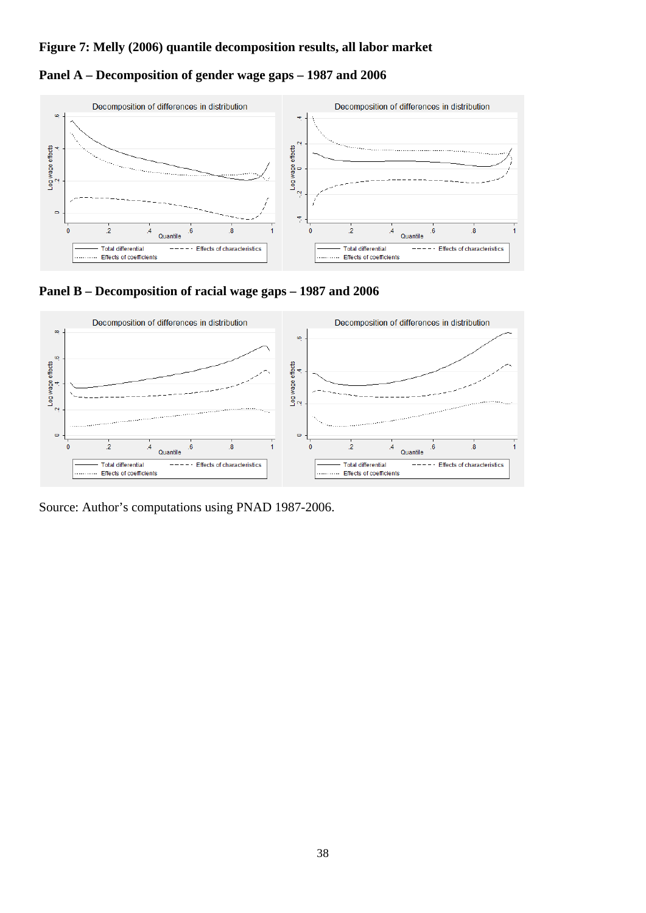## **Figure 7: Melly (2006) quantile decomposition results, all labor market**

# **Panel A – Decomposition of gender wage gaps – 1987 and 2006**





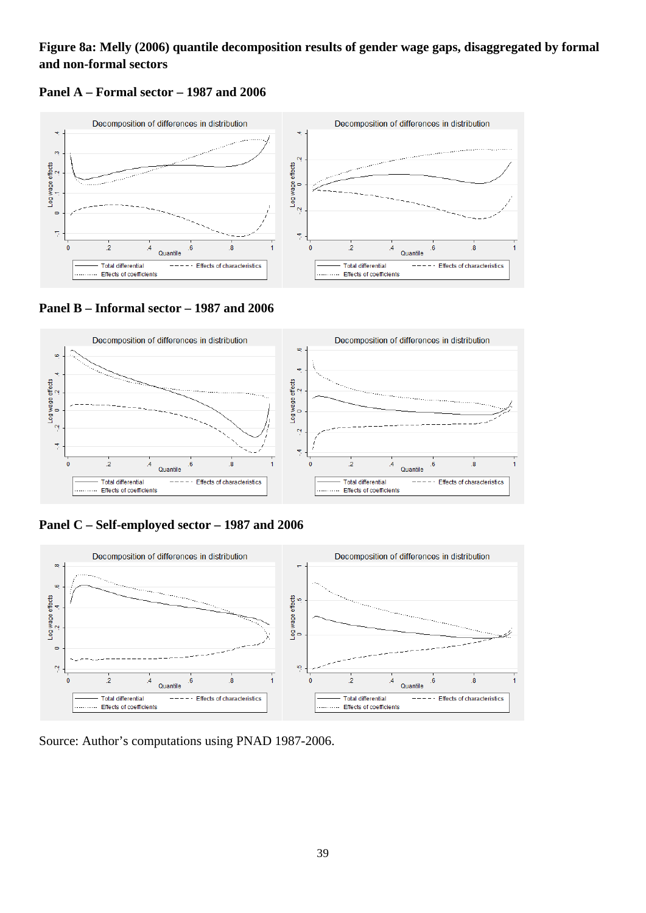# **Figure 8a: Melly (2006) quantile decomposition results of gender wage gaps, disaggregated by formal and non-formal sectors**





**Panel B – Informal sector – 1987 and 2006** 



**Panel C – Self-employed sector – 1987 and 2006** 



Source: Author's computations using PNAD 1987-2006.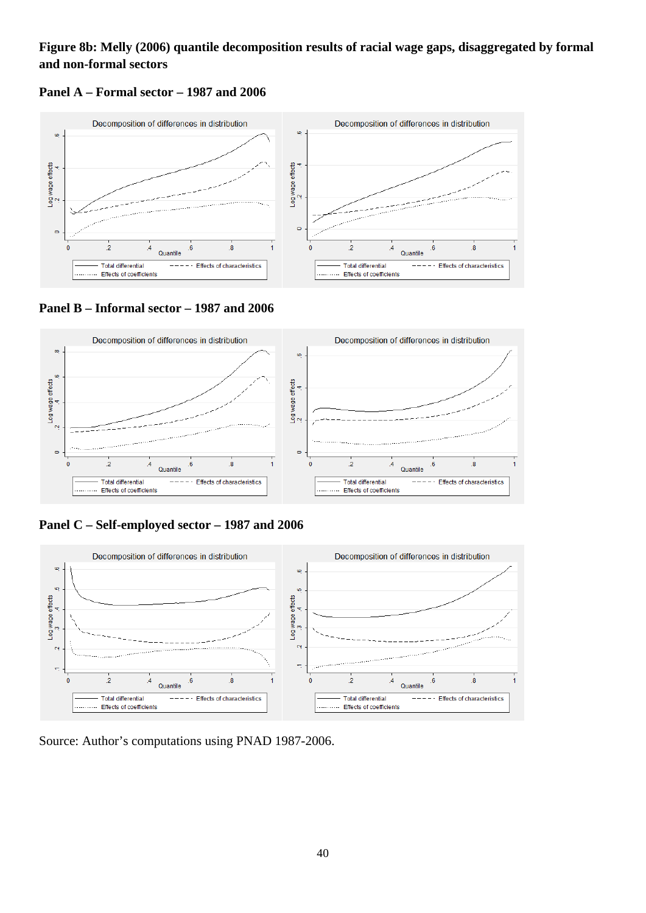# **Figure 8b: Melly (2006) quantile decomposition results of racial wage gaps, disaggregated by formal and non-formal sectors**





**Panel B – Informal sector – 1987 and 2006** 



**Panel C – Self-employed sector – 1987 and 2006** 



Source: Author's computations using PNAD 1987-2006.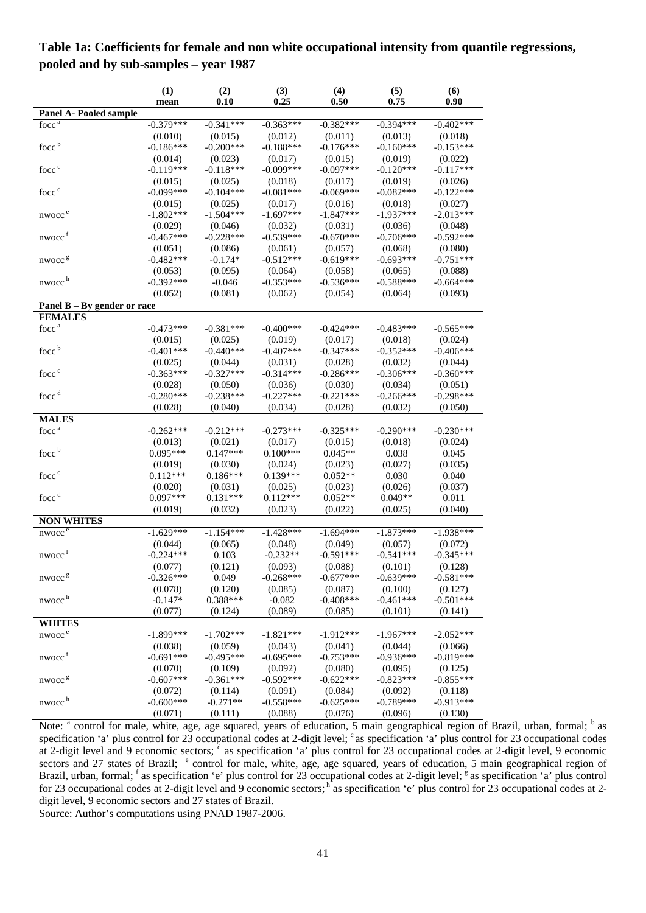|                                              | (1)          | (2)         | (3)         | (4)         | (5)         | (6)         |
|----------------------------------------------|--------------|-------------|-------------|-------------|-------------|-------------|
|                                              | mean         | 0.10        | 0.25        | 0.50        | 0.75        | 0.90        |
| <b>Panel A- Pooled sample</b>                |              |             |             |             |             |             |
| focc <sup>a</sup>                            | $-0.379***$  | $-0.341***$ | $-0.363***$ | $-0.382***$ | $-0.394***$ | $-0.402***$ |
|                                              | (0.010)      | (0.015)     | (0.012)     | (0.011)     | (0.013)     | (0.018)     |
| focc <sup>b</sup>                            | $-0.186***$  | $-0.200***$ | $-0.188***$ | $-0.176***$ | $-0.160***$ | $-0.153***$ |
|                                              | (0.014)      | (0.023)     | (0.017)     | (0.015)     | (0.019)     | (0.022)     |
| focc <sup>c</sup>                            | $-0.119***$  | $-0.118***$ | $-0.099***$ | $-0.097***$ | $-0.120***$ | $-0.117***$ |
|                                              | (0.015)      | (0.025)     | (0.018)     | (0.017)     | (0.019)     | (0.026)     |
| focc <sup>d</sup>                            | $-0.099***$  | $-0.104***$ | $-0.081***$ | $-0.069***$ | $-0.082***$ | $-0.122***$ |
|                                              | (0.015)      | (0.025)     | (0.017)     | (0.016)     | (0.018)     | (0.027)     |
| nwocc <sup>e</sup>                           | $-1.802***$  | $-1.504***$ | $-1.697***$ | $-1.847***$ | $-1.937***$ | $-2.013***$ |
|                                              | (0.029)      | (0.046)     | (0.032)     | (0.031)     | (0.036)     | (0.048)     |
| nwocc <sup>f</sup>                           | $-0.467***$  | $-0.228***$ | $-0.539***$ | $-0.670***$ | $-0.706***$ | $-0.592***$ |
|                                              | (0.051)      | (0.086)     | (0.061)     | (0.057)     | (0.068)     | (0.080)     |
| nwocc <sup>8</sup>                           | $-0.482***$  | $-0.174*$   | $-0.512***$ | $-0.619***$ | $-0.693***$ | $-0.751***$ |
|                                              | (0.053)      | (0.095)     | (0.064)     | (0.058)     | (0.065)     | (0.088)     |
| nwocc <sup>h</sup>                           | $-0.392***$  | $-0.046$    | $-0.353***$ | $-0.536***$ | $-0.588***$ | $-0.664***$ |
|                                              | (0.052)      | (0.081)     | (0.062)     | (0.054)     | (0.064)     | (0.093)     |
| Panel $B - By$ gender or race                |              |             |             |             |             |             |
| <b>FEMALES</b>                               |              |             |             |             |             |             |
| $f$ occ $a$                                  | $-0.473***$  | $-0.381***$ | $-0.400***$ | $-0.424***$ | $-0.483***$ | $-0.565***$ |
|                                              | (0.015)      | (0.025)     | (0.019)     | (0.017)     | (0.018)     | (0.024)     |
| focc <sup>b</sup>                            | $-0.401***$  | $-0.440***$ | $-0.407***$ | $-0.347***$ | $-0.352***$ | $-0.406***$ |
|                                              | (0.025)      | (0.044)     | (0.031)     | (0.028)     | (0.032)     | (0.044)     |
| focc <sup>c</sup>                            | $-0.363***$  | $-0.327***$ | $-0.314***$ | $-0.286***$ | $-0.306***$ | $-0.360***$ |
|                                              | (0.028)      | (0.050)     | (0.036)     | (0.030)     | (0.034)     | (0.051)     |
| focc <sup>d</sup>                            | $-0.280***$  | $-0.238***$ | $-0.227***$ | $-0.221***$ | $-0.266***$ | $-0.298***$ |
|                                              | (0.028)      | (0.040)     | (0.034)     | (0.028)     | (0.032)     | (0.050)     |
| <b>MALES</b>                                 |              |             |             |             |             |             |
| $f\overline{occ}^a$                          | $-0.262***$  | $-0.212***$ | $-0.273***$ | $-0.325***$ | $-0.290***$ | $-0.230***$ |
|                                              | (0.013)      | (0.021)     | (0.017)     | (0.015)     | (0.018)     | (0.024)     |
| focc <sup>b</sup>                            | $0.095***$   | $0.147***$  | $0.100***$  | $0.045**$   | 0.038       | 0.045       |
|                                              | (0.019)      | (0.030)     | (0.024)     | (0.023)     | (0.027)     | (0.035)     |
| focc <sup>c</sup>                            | $0.112***$   | $0.186***$  | $0.139***$  | $0.052**$   | 0.030       | 0.040       |
|                                              | (0.020)      | (0.031)     | (0.025)     | (0.023)     | (0.026)     | (0.037)     |
| focc <sup>d</sup>                            | $0.097***$   | $0.131***$  | $0.112***$  | $0.052**$   | $0.049**$   | 0.011       |
|                                              | (0.019)      | (0.032)     | (0.023)     | (0.022)     | (0.025)     | (0.040)     |
| <b>NON WHITES</b>                            |              |             |             |             |             |             |
| $nwocc$ <sup><math>\overline{e}</math></sup> | $-1.629***$  | $-1.154***$ | $-1.428***$ | $-1.694***$ | $-1.873***$ | $-1.938***$ |
|                                              | (0.044)      | (0.065)     | (0.048)     | (0.049)     | (0.057)     | (0.072)     |
| $n \times 1$                                 | $-0.224***$  | 0.103       | $-0.232**$  | $-0.591***$ | $-0.541***$ | $-0.345***$ |
|                                              | (0.077)      | (0.121)     | (0.093)     | (0.088)     | (0.101)     | (0.128)     |
| nwocc <sup>g</sup>                           | $-0.326***$  | 0.049       | $-0.268***$ | $-0.677***$ | $-0.639***$ | $-0.581***$ |
|                                              | (0.078)      | (0.120)     | (0.085)     | (0.087)     | (0.100)     | (0.127)     |
| nwocc <sup>h</sup>                           | $-0.147*$    | 0.388***    | $-0.082$    | $-0.408***$ | $-0.461***$ | $-0.501***$ |
|                                              | (0.077)      | (0.124)     | (0.089)     | (0.085)     | (0.101)     | (0.141)     |
| <b>WHITES</b>                                |              |             |             |             |             |             |
| nwocc <sup>e</sup>                           | $-1.899$ *** | $-1.702***$ | $-1.821***$ | $-1.912***$ | $-1.967***$ | $-2.052***$ |
|                                              | (0.038)      | (0.059)     | (0.043)     | (0.041)     | (0.044)     | (0.066)     |
| nwocc <sup>f</sup>                           | $-0.691***$  | $-0.495***$ | $-0.695***$ | $-0.753***$ | $-0.936***$ | $-0.819***$ |
|                                              | (0.070)      | (0.109)     | (0.092)     | (0.080)     | (0.095)     | (0.125)     |
| nwocc <sup>g</sup>                           | $-0.607***$  | $-0.361***$ | $-0.592***$ | $-0.622***$ | $-0.823***$ | $-0.855***$ |
|                                              | (0.072)      | (0.114)     | (0.091)     | (0.084)     | (0.092)     | (0.118)     |
| nwocc <sup>h</sup>                           | $-0.600***$  | $-0.271**$  | $-0.558***$ | $-0.625***$ | $-0.789***$ | $-0.913***$ |
|                                              | (0.071)      | (0.111)     | (0.088)     | (0.076)     | (0.096)     | (0.130)     |

**Table 1a: Coefficients for female and non white occupational intensity from quantile regressions, pooled and by sub-samples – year 1987** 

Note: <sup>a</sup> control for male, white, age, age squared, years of education, 5 main geographical region of Brazil, urban, formal; <sup>b</sup> as specification 'a' plus control for 23 occupational codes at 2-digit level; <sup>c</sup> as specification 'a' plus control for 23 occupational codes at 2-digit level and 9 economic sectors; d as specification 'a' plus control for 23 occupational codes at 2-digit level, 9 economic sectors and 27 states of Brazil; <sup>e</sup> control for male, white, age, age squared, years of education, 5 main geographical region of Brazil, urban, formal; <sup>f</sup> as specification 'e' plus control for 23 occupational codes at 2-digit level; <sup>g</sup> as specification 'a' plus control for 23 occupational codes at 2-digit level and 9 economic sectors; h as specification 'e' plus control for 23 occupational codes at 2digit level, 9 economic sectors and 27 states of Brazil.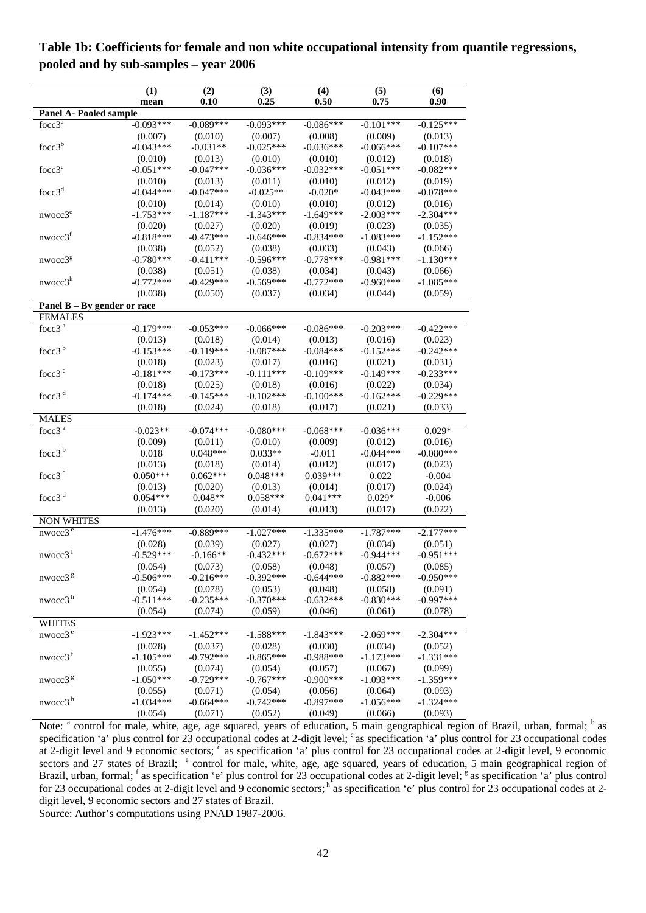|                                 | (1)         | (2)         | (3)         | (4)         | (5)          | (6)         |
|---------------------------------|-------------|-------------|-------------|-------------|--------------|-------------|
|                                 | mean        | 0.10        | 0.25        | 0.50        | 0.75         | 0.90        |
| Panel A- Pooled sample          |             |             |             |             |              |             |
| $focc3^a$                       | $-0.093***$ | $-0.089***$ | $-0.093***$ | $-0.086***$ | $-0.101$ *** | $-0.125***$ |
|                                 | (0.007)     | (0.010)     | (0.007)     | (0.008)     | (0.009)      | (0.013)     |
| focc $3^b$                      | $-0.043***$ | $-0.031**$  | $-0.025***$ | $-0.036***$ | $-0.066***$  | $-0.107***$ |
|                                 | (0.010)     | (0.013)     | (0.010)     | (0.010)     | (0.012)      | (0.018)     |
| focc3 <sup>c</sup>              | $-0.051***$ | $-0.047***$ | $-0.036***$ | $-0.032***$ | $-0.051***$  | $-0.082***$ |
|                                 | (0.010)     | (0.013)     | (0.011)     | (0.010)     | (0.012)      | (0.019)     |
| focc3 <sup>d</sup>              | $-0.044***$ | $-0.047***$ | $-0.025**$  | $-0.020*$   | $-0.043***$  | $-0.078***$ |
|                                 | (0.010)     | (0.014)     | (0.010)     | (0.010)     | (0.012)      | (0.016)     |
| nwocc3 <sup>e</sup>             | $-1.753***$ | $-1.187***$ | $-1.343***$ | $-1.649***$ | $-2.003***$  | $-2.304***$ |
|                                 | (0.020)     | (0.027)     | (0.020)     | (0.019)     | (0.023)      | (0.035)     |
| nwocc3 <sup>f</sup>             | $-0.818***$ | $-0.473***$ | $-0.646***$ | $-0.834***$ | $-1.083***$  | $-1.152***$ |
|                                 | (0.038)     | (0.052)     | (0.038)     | (0.033)     | (0.043)      | (0.066)     |
| nwocc3 <sup>g</sup>             | $-0.780***$ | $-0.411***$ | $-0.596***$ | $-0.778***$ | $-0.981***$  | $-1.130***$ |
|                                 | (0.038)     | (0.051)     | (0.038)     | (0.034)     | (0.043)      | (0.066)     |
| nwocc3 <sup>h</sup>             | $-0.772***$ | $-0.429***$ | $-0.569***$ | $-0.772***$ | $-0.960***$  | $-1.085***$ |
|                                 | (0.038)     | (0.050)     | (0.037)     | (0.034)     | (0.044)      | (0.059)     |
| Panel $B - By$ gender or race   |             |             |             |             |              |             |
| <b>FEMALES</b>                  |             |             |             |             |              |             |
| $f\overline{occ3}$ <sup>a</sup> | $-0.179***$ | $-0.053***$ | $-0.066***$ | $-0.086***$ | $-0.203***$  | $-0.422***$ |
|                                 | (0.013)     | (0.018)     | (0.014)     | (0.013)     | (0.016)      | (0.023)     |
| focc3 $b$                       | $-0.153***$ | $-0.119***$ | $-0.087***$ | $-0.084***$ | $-0.152***$  | $-0.242***$ |
|                                 | (0.018)     | (0.023)     | (0.017)     | (0.016)     | (0.021)      | (0.031)     |
| focc3 <sup>c</sup>              | $-0.181***$ | $-0.173***$ | $-0.111***$ | $-0.109***$ | $-0.149***$  | $-0.233***$ |
|                                 | (0.018)     | (0.025)     | (0.018)     | (0.016)     | (0.022)      | (0.034)     |
| focc3 $d$                       | $-0.174***$ | $-0.145***$ | $-0.102***$ | $-0.100***$ | $-0.162***$  | $-0.229***$ |
|                                 | (0.018)     | (0.024)     | (0.018)     | (0.017)     | (0.021)      | (0.033)     |
| MALES                           |             |             |             |             |              |             |
| focc $3a$                       | $-0.023**$  | $-0.074***$ | $-0.080***$ | $-0.068***$ | $-0.036***$  | $0.029*$    |
|                                 | (0.009)     | (0.011)     | (0.010)     | (0.009)     | (0.012)      | (0.016)     |
| focc3 $b$                       | 0.018       | $0.048***$  | $0.033**$   | $-0.011$    | $-0.044***$  | $-0.080***$ |
|                                 | (0.013)     | (0.018)     | (0.014)     | (0.012)     | (0.017)      | (0.023)     |
| focc3 <sup>c</sup>              | $0.050***$  | $0.062***$  | $0.048***$  | $0.039***$  | 0.022        | $-0.004$    |
|                                 | (0.013)     | (0.020)     | (0.013)     | (0.014)     | (0.017)      | (0.024)     |
| focc3 $d$                       | $0.054***$  | $0.048**$   | $0.058***$  | $0.041***$  | $0.029*$     | $-0.006$    |
|                                 | (0.013)     | (0.020)     | (0.014)     | (0.013)     | (0.017)      | (0.022)     |
| <b>NON WHITES</b>               |             |             |             |             |              |             |
| $nwocc\overline{3^e}$           | $-1.476***$ | $-0.889***$ | $-1.027***$ | $-1.335***$ | $-1.787***$  | $-2.177***$ |
|                                 | (0.028)     | (0.039)     | (0.027)     | (0.027)     | (0.034)      | (0.051)     |
| nwocc3 <sup>f</sup>             | $-0.529***$ | $-0.166**$  | $-0.432***$ | $-0.672***$ | $-0.944***$  | $-0.951***$ |
|                                 | (0.054)     | (0.073)     | (0.058)     | (0.048)     | (0.057)      | (0.085)     |
| nwocc $3g$                      | $-0.506***$ | $-0.216***$ | $-0.392***$ | $-0.644***$ | $-0.882***$  | $-0.950***$ |
|                                 | (0.054)     | (0.078)     | (0.053)     | (0.048)     | (0.058)      | (0.091)     |
| nwocc3 <sup>h</sup>             | $-0.511***$ | $-0.235***$ | $-0.370***$ | $-0.632***$ | $-0.830***$  | $-0.997***$ |
|                                 | (0.054)     | (0.074)     | (0.059)     | (0.046)     | (0.061)      | (0.078)     |
| <b>WHITES</b>                   |             |             |             |             |              |             |
| $nwocc3^e$                      | $-1.923***$ | $-1.452***$ | $-1.588***$ | $-1.843***$ | $-2.069***$  | $-2.304***$ |
|                                 | (0.028)     | (0.037)     | (0.028)     | (0.030)     | (0.034)      | (0.052)     |
| nwocc3 <sup>f</sup>             | $-1.105***$ | $-0.792***$ | $-0.865***$ | $-0.988***$ | $-1.173***$  | $-1.331***$ |
|                                 | (0.055)     | (0.074)     | (0.054)     | (0.057)     | (0.067)      | (0.099)     |
| nwocc3 <sup>g</sup>             | $-1.050***$ | $-0.729***$ | $-0.767***$ | $-0.900***$ | $-1.093***$  | $-1.359***$ |
|                                 | (0.055)     | (0.071)     | (0.054)     | (0.056)     | (0.064)      | (0.093)     |
| nwocc3 <sup>h</sup>             | $-1.034***$ | $-0.664***$ | $-0.742***$ | $-0.897***$ | $-1.056***$  | $-1.324***$ |
|                                 | (0.054)     | (0.071)     | (0.052)     | (0.049)     | (0.066)      | (0.093)     |
|                                 |             |             |             |             |              |             |

**Table 1b: Coefficients for female and non white occupational intensity from quantile regressions, pooled and by sub-samples – year 2006** 

Note: <sup>a</sup> control for male, white, age, age squared, years of education, 5 main geographical region of Brazil, urban, formal; <sup>b</sup> as specification 'a' plus control for 23 occupational codes at 2-digit level; <sup>c</sup> as specification 'a' plus control for 23 occupational codes at 2-digit level and 9 economic sectors; d as specification 'a' plus control for 23 occupational codes at 2-digit level, 9 economic sectors and 27 states of Brazil; <sup>e</sup> control for male, white, age, age squared, years of education, 5 main geographical region of Brazil, urban, formal; <sup>f</sup> as specification 'e' plus control for 23 occupational codes at 2-digit level; <sup>g</sup> as specification 'a' plus control for 23 occupational codes at 2-digit level and 9 economic sectors; h as specification 'e' plus control for 23 occupational codes at 2digit level, 9 economic sectors and 27 states of Brazil.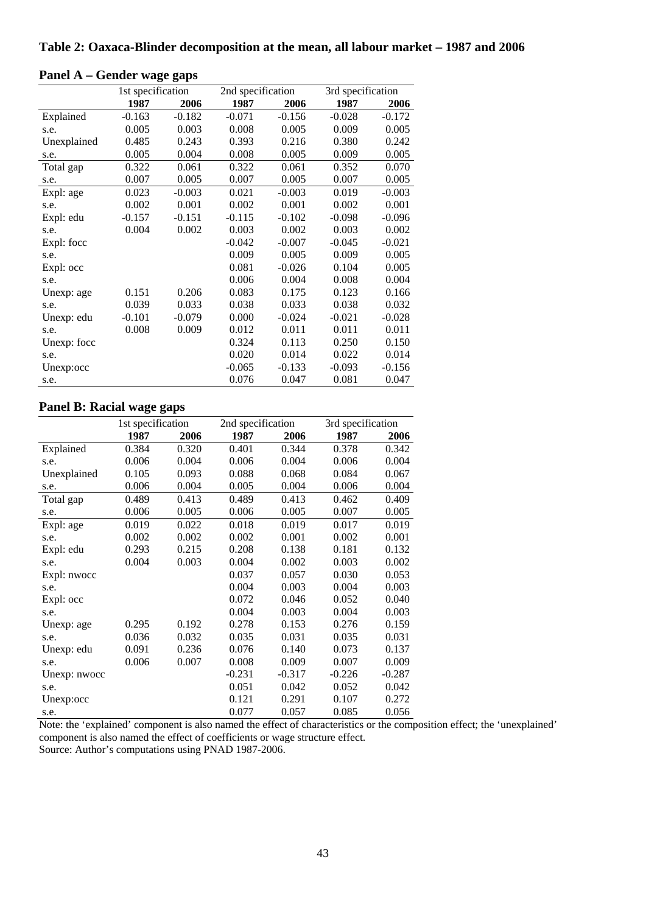|             | 1st specification |          | 2nd specification |          | 3rd specification |          |
|-------------|-------------------|----------|-------------------|----------|-------------------|----------|
|             | 1987              | 2006     | 1987              | 2006     | 1987              | 2006     |
| Explained   | $-0.163$          | $-0.182$ | $-0.071$          | $-0.156$ | $-0.028$          | $-0.172$ |
| s.e.        | 0.005             | 0.003    | 0.008             | 0.005    | 0.009             | 0.005    |
| Unexplained | 0.485             | 0.243    | 0.393             | 0.216    | 0.380             | 0.242    |
| s.e.        | 0.005             | 0.004    | 0.008             | 0.005    | 0.009             | 0.005    |
| Total gap   | 0.322             | 0.061    | 0.322             | 0.061    | 0.352             | 0.070    |
| s.e.        | 0.007             | 0.005    | 0.007             | 0.005    | 0.007             | 0.005    |
| Expl: age   | 0.023             | $-0.003$ | 0.021             | $-0.003$ | 0.019             | $-0.003$ |
| s.e.        | 0.002             | 0.001    | 0.002             | 0.001    | 0.002             | 0.001    |
| Expl: edu   | $-0.157$          | $-0.151$ | $-0.115$          | $-0.102$ | $-0.098$          | $-0.096$ |
| s.e.        | 0.004             | 0.002    | 0.003             | 0.002    | 0.003             | 0.002    |
| Expl: focc  |                   |          | $-0.042$          | $-0.007$ | $-0.045$          | $-0.021$ |
| s.e.        |                   |          | 0.009             | 0.005    | 0.009             | 0.005    |
| Expl: occ   |                   |          | 0.081             | $-0.026$ | 0.104             | 0.005    |
| s.e.        |                   |          | 0.006             | 0.004    | 0.008             | 0.004    |
| Unexp: age  | 0.151             | 0.206    | 0.083             | 0.175    | 0.123             | 0.166    |
| s.e.        | 0.039             | 0.033    | 0.038             | 0.033    | 0.038             | 0.032    |
| Unexp: edu  | $-0.101$          | $-0.079$ | 0.000             | $-0.024$ | $-0.021$          | $-0.028$ |
| s.e.        | 0.008             | 0.009    | 0.012             | 0.011    | 0.011             | 0.011    |
| Unexp: focc |                   |          | 0.324             | 0.113    | 0.250             | 0.150    |
| s.e.        |                   |          | 0.020             | 0.014    | 0.022             | 0.014    |
| Unexp:occ   |                   |          | $-0.065$          | $-0.133$ | $-0.093$          | $-0.156$ |
| s.e.        |                   |          | 0.076             | 0.047    | 0.081             | 0.047    |

# **Panel A – Gender wage gaps**

#### **Panel B: Racial wage gaps**

|              | 1st specification |       | 2nd specification |          | 3rd specification |          |
|--------------|-------------------|-------|-------------------|----------|-------------------|----------|
|              | 1987              | 2006  | 1987              | 2006     | 1987              | 2006     |
| Explained    | 0.384             | 0.320 | 0.401             | 0.344    | 0.378             | 0.342    |
| s.e.         | 0.006             | 0.004 | 0.006             | 0.004    | 0.006             | 0.004    |
| Unexplained  | 0.105             | 0.093 | 0.088             | 0.068    | 0.084             | 0.067    |
| s.e.         | 0.006             | 0.004 | 0.005             | 0.004    | 0.006             | 0.004    |
| Total gap    | 0.489             | 0.413 | 0.489             | 0.413    | 0.462             | 0.409    |
| s.e.         | 0.006             | 0.005 | 0.006             | 0.005    | 0.007             | 0.005    |
| Expl: age    | 0.019             | 0.022 | 0.018             | 0.019    | 0.017             | 0.019    |
| s.e.         | 0.002             | 0.002 | 0.002             | 0.001    | 0.002             | 0.001    |
| Expl: edu    | 0.293             | 0.215 | 0.208             | 0.138    | 0.181             | 0.132    |
| s.e.         | 0.004             | 0.003 | 0.004             | 0.002    | 0.003             | 0.002    |
| Expl: nwocc  |                   |       | 0.037             | 0.057    | 0.030             | 0.053    |
| s.e.         |                   |       | 0.004             | 0.003    | 0.004             | 0.003    |
| Expl: occ    |                   |       | 0.072             | 0.046    | 0.052             | 0.040    |
| s.e.         |                   |       | 0.004             | 0.003    | 0.004             | 0.003    |
| Unexp: age   | 0.295             | 0.192 | 0.278             | 0.153    | 0.276             | 0.159    |
| s.e.         | 0.036             | 0.032 | 0.035             | 0.031    | 0.035             | 0.031    |
| Unexp: edu   | 0.091             | 0.236 | 0.076             | 0.140    | 0.073             | 0.137    |
| s.e.         | 0.006             | 0.007 | 0.008             | 0.009    | 0.007             | 0.009    |
| Unexp: nwocc |                   |       | $-0.231$          | $-0.317$ | $-0.226$          | $-0.287$ |
| s.e.         |                   |       | 0.051             | 0.042    | 0.052             | 0.042    |
| Unexp:occ    |                   |       | 0.121             | 0.291    | 0.107             | 0.272    |
| s.e.         |                   |       | 0.077             | 0.057    | 0.085             | 0.056    |

Note: the 'explained' component is also named the effect of characteristics or the composition effect; the 'unexplained' component is also named the effect of coefficients or wage structure effect.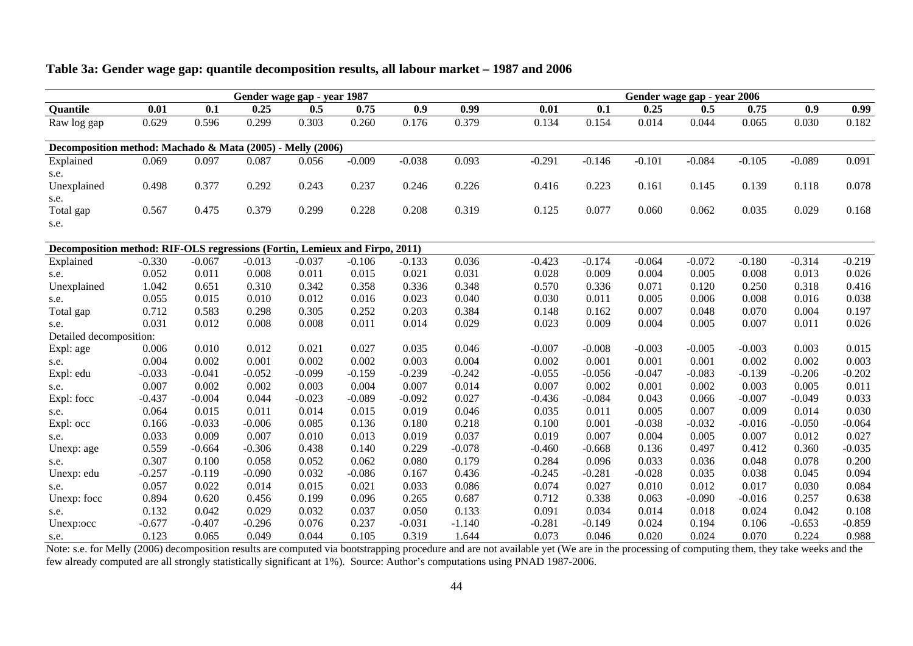|                                                                             |          |          |          | Gender wage gap - year 1987 |          |          |          |          |          |          | Gender wage gap - year 2006 |          |          |          |
|-----------------------------------------------------------------------------|----------|----------|----------|-----------------------------|----------|----------|----------|----------|----------|----------|-----------------------------|----------|----------|----------|
| Quantile                                                                    | 0.01     | 0.1      | 0.25     | 0.5                         | 0.75     | 0.9      | 0.99     | 0.01     | 0.1      | 0.25     | 0.5                         | 0.75     | 0.9      | 0.99     |
| Raw log gap                                                                 | 0.629    | 0.596    | 0.299    | 0.303                       | 0.260    | 0.176    | 0.379    | 0.134    | 0.154    | 0.014    | 0.044                       | 0.065    | 0.030    | 0.182    |
| Decomposition method: Machado & Mata (2005) - Melly (2006)                  |          |          |          |                             |          |          |          |          |          |          |                             |          |          |          |
| Explained                                                                   | 0.069    | 0.097    | 0.087    | 0.056                       | $-0.009$ | $-0.038$ | 0.093    | $-0.291$ | $-0.146$ | $-0.101$ | $-0.084$                    | $-0.105$ | $-0.089$ | 0.091    |
| s.e.                                                                        |          |          |          |                             |          |          |          |          |          |          |                             |          |          |          |
| Unexplained                                                                 | 0.498    | 0.377    | 0.292    | 0.243                       | 0.237    | 0.246    | 0.226    | 0.416    | 0.223    | 0.161    | 0.145                       | 0.139    | 0.118    | 0.078    |
| s.e.                                                                        |          |          |          |                             |          |          |          |          |          |          |                             |          |          |          |
| Total gap                                                                   | 0.567    | 0.475    | 0.379    | 0.299                       | 0.228    | 0.208    | 0.319    | 0.125    | 0.077    | 0.060    | 0.062                       | 0.035    | 0.029    | 0.168    |
| s.e.                                                                        |          |          |          |                             |          |          |          |          |          |          |                             |          |          |          |
| Decomposition method: RIF-OLS regressions (Fortin, Lemieux and Firpo, 2011) |          |          |          |                             |          |          |          |          |          |          |                             |          |          |          |
| Explained                                                                   | $-0.330$ | $-0.067$ | $-0.013$ | $-0.037$                    | $-0.106$ | $-0.133$ | 0.036    | $-0.423$ | $-0.174$ | $-0.064$ | $-0.072$                    | $-0.180$ | $-0.314$ | $-0.219$ |
| s.e.                                                                        | 0.052    | 0.011    | 0.008    | 0.011                       | 0.015    | 0.021    | 0.031    | 0.028    | 0.009    | 0.004    | 0.005                       | 0.008    | 0.013    | 0.026    |
| Unexplained                                                                 | 1.042    | 0.651    | 0.310    | 0.342                       | 0.358    | 0.336    | 0.348    | 0.570    | 0.336    | 0.071    | 0.120                       | 0.250    | 0.318    | 0.416    |
| s.e.                                                                        | 0.055    | 0.015    | 0.010    | 0.012                       | 0.016    | 0.023    | 0.040    | 0.030    | 0.011    | 0.005    | 0.006                       | 0.008    | 0.016    | 0.038    |
| Total gap                                                                   | 0.712    | 0.583    | 0.298    | 0.305                       | 0.252    | 0.203    | 0.384    | 0.148    | 0.162    | 0.007    | 0.048                       | 0.070    | 0.004    | 0.197    |
| s.e.                                                                        | 0.031    | 0.012    | 0.008    | 0.008                       | 0.011    | 0.014    | 0.029    | 0.023    | 0.009    | 0.004    | 0.005                       | 0.007    | 0.011    | 0.026    |
| Detailed decomposition:                                                     |          |          |          |                             |          |          |          |          |          |          |                             |          |          |          |
| Expl: age                                                                   | 0.006    | 0.010    | 0.012    | 0.021                       | 0.027    | 0.035    | 0.046    | $-0.007$ | $-0.008$ | $-0.003$ | $-0.005$                    | $-0.003$ | 0.003    | 0.015    |
| s.e.                                                                        | 0.004    | 0.002    | 0.001    | 0.002                       | 0.002    | 0.003    | 0.004    | 0.002    | 0.001    | 0.001    | 0.001                       | 0.002    | 0.002    | 0.003    |
| Expl: edu                                                                   | $-0.033$ | $-0.041$ | $-0.052$ | $-0.099$                    | $-0.159$ | $-0.239$ | $-0.242$ | $-0.055$ | $-0.056$ | $-0.047$ | $-0.083$                    | $-0.139$ | $-0.206$ | $-0.202$ |
| s.e.                                                                        | 0.007    | 0.002    | 0.002    | 0.003                       | 0.004    | 0.007    | 0.014    | 0.007    | 0.002    | 0.001    | 0.002                       | 0.003    | 0.005    | 0.011    |
| Expl: focc                                                                  | $-0.437$ | $-0.004$ | 0.044    | $-0.023$                    | $-0.089$ | $-0.092$ | 0.027    | $-0.436$ | $-0.084$ | 0.043    | 0.066                       | $-0.007$ | $-0.049$ | 0.033    |
| s.e.                                                                        | 0.064    | 0.015    | 0.011    | 0.014                       | 0.015    | 0.019    | 0.046    | 0.035    | 0.011    | 0.005    | 0.007                       | 0.009    | 0.014    | 0.030    |
| Expl: occ                                                                   | 0.166    | $-0.033$ | $-0.006$ | 0.085                       | 0.136    | 0.180    | 0.218    | 0.100    | 0.001    | $-0.038$ | $-0.032$                    | $-0.016$ | $-0.050$ | $-0.064$ |
| s.e.                                                                        | 0.033    | 0.009    | 0.007    | 0.010                       | 0.013    | 0.019    | 0.037    | 0.019    | 0.007    | 0.004    | 0.005                       | 0.007    | 0.012    | 0.027    |
| Unexp: age                                                                  | 0.559    | $-0.664$ | $-0.306$ | 0.438                       | 0.140    | 0.229    | $-0.078$ | $-0.460$ | $-0.668$ | 0.136    | 0.497                       | 0.412    | 0.360    | $-0.035$ |
| s.e.                                                                        | 0.307    | 0.100    | 0.058    | 0.052                       | 0.062    | 0.080    | 0.179    | 0.284    | 0.096    | 0.033    | 0.036                       | 0.048    | 0.078    | 0.200    |
| Unexp: edu                                                                  | $-0.257$ | $-0.119$ | $-0.090$ | 0.032                       | $-0.086$ | 0.167    | 0.436    | $-0.245$ | $-0.281$ | $-0.028$ | 0.035                       | 0.038    | 0.045    | 0.094    |
| s.e.                                                                        | 0.057    | 0.022    | 0.014    | 0.015                       | 0.021    | 0.033    | 0.086    | 0.074    | 0.027    | 0.010    | 0.012                       | 0.017    | 0.030    | 0.084    |
| Unexp: focc                                                                 | 0.894    | 0.620    | 0.456    | 0.199                       | 0.096    | 0.265    | 0.687    | 0.712    | 0.338    | 0.063    | $-0.090$                    | $-0.016$ | 0.257    | 0.638    |
| s.e.                                                                        | 0.132    | 0.042    | 0.029    | 0.032                       | 0.037    | 0.050    | 0.133    | 0.091    | 0.034    | 0.014    | 0.018                       | 0.024    | 0.042    | 0.108    |
| Unexp:occ                                                                   | $-0.677$ | $-0.407$ | $-0.296$ | 0.076                       | 0.237    | $-0.031$ | $-1.140$ | $-0.281$ | $-0.149$ | 0.024    | 0.194                       | 0.106    | $-0.653$ | $-0.859$ |
| s.e.                                                                        | 0.123    | 0.065    | 0.049    | 0.044                       | 0.105    | 0.319    | 1.644    | 0.073    | 0.046    | 0.020    | 0.024                       | 0.070    | 0.224    | 0.988    |

## **Table 3a: Gender wage gap: quantile decomposition results, all labour market – 1987 and 2006**

s.e.  $0.123$   $0.065$   $0.049$   $0.044$   $0.105$   $0.319$   $1.644$   $0.073$   $0.046$   $0.020$   $0.024$   $0.070$   $0.224$   $0.988$ <br>Note: s.e. for Melly (2006) decomposition results are computed via bootstrapping procedure and are not a few already computed are all strongly statistically significant at 1%). Source: Author's computations using PNAD 1987-2006.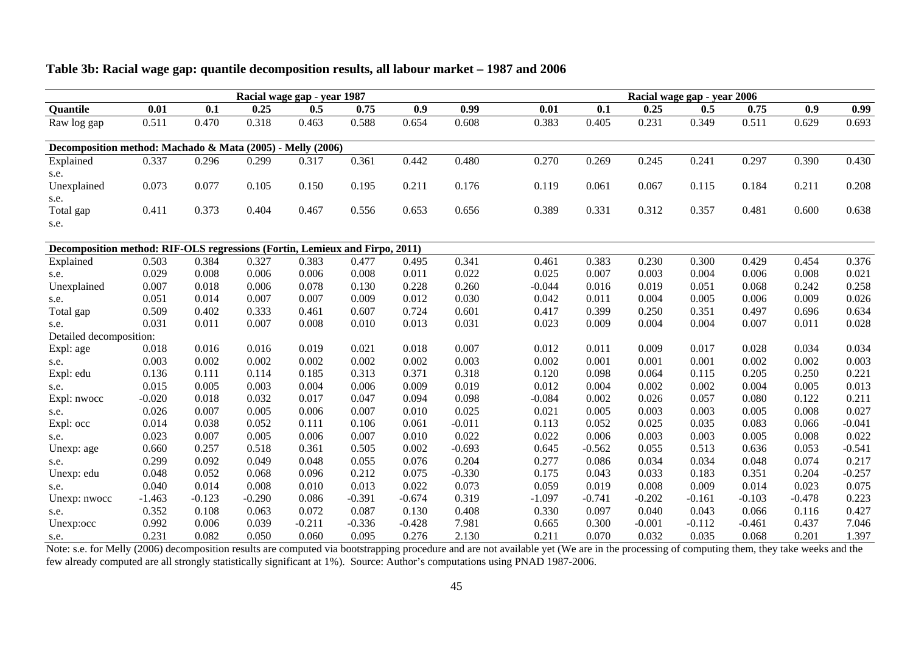|                                                                             |          |          |          | Racial wage gap - year 1987 |          |          |          |          |          | Racial wage gap - year 2006 |          |          |          |          |
|-----------------------------------------------------------------------------|----------|----------|----------|-----------------------------|----------|----------|----------|----------|----------|-----------------------------|----------|----------|----------|----------|
| <b>Quantile</b>                                                             | 0.01     | 0.1      | 0.25     | 0.5                         | 0.75     | 0.9      | 0.99     | 0.01     | 0.1      | 0.25                        | 0.5      | 0.75     | 0.9      | 0.99     |
| Raw log gap                                                                 | 0.511    | 0.470    | 0.318    | 0.463                       | 0.588    | 0.654    | 0.608    | 0.383    | 0.405    | 0.231                       | 0.349    | 0.511    | 0.629    | 0.693    |
| Decomposition method: Machado & Mata (2005) - Melly (2006)                  |          |          |          |                             |          |          |          |          |          |                             |          |          |          |          |
| Explained                                                                   | 0.337    | 0.296    | 0.299    | 0.317                       | 0.361    | 0.442    | 0.480    | 0.270    | 0.269    | 0.245                       | 0.241    | 0.297    | 0.390    | 0.430    |
| s.e.                                                                        |          |          |          |                             |          |          |          |          |          |                             |          |          |          |          |
| Unexplained                                                                 | 0.073    | 0.077    | 0.105    | 0.150                       | 0.195    | 0.211    | 0.176    | 0.119    | 0.061    | 0.067                       | 0.115    | 0.184    | 0.211    | 0.208    |
| s.e.                                                                        |          |          |          |                             |          |          |          |          |          |                             |          |          |          |          |
| Total gap                                                                   | 0.411    | 0.373    | 0.404    | 0.467                       | 0.556    | 0.653    | 0.656    | 0.389    | 0.331    | 0.312                       | 0.357    | 0.481    | 0.600    | 0.638    |
| s.e.                                                                        |          |          |          |                             |          |          |          |          |          |                             |          |          |          |          |
| Decomposition method: RIF-OLS regressions (Fortin, Lemieux and Firpo, 2011) |          |          |          |                             |          |          |          |          |          |                             |          |          |          |          |
| Explained                                                                   | 0.503    | 0.384    | 0.327    | 0.383                       | 0.477    | 0.495    | 0.341    | 0.461    | 0.383    | 0.230                       | 0.300    | 0.429    | 0.454    | 0.376    |
| s.e.                                                                        | 0.029    | 0.008    | 0.006    | 0.006                       | 0.008    | 0.011    | 0.022    | 0.025    | 0.007    | 0.003                       | 0.004    | 0.006    | 0.008    | 0.021    |
| Unexplained                                                                 | 0.007    | 0.018    | 0.006    | 0.078                       | 0.130    | 0.228    | 0.260    | $-0.044$ | 0.016    | 0.019                       | 0.051    | 0.068    | 0.242    | 0.258    |
| s.e.                                                                        | 0.051    | 0.014    | 0.007    | 0.007                       | 0.009    | 0.012    | 0.030    | 0.042    | 0.011    | 0.004                       | 0.005    | 0.006    | 0.009    | 0.026    |
| Total gap                                                                   | 0.509    | 0.402    | 0.333    | 0.461                       | 0.607    | 0.724    | 0.601    | 0.417    | 0.399    | 0.250                       | 0.351    | 0.497    | 0.696    | 0.634    |
| s.e.                                                                        | 0.031    | 0.011    | 0.007    | 0.008                       | 0.010    | 0.013    | 0.031    | 0.023    | 0.009    | 0.004                       | 0.004    | 0.007    | 0.011    | 0.028    |
| Detailed decomposition:                                                     |          |          |          |                             |          |          |          |          |          |                             |          |          |          |          |
| Expl: age                                                                   | 0.018    | 0.016    | 0.016    | 0.019                       | 0.021    | 0.018    | 0.007    | 0.012    | 0.011    | 0.009                       | 0.017    | 0.028    | 0.034    | 0.034    |
| s.e.                                                                        | 0.003    | 0.002    | 0.002    | 0.002                       | 0.002    | 0.002    | 0.003    | 0.002    | 0.001    | 0.001                       | 0.001    | 0.002    | 0.002    | 0.003    |
| Expl: edu                                                                   | 0.136    | 0.111    | 0.114    | 0.185                       | 0.313    | 0.371    | 0.318    | 0.120    | 0.098    | 0.064                       | 0.115    | 0.205    | 0.250    | 0.221    |
| s.e.                                                                        | 0.015    | 0.005    | 0.003    | 0.004                       | 0.006    | 0.009    | 0.019    | 0.012    | 0.004    | 0.002                       | 0.002    | 0.004    | 0.005    | 0.013    |
| Expl: nwocc                                                                 | $-0.020$ | 0.018    | 0.032    | 0.017                       | 0.047    | 0.094    | 0.098    | $-0.084$ | 0.002    | 0.026                       | 0.057    | 0.080    | 0.122    | 0.211    |
| s.e.                                                                        | 0.026    | 0.007    | 0.005    | 0.006                       | 0.007    | 0.010    | 0.025    | 0.021    | 0.005    | 0.003                       | 0.003    | 0.005    | 0.008    | 0.027    |
| Expl: occ                                                                   | 0.014    | 0.038    | 0.052    | 0.111                       | 0.106    | 0.061    | $-0.011$ | 0.113    | 0.052    | 0.025                       | 0.035    | 0.083    | 0.066    | $-0.041$ |
| s.e.                                                                        | 0.023    | 0.007    | 0.005    | 0.006                       | 0.007    | 0.010    | 0.022    | 0.022    | 0.006    | 0.003                       | 0.003    | 0.005    | 0.008    | 0.022    |
| Unexp: age                                                                  | 0.660    | 0.257    | 0.518    | 0.361                       | 0.505    | 0.002    | $-0.693$ | 0.645    | $-0.562$ | 0.055                       | 0.513    | 0.636    | 0.053    | $-0.541$ |
| s.e.                                                                        | 0.299    | 0.092    | 0.049    | 0.048                       | 0.055    | 0.076    | 0.204    | 0.277    | 0.086    | 0.034                       | 0.034    | 0.048    | 0.074    | 0.217    |
| Unexp: edu                                                                  | 0.048    | 0.052    | 0.068    | 0.096                       | 0.212    | 0.075    | $-0.330$ | 0.175    | 0.043    | 0.033                       | 0.183    | 0.351    | 0.204    | $-0.257$ |
| s.e.                                                                        | 0.040    | 0.014    | 0.008    | 0.010                       | 0.013    | 0.022    | 0.073    | 0.059    | 0.019    | 0.008                       | 0.009    | 0.014    | 0.023    | 0.075    |
| Unexp: nwocc                                                                | $-1.463$ | $-0.123$ | $-0.290$ | 0.086                       | $-0.391$ | $-0.674$ | 0.319    | $-1.097$ | $-0.741$ | $-0.202$                    | $-0.161$ | $-0.103$ | $-0.478$ | 0.223    |
| s.e.                                                                        | 0.352    | 0.108    | 0.063    | 0.072                       | 0.087    | 0.130    | 0.408    | 0.330    | 0.097    | 0.040                       | 0.043    | 0.066    | 0.116    | 0.427    |
| Unexp:occ                                                                   | 0.992    | 0.006    | 0.039    | $-0.211$                    | $-0.336$ | $-0.428$ | 7.981    | 0.665    | 0.300    | $-0.001$                    | $-0.112$ | $-0.461$ | 0.437    | 7.046    |
| $S$ $\theta$                                                                | 0.231    | 0.082    | 0.050    | <u>በ በճበ</u>                | 0.095    | 0.276    | 2.130    | 0.211    | 0.070    | 0.032                       | 0.035    | 0.068    | 0.201    | 1 3 9 7  |

#### **Table 3b: Racial wage gap: quantile decomposition results, all labour market – 1987 and 2006**

s.e.  $0.231$   $0.082$   $0.050$   $0.060$   $0.095$   $0.276$   $2.130$   $0.211$   $0.070$   $0.032$   $0.035$   $0.068$   $0.201$   $1.397$ <br>Note: s.e. for Melly (2006) decomposition results are computed via bootstrapping procedure and are not a few already computed are all strongly statistically significant at 1%). Source: Author's computations using PNAD 1987-2006.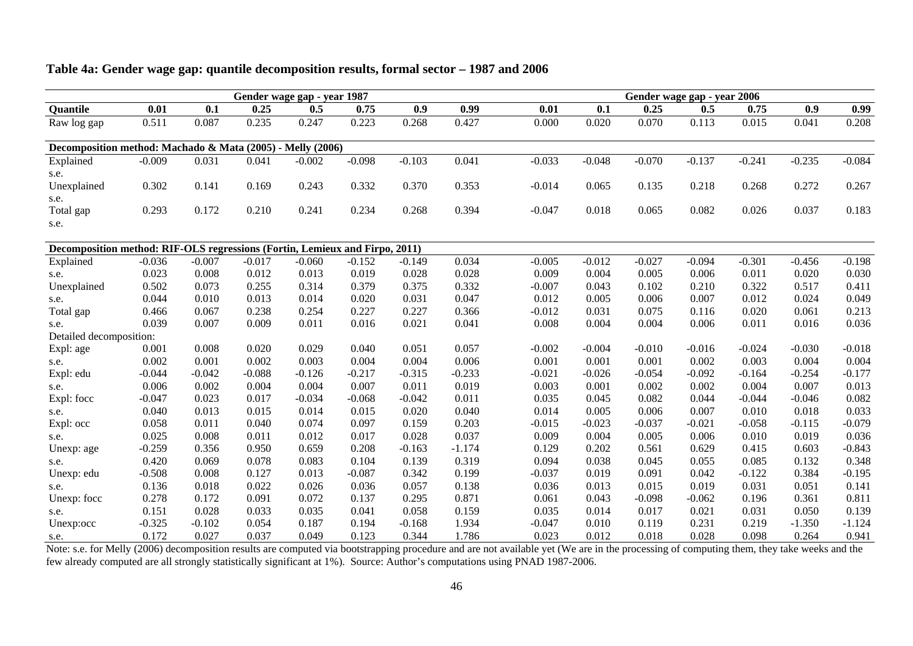|                                                                             |          |          |          | Gender wage gap - year 1987 |          |          |          |          |          |          | Gender wage gap - year 2006 |          |          |          |
|-----------------------------------------------------------------------------|----------|----------|----------|-----------------------------|----------|----------|----------|----------|----------|----------|-----------------------------|----------|----------|----------|
| Quantile                                                                    | 0.01     | 0.1      | 0.25     | 0.5                         | 0.75     | 0.9      | 0.99     | 0.01     | 0.1      | 0.25     | 0.5                         | 0.75     | 0.9      | 0.99     |
| Raw log gap                                                                 | 0.511    | 0.087    | 0.235    | 0.247                       | 0.223    | 0.268    | 0.427    | 0.000    | 0.020    | 0.070    | 0.113                       | 0.015    | 0.041    | 0.208    |
| Decomposition method: Machado & Mata (2005) - Melly (2006)                  |          |          |          |                             |          |          |          |          |          |          |                             |          |          |          |
| Explained                                                                   | $-0.009$ | 0.031    | 0.041    | $-0.002$                    | $-0.098$ | $-0.103$ | 0.041    | $-0.033$ | $-0.048$ | $-0.070$ | $-0.137$                    | $-0.241$ | $-0.235$ | $-0.084$ |
| s.e.                                                                        |          |          |          |                             |          |          |          |          |          |          |                             |          |          |          |
| Unexplained                                                                 | 0.302    | 0.141    | 0.169    | 0.243                       | 0.332    | 0.370    | 0.353    | $-0.014$ | 0.065    | 0.135    | 0.218                       | 0.268    | 0.272    | 0.267    |
| s.e.                                                                        |          |          |          |                             |          |          |          |          |          |          |                             |          |          |          |
| Total gap                                                                   | 0.293    | 0.172    | 0.210    | 0.241                       | 0.234    | 0.268    | 0.394    | $-0.047$ | 0.018    | 0.065    | 0.082                       | 0.026    | 0.037    | 0.183    |
| s.e.                                                                        |          |          |          |                             |          |          |          |          |          |          |                             |          |          |          |
| Decomposition method: RIF-OLS regressions (Fortin, Lemieux and Firpo, 2011) |          |          |          |                             |          |          |          |          |          |          |                             |          |          |          |
| Explained                                                                   | $-0.036$ | $-0.007$ | $-0.017$ | $-0.060$                    | $-0.152$ | $-0.149$ | 0.034    | $-0.005$ | $-0.012$ | $-0.027$ | $-0.094$                    | $-0.301$ | $-0.456$ | $-0.198$ |
| s.e.                                                                        | 0.023    | 0.008    | 0.012    | 0.013                       | 0.019    | 0.028    | 0.028    | 0.009    | 0.004    | 0.005    | 0.006                       | 0.011    | 0.020    | 0.030    |
| Unexplained                                                                 | 0.502    | 0.073    | 0.255    | 0.314                       | 0.379    | 0.375    | 0.332    | $-0.007$ | 0.043    | 0.102    | 0.210                       | 0.322    | 0.517    | 0.411    |
| s.e.                                                                        | 0.044    | 0.010    | 0.013    | 0.014                       | 0.020    | 0.031    | 0.047    | 0.012    | 0.005    | 0.006    | 0.007                       | 0.012    | 0.024    | 0.049    |
| Total gap                                                                   | 0.466    | 0.067    | 0.238    | 0.254                       | 0.227    | 0.227    | 0.366    | $-0.012$ | 0.031    | 0.075    | 0.116                       | 0.020    | 0.061    | 0.213    |
| s.e.                                                                        | 0.039    | 0.007    | 0.009    | 0.011                       | 0.016    | 0.021    | 0.041    | 0.008    | 0.004    | 0.004    | 0.006                       | 0.011    | 0.016    | 0.036    |
| Detailed decomposition:                                                     |          |          |          |                             |          |          |          |          |          |          |                             |          |          |          |
| Expl: age                                                                   | 0.001    | 0.008    | 0.020    | 0.029                       | 0.040    | 0.051    | 0.057    | $-0.002$ | $-0.004$ | $-0.010$ | $-0.016$                    | $-0.024$ | $-0.030$ | $-0.018$ |
| s.e.                                                                        | 0.002    | 0.001    | 0.002    | 0.003                       | 0.004    | 0.004    | 0.006    | 0.001    | 0.001    | 0.001    | 0.002                       | 0.003    | 0.004    | 0.004    |
| Expl: edu                                                                   | $-0.044$ | $-0.042$ | $-0.088$ | $-0.126$                    | $-0.217$ | $-0.315$ | $-0.233$ | $-0.021$ | $-0.026$ | $-0.054$ | $-0.092$                    | $-0.164$ | $-0.254$ | $-0.177$ |
| s.e.                                                                        | 0.006    | 0.002    | 0.004    | 0.004                       | 0.007    | 0.011    | 0.019    | 0.003    | 0.001    | 0.002    | 0.002                       | 0.004    | 0.007    | 0.013    |
| Expl: focc                                                                  | $-0.047$ | 0.023    | 0.017    | $-0.034$                    | $-0.068$ | $-0.042$ | 0.011    | 0.035    | 0.045    | 0.082    | 0.044                       | $-0.044$ | $-0.046$ | 0.082    |
| s.e.                                                                        | 0.040    | 0.013    | 0.015    | 0.014                       | 0.015    | 0.020    | 0.040    | 0.014    | 0.005    | 0.006    | 0.007                       | 0.010    | 0.018    | 0.033    |
| Expl: occ                                                                   | 0.058    | 0.011    | 0.040    | 0.074                       | 0.097    | 0.159    | 0.203    | $-0.015$ | $-0.023$ | $-0.037$ | $-0.021$                    | $-0.058$ | $-0.115$ | $-0.079$ |
| s.e.                                                                        | 0.025    | 0.008    | 0.011    | 0.012                       | 0.017    | 0.028    | 0.037    | 0.009    | 0.004    | 0.005    | 0.006                       | 0.010    | 0.019    | 0.036    |
| Unexp: age                                                                  | $-0.259$ | 0.356    | 0.950    | 0.659                       | 0.208    | $-0.163$ | $-1.174$ | 0.129    | 0.202    | 0.561    | 0.629                       | 0.415    | 0.603    | $-0.843$ |
| s.e.                                                                        | 0.420    | 0.069    | 0.078    | 0.083                       | 0.104    | 0.139    | 0.319    | 0.094    | 0.038    | 0.045    | 0.055                       | 0.085    | 0.132    | 0.348    |
| Unexp: edu                                                                  | $-0.508$ | 0.008    | 0.127    | 0.013                       | $-0.087$ | 0.342    | 0.199    | $-0.037$ | 0.019    | 0.091    | 0.042                       | $-0.122$ | 0.384    | $-0.195$ |
| s.e.                                                                        | 0.136    | 0.018    | 0.022    | 0.026                       | 0.036    | 0.057    | 0.138    | 0.036    | 0.013    | 0.015    | 0.019                       | 0.031    | 0.051    | 0.141    |
| Unexp: focc                                                                 | 0.278    | 0.172    | 0.091    | 0.072                       | 0.137    | 0.295    | 0.871    | 0.061    | 0.043    | $-0.098$ | $-0.062$                    | 0.196    | 0.361    | 0.811    |
| s.e.                                                                        | 0.151    | 0.028    | 0.033    | 0.035                       | 0.041    | 0.058    | 0.159    | 0.035    | 0.014    | 0.017    | 0.021                       | 0.031    | 0.050    | 0.139    |
| Unexp:occ                                                                   | $-0.325$ | $-0.102$ | 0.054    | 0.187                       | 0.194    | $-0.168$ | 1.934    | $-0.047$ | 0.010    | 0.119    | 0.231                       | 0.219    | $-1.350$ | $-1.124$ |
| s.e.                                                                        | 0.172    | 0.027    | 0.037    | 0.049                       | 0.123    | 0.344    | 1.786    | 0.023    | 0.012    | 0.018    | 0.028                       | 0.098    | 0.264    | 0.941    |

## **Table 4a: Gender wage gap: quantile decomposition results, formal sector – 1987 and 2006**

s.e.  $0.172$   $0.027$   $0.037$   $0.049$   $0.123$   $0.344$   $1.786$   $0.023$   $0.012$   $0.018$   $0.028$   $0.098$   $0.264$   $0.941$ <br>Note: s.e. for Melly (2006) decomposition results are computed via bootstrapping procedure and are not a few already computed are all strongly statistically significant at 1%). Source: Author's computations using PNAD 1987-2006.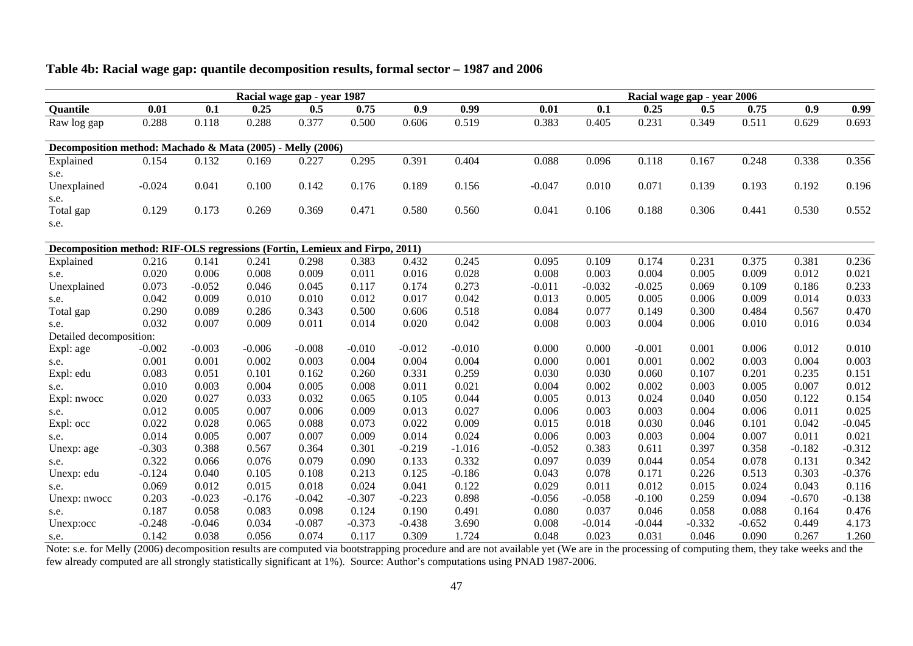|                                                                             |          |          |          | Racial wage gap - year 1987 |          |          |          |          |          |          | Racial wage gap - year 2006 |          |          |          |
|-----------------------------------------------------------------------------|----------|----------|----------|-----------------------------|----------|----------|----------|----------|----------|----------|-----------------------------|----------|----------|----------|
| Quantile                                                                    | 0.01     | 0.1      | 0.25     | 0.5                         | 0.75     | 0.9      | 0.99     | 0.01     | 0.1      | 0.25     | 0.5                         | 0.75     | 0.9      | 0.99     |
| Raw log gap                                                                 | 0.288    | 0.118    | 0.288    | 0.377                       | 0.500    | 0.606    | 0.519    | 0.383    | 0.405    | 0.231    | 0.349                       | 0.511    | 0.629    | 0.693    |
| Decomposition method: Machado & Mata (2005) - Melly (2006)                  |          |          |          |                             |          |          |          |          |          |          |                             |          |          |          |
| Explained                                                                   | 0.154    | 0.132    | 0.169    | 0.227                       | 0.295    | 0.391    | 0.404    | 0.088    | 0.096    | 0.118    | 0.167                       | 0.248    | 0.338    | 0.356    |
| s.e.                                                                        |          |          |          |                             |          |          |          |          |          |          |                             |          |          |          |
| Unexplained                                                                 | $-0.024$ | 0.041    | 0.100    | 0.142                       | 0.176    | 0.189    | 0.156    | $-0.047$ | 0.010    | 0.071    | 0.139                       | 0.193    | 0.192    | 0.196    |
| s.e.                                                                        |          |          |          |                             |          |          |          |          |          |          |                             |          |          |          |
| Total gap                                                                   | 0.129    | 0.173    | 0.269    | 0.369                       | 0.471    | 0.580    | 0.560    | 0.041    | 0.106    | 0.188    | 0.306                       | 0.441    | 0.530    | 0.552    |
| s.e.                                                                        |          |          |          |                             |          |          |          |          |          |          |                             |          |          |          |
|                                                                             |          |          |          |                             |          |          |          |          |          |          |                             |          |          |          |
| Decomposition method: RIF-OLS regressions (Fortin, Lemieux and Firpo, 2011) |          |          |          |                             |          |          |          |          |          |          |                             |          |          |          |
| Explained                                                                   | 0.216    | 0.141    | 0.241    | 0.298                       | 0.383    | 0.432    | 0.245    | 0.095    | 0.109    | 0.174    | 0.231                       | 0.375    | 0.381    | 0.236    |
| s.e.                                                                        | 0.020    | 0.006    | 0.008    | 0.009                       | 0.011    | 0.016    | 0.028    | 0.008    | 0.003    | 0.004    | 0.005                       | 0.009    | 0.012    | 0.021    |
| Unexplained                                                                 | 0.073    | $-0.052$ | 0.046    | 0.045                       | 0.117    | 0.174    | 0.273    | $-0.011$ | $-0.032$ | $-0.025$ | 0.069                       | 0.109    | 0.186    | 0.233    |
| s.e.                                                                        | 0.042    | 0.009    | 0.010    | 0.010                       | 0.012    | 0.017    | 0.042    | 0.013    | 0.005    | 0.005    | 0.006                       | 0.009    | 0.014    | 0.033    |
| Total gap                                                                   | 0.290    | 0.089    | 0.286    | 0.343                       | 0.500    | 0.606    | 0.518    | 0.084    | 0.077    | 0.149    | 0.300                       | 0.484    | 0.567    | 0.470    |
| s.e.                                                                        | 0.032    | 0.007    | 0.009    | 0.011                       | 0.014    | 0.020    | 0.042    | 0.008    | 0.003    | 0.004    | 0.006                       | 0.010    | 0.016    | 0.034    |
| Detailed decomposition:                                                     |          |          |          |                             |          |          |          |          |          |          |                             |          |          |          |
| Expl: age                                                                   | $-0.002$ | $-0.003$ | $-0.006$ | $-0.008$                    | $-0.010$ | $-0.012$ | $-0.010$ | 0.000    | 0.000    | $-0.001$ | 0.001                       | 0.006    | 0.012    | 0.010    |
| s.e.                                                                        | 0.001    | 0.001    | 0.002    | 0.003                       | 0.004    | 0.004    | 0.004    | 0.000    | 0.001    | 0.001    | 0.002                       | 0.003    | 0.004    | 0.003    |
| Expl: edu                                                                   | 0.083    | 0.051    | 0.101    | 0.162                       | 0.260    | 0.331    | 0.259    | 0.030    | 0.030    | 0.060    | 0.107                       | 0.201    | 0.235    | 0.151    |
| s.e.                                                                        | 0.010    | 0.003    | 0.004    | 0.005                       | 0.008    | 0.011    | 0.021    | 0.004    | 0.002    | 0.002    | 0.003                       | 0.005    | 0.007    | 0.012    |
| Expl: nwocc                                                                 | 0.020    | 0.027    | 0.033    | 0.032                       | 0.065    | 0.105    | 0.044    | 0.005    | 0.013    | 0.024    | 0.040                       | 0.050    | 0.122    | 0.154    |
| s.e.                                                                        | 0.012    | 0.005    | 0.007    | 0.006                       | 0.009    | 0.013    | 0.027    | 0.006    | 0.003    | 0.003    | 0.004                       | 0.006    | 0.011    | 0.025    |
| Expl: occ                                                                   | 0.022    | 0.028    | 0.065    | 0.088                       | 0.073    | 0.022    | 0.009    | 0.015    | 0.018    | 0.030    | 0.046                       | 0.101    | 0.042    | $-0.045$ |
| s.e.                                                                        | 0.014    | 0.005    | 0.007    | 0.007                       | 0.009    | 0.014    | 0.024    | 0.006    | 0.003    | 0.003    | 0.004                       | 0.007    | 0.011    | 0.021    |
| Unexp: age                                                                  | $-0.303$ | 0.388    | 0.567    | 0.364                       | 0.301    | $-0.219$ | $-1.016$ | $-0.052$ | 0.383    | 0.611    | 0.397                       | 0.358    | $-0.182$ | $-0.312$ |
| s.e.                                                                        | 0.322    | 0.066    | 0.076    | 0.079                       | 0.090    | 0.133    | 0.332    | 0.097    | 0.039    | 0.044    | 0.054                       | 0.078    | 0.131    | 0.342    |
| Unexp: edu                                                                  | $-0.124$ | 0.040    | 0.105    | 0.108                       | 0.213    | 0.125    | $-0.186$ | 0.043    | 0.078    | 0.171    | 0.226                       | 0.513    | 0.303    | $-0.376$ |
| s.e.                                                                        | 0.069    | 0.012    | 0.015    | 0.018                       | 0.024    | 0.041    | 0.122    | 0.029    | 0.011    | 0.012    | 0.015                       | 0.024    | 0.043    | 0.116    |
| Unexp: nwocc                                                                | 0.203    | $-0.023$ | $-0.176$ | $-0.042$                    | $-0.307$ | $-0.223$ | 0.898    | $-0.056$ | $-0.058$ | $-0.100$ | 0.259                       | 0.094    | $-0.670$ | $-0.138$ |
| s.e.                                                                        | 0.187    | 0.058    | 0.083    | 0.098                       | 0.124    | 0.190    | 0.491    | 0.080    | 0.037    | 0.046    | 0.058                       | 0.088    | 0.164    | 0.476    |
| Unexp:occ                                                                   | $-0.248$ | $-0.046$ | 0.034    | $-0.087$                    | $-0.373$ | $-0.438$ | 3.690    | 0.008    | $-0.014$ | $-0.044$ | $-0.332$                    | $-0.652$ | 0.449    | 4.173    |
| s.e.                                                                        | 0.142    | 0.038    | 0.056    | 0.074                       | 0.117    | 0.309    | 1.724    | 0.048    | 0.023    | 0.031    | 0.046                       | 0.090    | 0.267    | 1.260    |

#### **Table 4b: Racial wage gap: quantile decomposition results, formal sector – 1987 and 2006**

Note: s.e. for Melly (2006) decomposition results are computed via bootstrapping procedure and are not available yet (We are in the processing of computing them, they take weeks and the few already computed are all strongly statistically significant at 1%). Source: Author's computations using PNAD 1987-2006.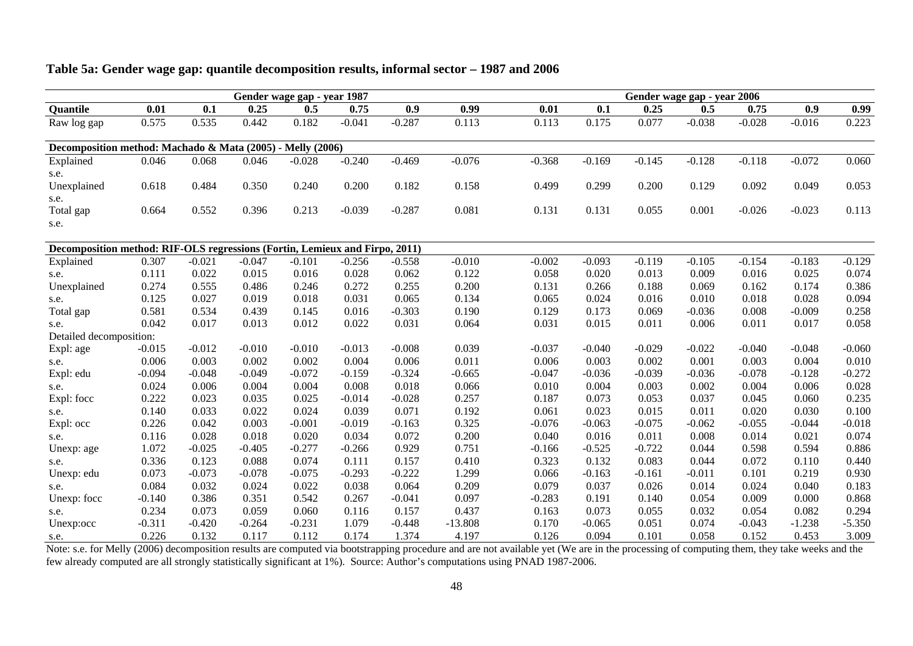|                                                                             |          |          |          | Gender wage gap - year 1987 |          |          |           |          |          |          | Gender wage gap - year 2006 |          |          |          |
|-----------------------------------------------------------------------------|----------|----------|----------|-----------------------------|----------|----------|-----------|----------|----------|----------|-----------------------------|----------|----------|----------|
| Quantile                                                                    | 0.01     | 0.1      | 0.25     | 0.5                         | 0.75     | 0.9      | 0.99      | 0.01     | 0.1      | 0.25     | 0.5                         | 0.75     | 0.9      | 0.99     |
| Raw log gap                                                                 | 0.575    | 0.535    | 0.442    | 0.182                       | $-0.041$ | $-0.287$ | 0.113     | 0.113    | 0.175    | 0.077    | $-0.038$                    | $-0.028$ | $-0.016$ | 0.223    |
| Decomposition method: Machado & Mata (2005) - Melly (2006)                  |          |          |          |                             |          |          |           |          |          |          |                             |          |          |          |
| Explained                                                                   | 0.046    | 0.068    | 0.046    | $-0.028$                    | $-0.240$ | $-0.469$ | $-0.076$  | $-0.368$ | $-0.169$ | $-0.145$ | $-0.128$                    | $-0.118$ | $-0.072$ | 0.060    |
| s.e.                                                                        |          |          |          |                             |          |          |           |          |          |          |                             |          |          |          |
| Unexplained                                                                 | 0.618    | 0.484    | 0.350    | 0.240                       | 0.200    | 0.182    | 0.158     | 0.499    | 0.299    | 0.200    | 0.129                       | 0.092    | 0.049    | 0.053    |
| s.e.                                                                        |          |          |          |                             |          |          |           |          |          |          |                             |          |          |          |
| Total gap                                                                   | 0.664    | 0.552    | 0.396    | 0.213                       | $-0.039$ | $-0.287$ | 0.081     | 0.131    | 0.131    | 0.055    | 0.001                       | $-0.026$ | $-0.023$ | 0.113    |
| s.e.                                                                        |          |          |          |                             |          |          |           |          |          |          |                             |          |          |          |
|                                                                             |          |          |          |                             |          |          |           |          |          |          |                             |          |          |          |
| Decomposition method: RIF-OLS regressions (Fortin, Lemieux and Firpo, 2011) |          |          |          |                             |          |          |           |          |          |          |                             |          |          |          |
| Explained                                                                   | 0.307    | $-0.021$ | $-0.047$ | $-0.101$                    | $-0.256$ | $-0.558$ | $-0.010$  | $-0.002$ | $-0.093$ | $-0.119$ | $-0.105$                    | $-0.154$ | $-0.183$ | $-0.129$ |
| s.e.                                                                        | 0.111    | 0.022    | 0.015    | 0.016                       | 0.028    | 0.062    | 0.122     | 0.058    | 0.020    | 0.013    | 0.009                       | 0.016    | 0.025    | 0.074    |
| Unexplained                                                                 | 0.274    | 0.555    | 0.486    | 0.246                       | 0.272    | 0.255    | 0.200     | 0.131    | 0.266    | 0.188    | 0.069                       | 0.162    | 0.174    | 0.386    |
| s.e.                                                                        | 0.125    | 0.027    | 0.019    | 0.018                       | 0.031    | 0.065    | 0.134     | 0.065    | 0.024    | 0.016    | 0.010                       | 0.018    | 0.028    | 0.094    |
| Total gap                                                                   | 0.581    | 0.534    | 0.439    | 0.145                       | 0.016    | $-0.303$ | 0.190     | 0.129    | 0.173    | 0.069    | $-0.036$                    | 0.008    | $-0.009$ | 0.258    |
| s.e.                                                                        | 0.042    | 0.017    | 0.013    | 0.012                       | 0.022    | 0.031    | 0.064     | 0.031    | 0.015    | 0.011    | 0.006                       | 0.011    | 0.017    | 0.058    |
| Detailed decomposition:                                                     |          |          |          |                             |          |          |           |          |          |          |                             |          |          |          |
| Expl: age                                                                   | $-0.015$ | $-0.012$ | $-0.010$ | $-0.010$                    | $-0.013$ | $-0.008$ | 0.039     | $-0.037$ | $-0.040$ | $-0.029$ | $-0.022$                    | $-0.040$ | $-0.048$ | $-0.060$ |
| s.e.                                                                        | 0.006    | 0.003    | 0.002    | 0.002                       | 0.004    | 0.006    | 0.011     | 0.006    | 0.003    | 0.002    | 0.001                       | 0.003    | 0.004    | 0.010    |
| Expl: edu                                                                   | $-0.094$ | $-0.048$ | $-0.049$ | $-0.072$                    | $-0.159$ | $-0.324$ | $-0.665$  | $-0.047$ | $-0.036$ | $-0.039$ | $-0.036$                    | $-0.078$ | $-0.128$ | $-0.272$ |
| s.e.                                                                        | 0.024    | 0.006    | 0.004    | 0.004                       | 0.008    | 0.018    | 0.066     | 0.010    | 0.004    | 0.003    | 0.002                       | 0.004    | 0.006    | 0.028    |
| Expl: focc                                                                  | 0.222    | 0.023    | 0.035    | 0.025                       | $-0.014$ | $-0.028$ | 0.257     | 0.187    | 0.073    | 0.053    | 0.037                       | 0.045    | 0.060    | 0.235    |
| s.e.                                                                        | 0.140    | 0.033    | 0.022    | 0.024                       | 0.039    | 0.071    | 0.192     | 0.061    | 0.023    | 0.015    | 0.011                       | 0.020    | 0.030    | 0.100    |
| Expl: occ                                                                   | 0.226    | 0.042    | 0.003    | $-0.001$                    | $-0.019$ | $-0.163$ | 0.325     | $-0.076$ | $-0.063$ | $-0.075$ | $-0.062$                    | $-0.055$ | $-0.044$ | $-0.018$ |
| s.e.                                                                        | 0.116    | 0.028    | 0.018    | 0.020                       | 0.034    | 0.072    | 0.200     | 0.040    | 0.016    | 0.011    | 0.008                       | 0.014    | 0.021    | 0.074    |
| Unexp: age                                                                  | 1.072    | $-0.025$ | $-0.405$ | $-0.277$                    | $-0.266$ | 0.929    | 0.751     | $-0.166$ | $-0.525$ | $-0.722$ | 0.044                       | 0.598    | 0.594    | 0.886    |
| s.e.                                                                        | 0.336    | 0.123    | 0.088    | 0.074                       | 0.111    | 0.157    | 0.410     | 0.323    | 0.132    | 0.083    | 0.044                       | 0.072    | 0.110    | 0.440    |
| Unexp: edu                                                                  | 0.073    | $-0.073$ | $-0.078$ | $-0.075$                    | $-0.293$ | $-0.222$ | 1.299     | 0.066    | $-0.163$ | $-0.161$ | $-0.011$                    | 0.101    | 0.219    | 0.930    |
| s.e.                                                                        | 0.084    | 0.032    | 0.024    | 0.022                       | 0.038    | 0.064    | 0.209     | 0.079    | 0.037    | 0.026    | 0.014                       | 0.024    | 0.040    | 0.183    |
| Unexp: focc                                                                 | $-0.140$ | 0.386    | 0.351    | 0.542                       | 0.267    | $-0.041$ | 0.097     | $-0.283$ | 0.191    | 0.140    | 0.054                       | 0.009    | 0.000    | 0.868    |
| s.e.                                                                        | 0.234    | 0.073    | 0.059    | 0.060                       | 0.116    | 0.157    | 0.437     | 0.163    | 0.073    | 0.055    | 0.032                       | 0.054    | 0.082    | 0.294    |
| Unexp:occ                                                                   | $-0.311$ | $-0.420$ | $-0.264$ | $-0.231$                    | 1.079    | $-0.448$ | $-13.808$ | 0.170    | $-0.065$ | 0.051    | 0.074                       | $-0.043$ | $-1.238$ | $-5.350$ |
| s.e.                                                                        | 0.226    | 0.132    | 0.117    | 0.112                       | 0.174    | 1.374    | 4.197     | 0.126    | 0.094    | 0.101    | 0.058                       | 0.152    | 0.453    | 3.009    |

#### **Table 5a: Gender wage gap: quantile decomposition results, informal sector – 1987 and 2006**

Note: s.e. for Melly (2006) decomposition results are computed via bootstrapping procedure and are not available yet (We are in the processing of computing them, they take weeks and the few already computed are all strongly statistically significant at 1%). Source: Author's computations using PNAD 1987-2006.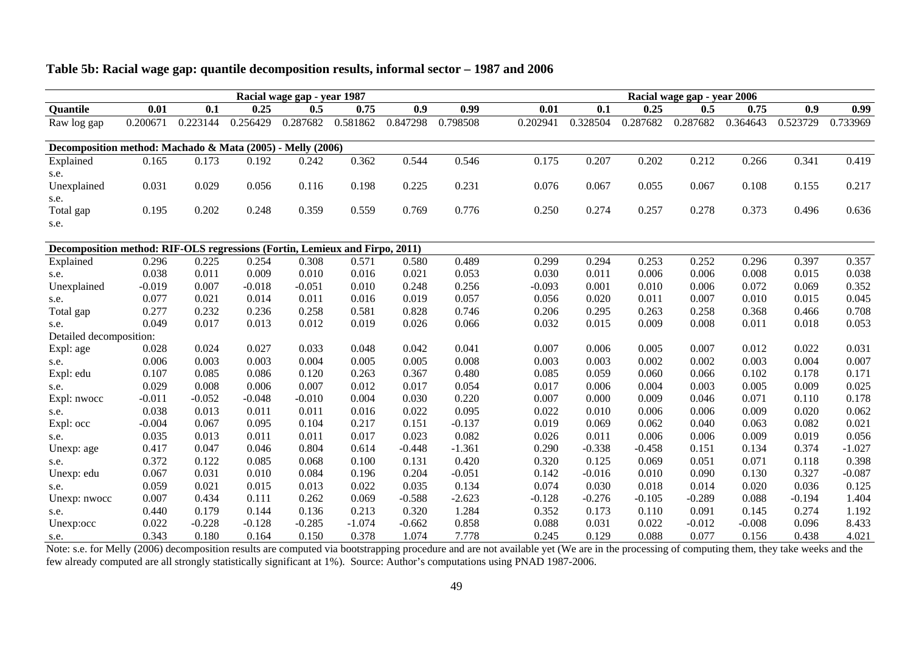|                                                                             | Racial wage gap - year 1987 |          |          |          |          |          |          |          |          |          | Racial wage gap - year 2006 |          |          |          |
|-----------------------------------------------------------------------------|-----------------------------|----------|----------|----------|----------|----------|----------|----------|----------|----------|-----------------------------|----------|----------|----------|
| Quantile                                                                    | 0.01                        | 0.1      | 0.25     | 0.5      | 0.75     | 0.9      | 0.99     | 0.01     | 0.1      | 0.25     | 0.5                         | 0.75     | 0.9      | 0.99     |
| Raw log gap                                                                 | 0.200671                    | 0.223144 | 0.256429 | 0.287682 | 0.581862 | 0.847298 | 0.798508 | 0.202941 | 0.328504 | 0.287682 | 0.287682                    | 0.364643 | 0.523729 | 0.733969 |
|                                                                             |                             |          |          |          |          |          |          |          |          |          |                             |          |          |          |
| Decomposition method: Machado & Mata (2005) - Melly (2006)                  |                             |          |          |          |          |          |          |          |          |          |                             |          |          |          |
| Explained                                                                   | 0.165                       | 0.173    | 0.192    | 0.242    | 0.362    | 0.544    | 0.546    | 0.175    | 0.207    | 0.202    | 0.212                       | 0.266    | 0.341    | 0.419    |
| s.e.                                                                        |                             |          |          |          |          |          |          |          |          |          |                             |          |          |          |
| Unexplained                                                                 | 0.031                       | 0.029    | 0.056    | 0.116    | 0.198    | 0.225    | 0.231    | 0.076    | 0.067    | 0.055    | 0.067                       | 0.108    | 0.155    | 0.217    |
| s.e.                                                                        |                             |          |          |          |          |          |          |          |          |          |                             |          |          |          |
| Total gap                                                                   | 0.195                       | 0.202    | 0.248    | 0.359    | 0.559    | 0.769    | 0.776    | 0.250    | 0.274    | 0.257    | 0.278                       | 0.373    | 0.496    | 0.636    |
| s.e.                                                                        |                             |          |          |          |          |          |          |          |          |          |                             |          |          |          |
|                                                                             |                             |          |          |          |          |          |          |          |          |          |                             |          |          |          |
| Decomposition method: RIF-OLS regressions (Fortin, Lemieux and Firpo, 2011) |                             |          |          |          |          |          |          |          |          |          |                             |          |          |          |
| Explained                                                                   | 0.296                       | 0.225    | 0.254    | 0.308    | 0.571    | 0.580    | 0.489    | 0.299    | 0.294    | 0.253    | 0.252                       | 0.296    | 0.397    | 0.357    |
| s.e.                                                                        | 0.038                       | 0.011    | 0.009    | 0.010    | 0.016    | 0.021    | 0.053    | 0.030    | 0.011    | 0.006    | 0.006                       | 0.008    | 0.015    | 0.038    |
| Unexplained                                                                 | $-0.019$                    | 0.007    | $-0.018$ | $-0.051$ | 0.010    | 0.248    | 0.256    | $-0.093$ | 0.001    | 0.010    | 0.006                       | 0.072    | 0.069    | 0.352    |
| s.e.                                                                        | 0.077                       | 0.021    | 0.014    | 0.011    | 0.016    | 0.019    | 0.057    | 0.056    | 0.020    | 0.011    | 0.007                       | 0.010    | 0.015    | 0.045    |
| Total gap                                                                   | 0.277                       | 0.232    | 0.236    | 0.258    | 0.581    | 0.828    | 0.746    | 0.206    | 0.295    | 0.263    | 0.258                       | 0.368    | 0.466    | 0.708    |
| s.e.                                                                        | 0.049                       | 0.017    | 0.013    | 0.012    | 0.019    | 0.026    | 0.066    | 0.032    | 0.015    | 0.009    | 0.008                       | 0.011    | 0.018    | 0.053    |
| Detailed decomposition:                                                     |                             |          |          |          |          |          |          |          |          |          |                             |          |          |          |
| Expl: age                                                                   | 0.028                       | 0.024    | 0.027    | 0.033    | 0.048    | 0.042    | 0.041    | 0.007    | 0.006    | 0.005    | 0.007                       | 0.012    | 0.022    | 0.031    |
| s.e.                                                                        | 0.006                       | 0.003    | 0.003    | 0.004    | 0.005    | 0.005    | 0.008    | 0.003    | 0.003    | 0.002    | 0.002                       | 0.003    | 0.004    | 0.007    |
| Expl: edu                                                                   | 0.107                       | 0.085    | 0.086    | 0.120    | 0.263    | 0.367    | 0.480    | 0.085    | 0.059    | 0.060    | 0.066                       | 0.102    | 0.178    | 0.171    |
| s.e.                                                                        | 0.029                       | 0.008    | 0.006    | 0.007    | 0.012    | 0.017    | 0.054    | 0.017    | 0.006    | 0.004    | 0.003                       | 0.005    | 0.009    | 0.025    |
| Expl: nwocc                                                                 | $-0.011$                    | $-0.052$ | $-0.048$ | $-0.010$ | 0.004    | 0.030    | 0.220    | 0.007    | 0.000    | 0.009    | 0.046                       | 0.071    | 0.110    | 0.178    |
| s.e.                                                                        | 0.038                       | 0.013    | 0.011    | 0.011    | 0.016    | 0.022    | 0.095    | 0.022    | 0.010    | 0.006    | 0.006                       | 0.009    | 0.020    | 0.062    |
| Expl: occ                                                                   | $-0.004$                    | 0.067    | 0.095    | 0.104    | 0.217    | 0.151    | $-0.137$ | 0.019    | 0.069    | 0.062    | 0.040                       | 0.063    | 0.082    | 0.021    |
| s.e.                                                                        | 0.035                       | 0.013    | 0.011    | 0.011    | 0.017    | 0.023    | 0.082    | 0.026    | 0.011    | 0.006    | 0.006                       | 0.009    | 0.019    | 0.056    |
| Unexp: age                                                                  | 0.417                       | 0.047    | 0.046    | 0.804    | 0.614    | $-0.448$ | $-1.361$ | 0.290    | $-0.338$ | $-0.458$ | 0.151                       | 0.134    | 0.374    | $-1.027$ |
| s.e.                                                                        | 0.372                       | 0.122    | 0.085    | 0.068    | 0.100    | 0.131    | 0.420    | 0.320    | 0.125    | 0.069    | 0.051                       | 0.071    | 0.118    | 0.398    |
| Unexp: edu                                                                  | 0.067                       | 0.031    | 0.010    | 0.084    | 0.196    | 0.204    | $-0.051$ | 0.142    | $-0.016$ | 0.010    | 0.090                       | 0.130    | 0.327    | $-0.087$ |
| s.e.                                                                        | 0.059                       | 0.021    | 0.015    | 0.013    | 0.022    | 0.035    | 0.134    | 0.074    | 0.030    | 0.018    | 0.014                       | 0.020    | 0.036    | 0.125    |
| Unexp: nwocc                                                                | 0.007                       | 0.434    | 0.111    | 0.262    | 0.069    | $-0.588$ | $-2.623$ | $-0.128$ | $-0.276$ | $-0.105$ | $-0.289$                    | 0.088    | $-0.194$ | 1.404    |
| s.e.                                                                        | 0.440                       | 0.179    | 0.144    | 0.136    | 0.213    | 0.320    | 1.284    | 0.352    | 0.173    | 0.110    | 0.091                       | 0.145    | 0.274    | 1.192    |
| Unexp:occ                                                                   | 0.022                       | $-0.228$ | $-0.128$ | $-0.285$ | $-1.074$ | $-0.662$ | 0.858    | 0.088    | 0.031    | 0.022    | $-0.012$                    | $-0.008$ | 0.096    | 8.433    |
| s.e.                                                                        | 0.343                       | 0.180    | 0.164    | 0.150    | 0.378    | 1.074    | 7.778    | 0.245    | 0.129    | 0.088    | 0.077                       | 0.156    | 0.438    | 4.021    |

# **Table 5b: Racial wage gap: quantile decomposition results, informal sector – 1987 and 2006**

Note: s.e. for Melly (2006) decomposition results are computed via bootstrapping procedure and are not available yet (We are in the processing of computing them, they take weeks and the few already computed are all strongly statistically significant at 1%). Source: Author's computations using PNAD 1987-2006.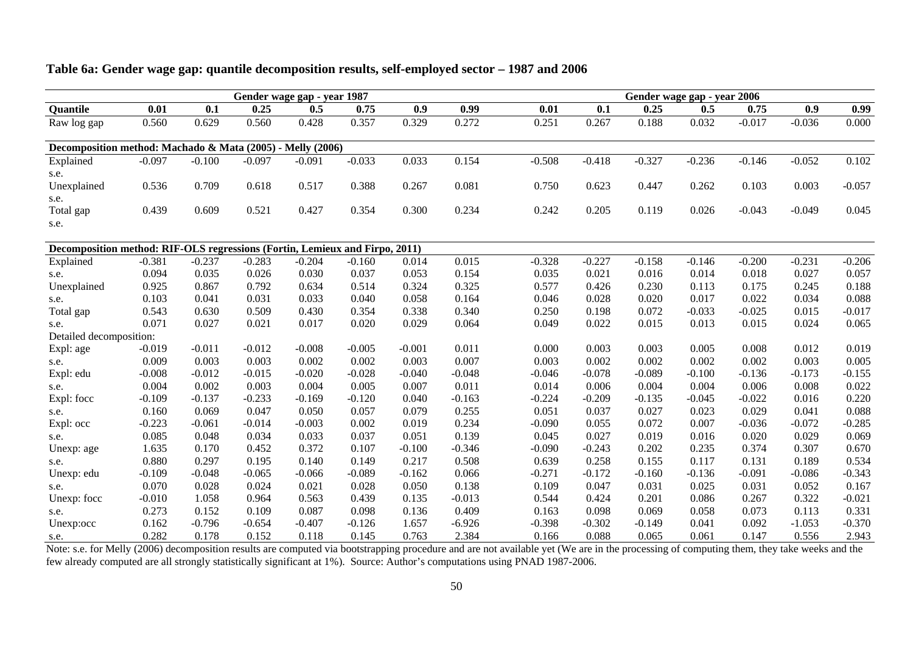|                                                                             |          |          |          | Gender wage gap - year 1987 |          |          |          |          |          |          | Gender wage gap - year 2006 |          |          |          |
|-----------------------------------------------------------------------------|----------|----------|----------|-----------------------------|----------|----------|----------|----------|----------|----------|-----------------------------|----------|----------|----------|
| Quantile                                                                    | 0.01     | 0.1      | 0.25     | 0.5                         | 0.75     | 0.9      | 0.99     | 0.01     | 0.1      | 0.25     | 0.5                         | 0.75     | 0.9      | 0.99     |
| Raw log gap                                                                 | 0.560    | 0.629    | 0.560    | 0.428                       | 0.357    | 0.329    | 0.272    | 0.251    | 0.267    | 0.188    | 0.032                       | $-0.017$ | $-0.036$ | 0.000    |
| Decomposition method: Machado & Mata (2005) - Melly (2006)                  |          |          |          |                             |          |          |          |          |          |          |                             |          |          |          |
| Explained                                                                   | $-0.097$ | $-0.100$ | $-0.097$ | $-0.091$                    | $-0.033$ | 0.033    | 0.154    | $-0.508$ | $-0.418$ | $-0.327$ | $-0.236$                    | $-0.146$ | $-0.052$ | 0.102    |
| s.e.                                                                        |          |          |          |                             |          |          |          |          |          |          |                             |          |          |          |
| Unexplained                                                                 | 0.536    | 0.709    | 0.618    | 0.517                       | 0.388    | 0.267    | 0.081    | 0.750    | 0.623    | 0.447    | 0.262                       | 0.103    | 0.003    | $-0.057$ |
| s.e.                                                                        |          |          |          |                             |          |          |          |          |          |          |                             |          |          |          |
| Total gap                                                                   | 0.439    | 0.609    | 0.521    | 0.427                       | 0.354    | 0.300    | 0.234    | 0.242    | 0.205    | 0.119    | 0.026                       | $-0.043$ | $-0.049$ | 0.045    |
| s.e.                                                                        |          |          |          |                             |          |          |          |          |          |          |                             |          |          |          |
| Decomposition method: RIF-OLS regressions (Fortin, Lemieux and Firpo, 2011) |          |          |          |                             |          |          |          |          |          |          |                             |          |          |          |
| Explained                                                                   | $-0.381$ | $-0.237$ | $-0.283$ | $-0.204$                    | $-0.160$ | 0.014    | 0.015    | $-0.328$ | $-0.227$ | $-0.158$ | $-0.146$                    | $-0.200$ | $-0.231$ | $-0.206$ |
| s.e.                                                                        | 0.094    | 0.035    | 0.026    | 0.030                       | 0.037    | 0.053    | 0.154    | 0.035    | 0.021    | 0.016    | 0.014                       | 0.018    | 0.027    | 0.057    |
| Unexplained                                                                 | 0.925    | 0.867    | 0.792    | 0.634                       | 0.514    | 0.324    | 0.325    | 0.577    | 0.426    | 0.230    | 0.113                       | 0.175    | 0.245    | 0.188    |
| s.e.                                                                        | 0.103    | 0.041    | 0.031    | 0.033                       | 0.040    | 0.058    | 0.164    | 0.046    | 0.028    | 0.020    | 0.017                       | 0.022    | 0.034    | 0.088    |
| Total gap                                                                   | 0.543    | 0.630    | 0.509    | 0.430                       | 0.354    | 0.338    | 0.340    | 0.250    | 0.198    | 0.072    | $-0.033$                    | $-0.025$ | 0.015    | $-0.017$ |
| s.e.                                                                        | 0.071    | 0.027    | 0.021    | 0.017                       | 0.020    | 0.029    | 0.064    | 0.049    | 0.022    | 0.015    | 0.013                       | 0.015    | 0.024    | 0.065    |
| Detailed decomposition:                                                     |          |          |          |                             |          |          |          |          |          |          |                             |          |          |          |
| Expl: age                                                                   | $-0.019$ | $-0.011$ | $-0.012$ | $-0.008$                    | $-0.005$ | $-0.001$ | 0.011    | 0.000    | 0.003    | 0.003    | 0.005                       | 0.008    | 0.012    | 0.019    |
| s.e.                                                                        | 0.009    | 0.003    | 0.003    | 0.002                       | 0.002    | 0.003    | 0.007    | 0.003    | 0.002    | 0.002    | 0.002                       | 0.002    | 0.003    | 0.005    |
| Expl: edu                                                                   | $-0.008$ | $-0.012$ | $-0.015$ | $-0.020$                    | $-0.028$ | $-0.040$ | $-0.048$ | $-0.046$ | $-0.078$ | $-0.089$ | $-0.100$                    | $-0.136$ | $-0.173$ | $-0.155$ |
| s.e.                                                                        | 0.004    | 0.002    | 0.003    | 0.004                       | 0.005    | 0.007    | 0.011    | 0.014    | 0.006    | 0.004    | 0.004                       | 0.006    | 0.008    | 0.022    |
| Expl: focc                                                                  | $-0.109$ | $-0.137$ | $-0.233$ | $-0.169$                    | $-0.120$ | 0.040    | $-0.163$ | $-0.224$ | $-0.209$ | $-0.135$ | $-0.045$                    | $-0.022$ | 0.016    | 0.220    |
| s.e.                                                                        | 0.160    | 0.069    | 0.047    | 0.050                       | 0.057    | 0.079    | 0.255    | 0.051    | 0.037    | 0.027    | 0.023                       | 0.029    | 0.041    | 0.088    |
| Expl: occ                                                                   | $-0.223$ | $-0.061$ | $-0.014$ | $-0.003$                    | 0.002    | 0.019    | 0.234    | $-0.090$ | 0.055    | 0.072    | 0.007                       | $-0.036$ | $-0.072$ | $-0.285$ |
| s.e.                                                                        | 0.085    | 0.048    | 0.034    | 0.033                       | 0.037    | 0.051    | 0.139    | 0.045    | 0.027    | 0.019    | 0.016                       | 0.020    | 0.029    | 0.069    |
| Unexp: age                                                                  | 1.635    | 0.170    | 0.452    | 0.372                       | 0.107    | $-0.100$ | $-0.346$ | $-0.090$ | $-0.243$ | 0.202    | 0.235                       | 0.374    | 0.307    | 0.670    |
| s.e.                                                                        | 0.880    | 0.297    | 0.195    | 0.140                       | 0.149    | 0.217    | 0.508    | 0.639    | 0.258    | 0.155    | 0.117                       | 0.131    | 0.189    | 0.534    |
| Unexp: edu                                                                  | $-0.109$ | $-0.048$ | $-0.065$ | $-0.066$                    | $-0.089$ | $-0.162$ | 0.066    | $-0.271$ | $-0.172$ | $-0.160$ | $-0.136$                    | $-0.091$ | $-0.086$ | $-0.343$ |
| s.e.                                                                        | 0.070    | 0.028    | 0.024    | 0.021                       | 0.028    | 0.050    | 0.138    | 0.109    | 0.047    | 0.031    | 0.025                       | 0.031    | 0.052    | 0.167    |
| Unexp: focc                                                                 | $-0.010$ | 1.058    | 0.964    | 0.563                       | 0.439    | 0.135    | $-0.013$ | 0.544    | 0.424    | 0.201    | 0.086                       | 0.267    | 0.322    | $-0.021$ |
| s.e.                                                                        | 0.273    | 0.152    | 0.109    | 0.087                       | 0.098    | 0.136    | 0.409    | 0.163    | 0.098    | 0.069    | 0.058                       | 0.073    | 0.113    | 0.331    |
| Unexp:occ                                                                   | 0.162    | $-0.796$ | $-0.654$ | $-0.407$                    | $-0.126$ | 1.657    | $-6.926$ | $-0.398$ | $-0.302$ | $-0.149$ | 0.041                       | 0.092    | $-1.053$ | $-0.370$ |
| s e                                                                         | 0.282    | 0.178    | 0.152    | 0.118                       | 0.145    | 0.763    | 2.384    | 0.166    | 0.088    | 0.065    | 0.061                       | 0.147    | 0.556    | 2.943    |

## **Table 6a: Gender wage gap: quantile decomposition results, self-employed sector – 1987 and 2006**

s.e.  $0.282$  0.178 0.152 0.118 0.145 0.763 2.384 0.166 0.088 0.065 0.061 0.147 0.556 2.943<br>Note: s.e. for Melly (2006) decomposition results are computed via bootstrapping procedure and are not available yet (We are in th few already computed are all strongly statistically significant at 1%). Source: Author's computations using PNAD 1987-2006.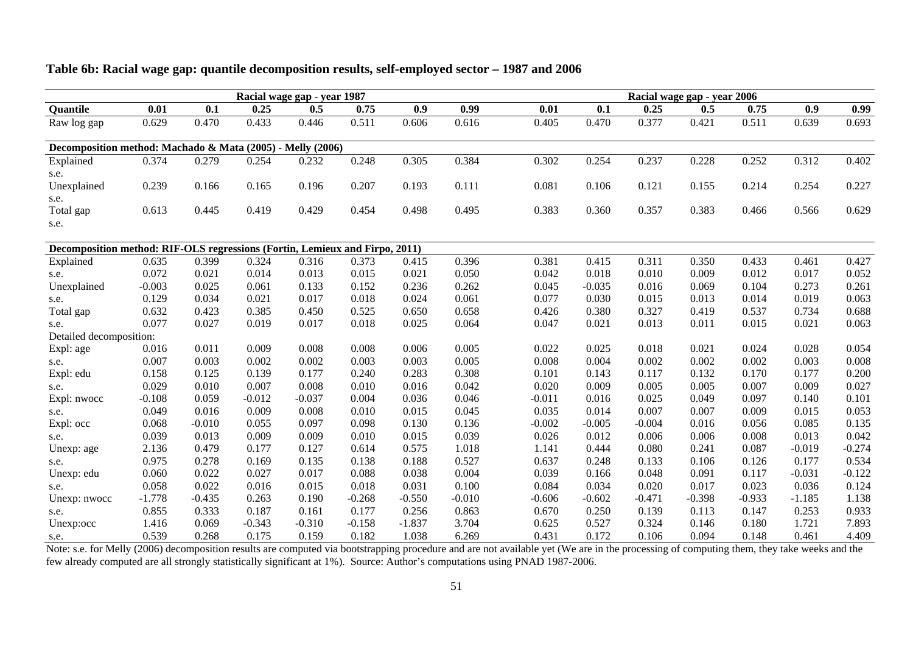|                                                                             |          |          |          | Racial wage gap - year 1987 |          |          |          |          |          | Racial wage gap - year 2006 |          |          |          |          |
|-----------------------------------------------------------------------------|----------|----------|----------|-----------------------------|----------|----------|----------|----------|----------|-----------------------------|----------|----------|----------|----------|
| Quantile                                                                    | 0.01     | 0.1      | 0.25     | 0.5                         | 0.75     | 0.9      | 0.99     | 0.01     | 0.1      | 0.25                        | 0.5      | 0.75     | 0.9      | 0.99     |
| Raw log gap                                                                 | 0.629    | 0.470    | 0.433    | 0.446                       | 0.511    | 0.606    | 0.616    | 0.405    | 0.470    | 0.377                       | 0.421    | 0.511    | 0.639    | 0.693    |
| Decomposition method: Machado & Mata (2005) - Melly (2006)                  |          |          |          |                             |          |          |          |          |          |                             |          |          |          |          |
| Explained                                                                   | 0.374    | 0.279    | 0.254    | 0.232                       | 0.248    | 0.305    | 0.384    | 0.302    | 0.254    | 0.237                       | 0.228    | 0.252    | 0.312    | 0.402    |
| s.e.                                                                        |          |          |          |                             |          |          |          |          |          |                             |          |          |          |          |
| Unexplained                                                                 | 0.239    | 0.166    | 0.165    | 0.196                       | 0.207    | 0.193    | 0.111    | 0.081    | 0.106    | 0.121                       | 0.155    | 0.214    | 0.254    | 0.227    |
| s.e.                                                                        |          |          |          |                             |          |          |          |          |          |                             |          |          |          |          |
| Total gap                                                                   | 0.613    | 0.445    | 0.419    | 0.429                       | 0.454    | 0.498    | 0.495    | 0.383    | 0.360    | 0.357                       | 0.383    | 0.466    | 0.566    | 0.629    |
| s.e.                                                                        |          |          |          |                             |          |          |          |          |          |                             |          |          |          |          |
| Decomposition method: RIF-OLS regressions (Fortin, Lemieux and Firpo, 2011) |          |          |          |                             |          |          |          |          |          |                             |          |          |          |          |
| Explained                                                                   | 0.635    | 0.399    | 0.324    | 0.316                       | 0.373    | 0.415    | 0.396    | 0.381    | 0.415    | 0.311                       | 0.350    | 0.433    | 0.461    | 0.427    |
| s.e.                                                                        | 0.072    | 0.021    | 0.014    | 0.013                       | 0.015    | 0.021    | 0.050    | 0.042    | 0.018    | 0.010                       | 0.009    | 0.012    | 0.017    | 0.052    |
| Unexplained                                                                 | $-0.003$ | 0.025    | 0.061    | 0.133                       | 0.152    | 0.236    | 0.262    | 0.045    | $-0.035$ | 0.016                       | 0.069    | 0.104    | 0.273    | 0.261    |
| s.e.                                                                        | 0.129    | 0.034    | 0.021    | 0.017                       | 0.018    | 0.024    | 0.061    | 0.077    | 0.030    | 0.015                       | 0.013    | 0.014    | 0.019    | 0.063    |
| Total gap                                                                   | 0.632    | 0.423    | 0.385    | 0.450                       | 0.525    | 0.650    | 0.658    | 0.426    | 0.380    | 0.327                       | 0.419    | 0.537    | 0.734    | 0.688    |
| s.e.                                                                        | 0.077    | 0.027    | 0.019    | 0.017                       | 0.018    | 0.025    | 0.064    | 0.047    | 0.021    | 0.013                       | 0.011    | 0.015    | 0.021    | 0.063    |
| Detailed decomposition:                                                     |          |          |          |                             |          |          |          |          |          |                             |          |          |          |          |
| Expl: age                                                                   | 0.016    | 0.011    | 0.009    | 0.008                       | 0.008    | 0.006    | 0.005    | 0.022    | 0.025    | 0.018                       | 0.021    | 0.024    | 0.028    | 0.054    |
| s.e.                                                                        | 0.007    | 0.003    | 0.002    | 0.002                       | 0.003    | 0.003    | 0.005    | 0.008    | 0.004    | 0.002                       | 0.002    | 0.002    | 0.003    | 0.008    |
| Expl: edu                                                                   | 0.158    | 0.125    | 0.139    | 0.177                       | 0.240    | 0.283    | 0.308    | 0.101    | 0.143    | 0.117                       | 0.132    | 0.170    | 0.177    | 0.200    |
| s.e.                                                                        | 0.029    | 0.010    | 0.007    | 0.008                       | 0.010    | 0.016    | 0.042    | 0.020    | 0.009    | 0.005                       | 0.005    | 0.007    | 0.009    | 0.027    |
| Expl: nwocc                                                                 | $-0.108$ | 0.059    | $-0.012$ | $-0.037$                    | 0.004    | 0.036    | 0.046    | $-0.011$ | 0.016    | 0.025                       | 0.049    | 0.097    | 0.140    | 0.101    |
| s.e.                                                                        | 0.049    | 0.016    | 0.009    | 0.008                       | 0.010    | 0.015    | 0.045    | 0.035    | 0.014    | 0.007                       | 0.007    | 0.009    | 0.015    | 0.053    |
| Expl: occ                                                                   | 0.068    | $-0.010$ | 0.055    | 0.097                       | 0.098    | 0.130    | 0.136    | $-0.002$ | $-0.005$ | $-0.004$                    | 0.016    | 0.056    | 0.085    | 0.135    |
| s.e.                                                                        | 0.039    | 0.013    | 0.009    | 0.009                       | 0.010    | 0.015    | 0.039    | 0.026    | 0.012    | 0.006                       | 0.006    | 0.008    | 0.013    | 0.042    |
| Unexp: age                                                                  | 2.136    | 0.479    | 0.177    | 0.127                       | 0.614    | 0.575    | 1.018    | 1.141    | 0.444    | 0.080                       | 0.241    | 0.087    | $-0.019$ | $-0.274$ |
| s.e.                                                                        | 0.975    | 0.278    | 0.169    | 0.135                       | 0.138    | 0.188    | 0.527    | 0.637    | 0.248    | 0.133                       | 0.106    | 0.126    | 0.177    | 0.534    |
| Unexp: edu                                                                  | 0.060    | 0.022    | 0.027    | 0.017                       | 0.088    | 0.038    | 0.004    | 0.039    | 0.166    | 0.048                       | 0.091    | 0.117    | $-0.031$ | $-0.122$ |
| s.e.                                                                        | 0.058    | 0.022    | 0.016    | 0.015                       | 0.018    | 0.031    | 0.100    | 0.084    | 0.034    | 0.020                       | 0.017    | 0.023    | 0.036    | 0.124    |
| Unexp: nwocc                                                                | $-1.778$ | $-0.435$ | 0.263    | 0.190                       | $-0.268$ | $-0.550$ | $-0.010$ | $-0.606$ | $-0.602$ | $-0.471$                    | $-0.398$ | $-0.933$ | $-1.185$ | 1.138    |
| s.e.                                                                        | 0.855    | 0.333    | 0.187    | 0.161                       | 0.177    | 0.256    | 0.863    | 0.670    | 0.250    | 0.139                       | 0.113    | 0.147    | 0.253    | 0.933    |
| Unexp:occ                                                                   | 1.416    | 0.069    | $-0.343$ | $-0.310$                    | $-0.158$ | $-1.837$ | 3.704    | 0.625    | 0.527    | 0.324                       | 0.146    | 0.180    | 1.721    | 7.893    |
| $S$ $A$                                                                     | 0.539    | 0.268    | 0.175    | 0.159                       | 0.182    | 1.038    | 6269     | 0.431    | 0.172    | 0.106                       | 0.094    | 0.148    | 0.461    | 4 4 0 9  |

#### **Table 6b: Racial wage gap: quantile decomposition results, self-employed sector – 1987 and 2006**

s.e.  $0.539$   $0.268$   $0.175$   $0.159$   $0.182$   $1.038$   $6.269$   $0.431$   $0.172$   $0.106$   $0.094$   $0.148$   $0.461$   $4.409$ <br>Note: s.e. for Melly (2006) decomposition results are computed via bootstrapping procedure and are not a few already computed are all strongly statistically significant at 1%). Source: Author's computations using PNAD 1987-2006.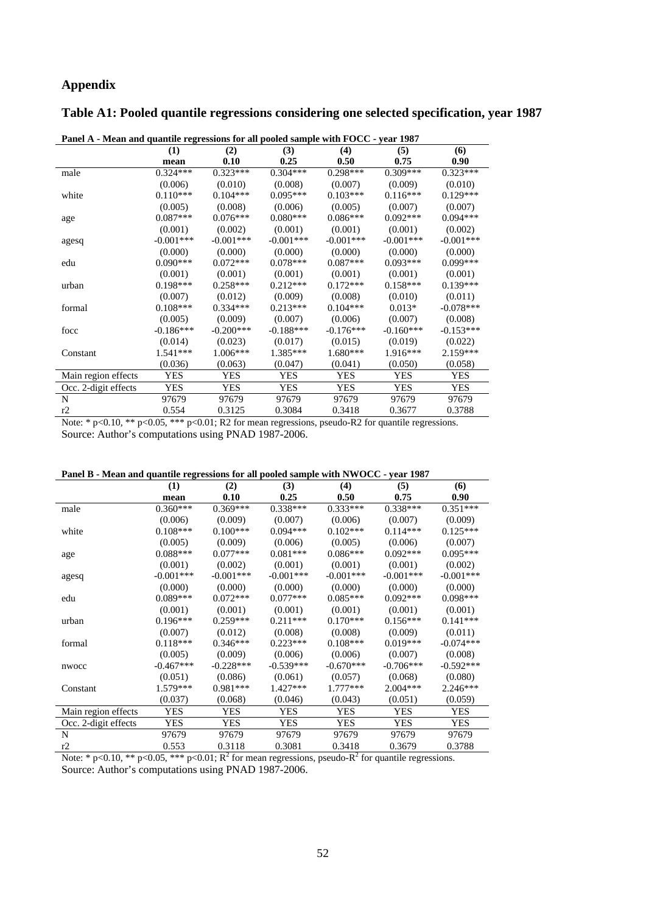# **Appendix**

# **Table A1: Pooled quantile regressions considering one selected specification, year 1987**

| T and A - Mean and quantite regressions for an pooled sample with POCC - year 1707 |             |             |             |             |             |             |  |
|------------------------------------------------------------------------------------|-------------|-------------|-------------|-------------|-------------|-------------|--|
|                                                                                    | (1)         | (2)         | (3)         | (4)         | (5)         | (6)         |  |
|                                                                                    | mean        | 0.10        | 0.25        | 0.50        | 0.75        | 0.90        |  |
| male                                                                               | $0.324***$  | $0.323***$  | $0.304***$  | $0.298***$  | $0.309***$  | $0.323***$  |  |
|                                                                                    | (0.006)     | (0.010)     | (0.008)     | (0.007)     | (0.009)     | (0.010)     |  |
| white                                                                              | $0.110***$  | $0.104***$  | $0.095***$  | $0.103***$  | $0.116***$  | $0.129***$  |  |
|                                                                                    | (0.005)     | (0.008)     | (0.006)     | (0.005)     | (0.007)     | (0.007)     |  |
| age                                                                                | $0.087***$  | $0.076***$  | $0.080***$  | $0.086***$  | $0.092***$  | $0.094***$  |  |
|                                                                                    | (0.001)     | (0.002)     | (0.001)     | (0.001)     | (0.001)     | (0.002)     |  |
| agesq                                                                              | $-0.001***$ | $-0.001***$ | $-0.001***$ | $-0.001***$ | $-0.001***$ | $-0.001***$ |  |
|                                                                                    | (0.000)     | (0.000)     | (0.000)     | (0.000)     | (0.000)     | (0.000)     |  |
| edu                                                                                | $0.090***$  | $0.072***$  | $0.078***$  | $0.087***$  | $0.093***$  | $0.099***$  |  |
|                                                                                    | (0.001)     | (0.001)     | (0.001)     | (0.001)     | (0.001)     | (0.001)     |  |
| urban                                                                              | $0.198***$  | $0.258***$  | $0.212***$  | $0.172***$  | $0.158***$  | $0.139***$  |  |
|                                                                                    | (0.007)     | (0.012)     | (0.009)     | (0.008)     | (0.010)     | (0.011)     |  |
| formal                                                                             | $0.108***$  | $0.334***$  | $0.213***$  | $0.104***$  | $0.013*$    | $-0.078***$ |  |
|                                                                                    | (0.005)     | (0.009)     | (0.007)     | (0.006)     | (0.007)     | (0.008)     |  |
| focc                                                                               | $-0.186***$ | $-0.200***$ | $-0.188***$ | $-0.176***$ | $-0.160***$ | $-0.153***$ |  |
|                                                                                    | (0.014)     | (0.023)     | (0.017)     | (0.015)     | (0.019)     | (0.022)     |  |
| Constant                                                                           | $1.541***$  | $1.006***$  | $1.385***$  | $1.680***$  | $1.916***$  | $2.159***$  |  |
|                                                                                    | (0.036)     | (0.063)     | (0.047)     | (0.041)     | (0.050)     | (0.058)     |  |
| Main region effects                                                                | <b>YES</b>  | <b>YES</b>  | <b>YES</b>  | <b>YES</b>  | <b>YES</b>  | <b>YES</b>  |  |
| Occ. 2-digit effects                                                               | <b>YES</b>  | YES         | <b>YES</b>  | <b>YES</b>  | YES         | <b>YES</b>  |  |
| N                                                                                  | 97679       | 97679       | 97679       | 97679       | 97679       | 97679       |  |
| r2                                                                                 | 0.554       | 0.3125      | 0.3084      | 0.3418      | 0.3677      | 0.3788      |  |
|                                                                                    |             |             |             |             |             |             |  |

**Panel A - Mean and quantile regressions for all pooled sample with FOCC - year 1987** 

Note: \* p<0.10, \*\* p<0.05, \*\*\* p<0.01; R2 for mean regressions, pseudo-R2 for quantile regressions. Source: Author's computations using PNAD 1987-2006.

|  | Panel B - Mean and quantile regressions for all pooled sample with NWOCC - year 1987 |  |  |  |
|--|--------------------------------------------------------------------------------------|--|--|--|
|  |                                                                                      |  |  |  |

|                      | (1)         | (2)         | (3)         | (4)         | (5)         | (6)         |
|----------------------|-------------|-------------|-------------|-------------|-------------|-------------|
|                      | mean        | 0.10        | 0.25        | 0.50        | 0.75        | 0.90        |
| male                 | $0.360***$  | $0.369***$  | $0.338***$  | $0.333***$  | $0.338***$  | $0.351***$  |
|                      | (0.006)     | (0.009)     | (0.007)     | (0.006)     | (0.007)     | (0.009)     |
| white                | $0.108***$  | $0.100***$  | $0.094***$  | $0.102***$  | $0.114***$  | $0.125***$  |
|                      | (0.005)     | (0.009)     | (0.006)     | (0.005)     | (0.006)     | (0.007)     |
| age                  | $0.088***$  | $0.077***$  | $0.081***$  | $0.086***$  | $0.092***$  | $0.095***$  |
|                      | (0.001)     | (0.002)     | (0.001)     | (0.001)     | (0.001)     | (0.002)     |
| agesq                | $-0.001***$ | $-0.001***$ | $-0.001***$ | $-0.001***$ | $-0.001***$ | $-0.001***$ |
|                      | (0.000)     | (0.000)     | (0.000)     | (0.000)     | (0.000)     | (0.000)     |
| edu                  | $0.089***$  | $0.072***$  | $0.077***$  | $0.085***$  | $0.092***$  | $0.098***$  |
|                      | (0.001)     | (0.001)     | (0.001)     | (0.001)     | (0.001)     | (0.001)     |
| urban                | $0.196***$  | $0.259***$  | $0.211***$  | $0.170***$  | $0.156***$  | $0.141***$  |
|                      | (0.007)     | (0.012)     | (0.008)     | (0.008)     | (0.009)     | (0.011)     |
| formal               | $0.118***$  | $0.346***$  | $0.223***$  | $0.108***$  | $0.019***$  | $-0.074***$ |
|                      | (0.005)     | (0.009)     | (0.006)     | (0.006)     | (0.007)     | (0.008)     |
| nwocc                | $-0.467***$ | $-0.228***$ | $-0.539***$ | $-0.670***$ | $-0.706***$ | $-0.592***$ |
|                      | (0.051)     | (0.086)     | (0.061)     | (0.057)     | (0.068)     | (0.080)     |
| Constant             | $1.579***$  | $0.981***$  | $1.427***$  | $1.777***$  | $2.004***$  | $2.246***$  |
|                      | (0.037)     | (0.068)     | (0.046)     | (0.043)     | (0.051)     | (0.059)     |
| Main region effects  | YES         | <b>YES</b>  | <b>YES</b>  | <b>YES</b>  | <b>YES</b>  | <b>YES</b>  |
| Occ. 2-digit effects | YES         | <b>YES</b>  | <b>YES</b>  | <b>YES</b>  | <b>YES</b>  | YES         |
| N                    | 97679       | 97679       | 97679       | 97679       | 97679       | 97679       |
| r2                   | 0.553       | 0.3118      | 0.3081      | 0.3418      | 0.3679      | 0.3788      |
|                      |             | ~ 2 o       |             | $-2a$       |             |             |

Note: \* p<0.10, \*\* p<0.05, \*\*\* p<0.01;  $R^2$  for mean regressions, pseudo- $R^2$  for quantile regressions. Source: Author's computations using PNAD 1987-2006.